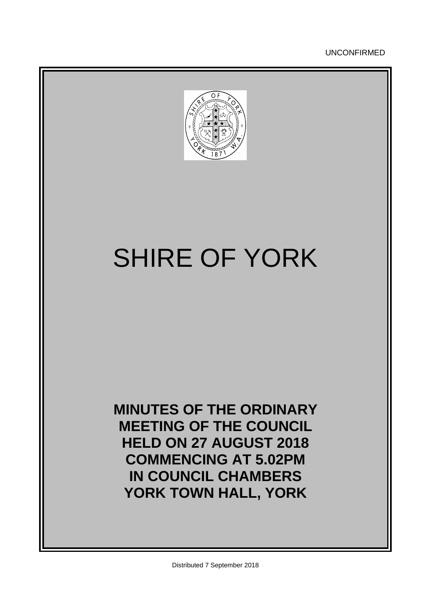UNCONFIRMED



# SHIRE OF YORK

**MINUTES OF THE ORDINARY MEETING OF THE COUNCIL HELD ON 27 AUGUST 2018 COMMENCING AT 5.02PM IN COUNCIL CHAMBERS YORK TOWN HALL, YORK**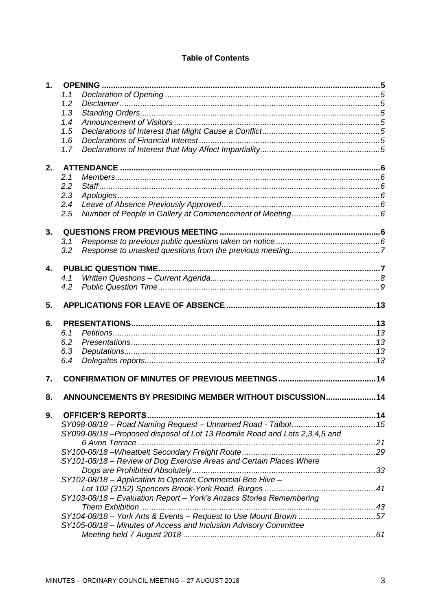# **Table of Contents**

| $\mathbf 1$ .  |     |                                                                           |  |
|----------------|-----|---------------------------------------------------------------------------|--|
|                | 1.1 |                                                                           |  |
|                | 1.2 |                                                                           |  |
|                | 1.3 |                                                                           |  |
|                | 1.4 |                                                                           |  |
|                | 1.5 |                                                                           |  |
|                | 1.6 |                                                                           |  |
|                | 1.7 |                                                                           |  |
|                |     |                                                                           |  |
| 2.             |     |                                                                           |  |
|                | 2.1 |                                                                           |  |
|                | 2.2 |                                                                           |  |
|                | 2.3 |                                                                           |  |
|                | 2.4 |                                                                           |  |
|                | 2.5 |                                                                           |  |
|                |     |                                                                           |  |
| 3.             |     |                                                                           |  |
|                | 3.1 |                                                                           |  |
|                | 3.2 |                                                                           |  |
| $\mathbf{4}$ . |     |                                                                           |  |
|                | 4.1 |                                                                           |  |
|                | 4.2 |                                                                           |  |
|                |     |                                                                           |  |
| 5.             |     |                                                                           |  |
| 6.             |     |                                                                           |  |
|                | 6.1 |                                                                           |  |
|                | 6.2 |                                                                           |  |
|                | 6.3 |                                                                           |  |
|                | 6.4 |                                                                           |  |
| 7.             |     |                                                                           |  |
|                |     |                                                                           |  |
| 8.             |     | ANNOUNCEMENTS BY PRESIDING MEMBER WITHOUT DISCUSSION 14                   |  |
| 9.             |     |                                                                           |  |
|                |     |                                                                           |  |
|                |     | SY099-08/18-Proposed disposal of Lot 13 Redmile Road and Lots 2,3,4,5 and |  |
|                |     |                                                                           |  |
|                |     |                                                                           |  |
|                |     | SY101-08/18 - Review of Dog Exercise Areas and Certain Places Where       |  |
|                |     |                                                                           |  |
|                |     | SY102-08/18 - Application to Operate Commercial Bee Hive -                |  |
|                |     |                                                                           |  |
|                |     |                                                                           |  |
|                |     | SY103-08/18 - Evaluation Report - York's Anzacs Stories Remembering       |  |
|                |     |                                                                           |  |
|                |     | SY104-08/18 - York Arts & Events - Request to Use Mount Brown 57          |  |
|                |     | SY105-08/18 - Minutes of Access and Inclusion Advisory Committee          |  |
|                |     |                                                                           |  |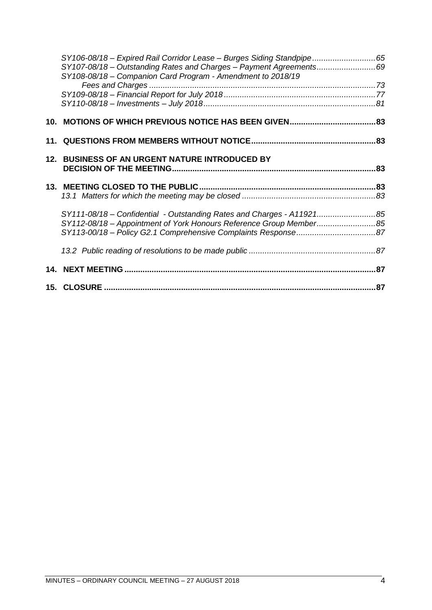| SY106-08/18 - Expired Rail Corridor Lease - Burges Siding Standpipe65 |  |
|-----------------------------------------------------------------------|--|
| SY107-08/18 - Outstanding Rates and Charges - Payment Agreements69    |  |
| SY108-08/18 - Companion Card Program - Amendment to 2018/19           |  |
|                                                                       |  |
|                                                                       |  |
|                                                                       |  |
|                                                                       |  |
|                                                                       |  |
| 12. BUSINESS OF AN URGENT NATURE INTRODUCED BY                        |  |
|                                                                       |  |
|                                                                       |  |
|                                                                       |  |
| SY111-08/18 - Confidential - Outstanding Rates and Charges - A1192185 |  |
| SY112-08/18 - Appointment of York Honours Reference Group Member85    |  |
|                                                                       |  |
|                                                                       |  |
|                                                                       |  |
|                                                                       |  |
|                                                                       |  |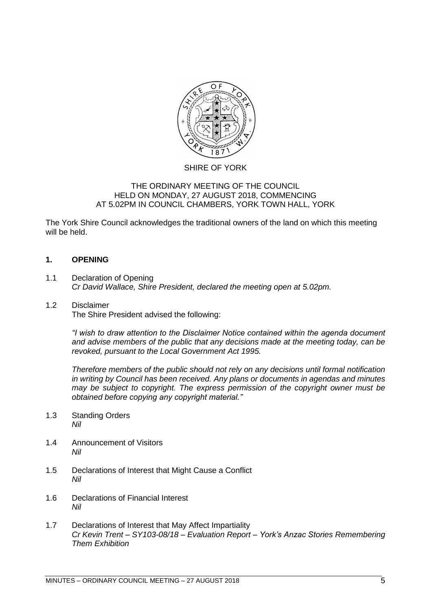

## SHIRE OF YORK

## THE ORDINARY MEETING OF THE COUNCIL HELD ON MONDAY, 27 AUGUST 2018, COMMENCING AT 5.02PM IN COUNCIL CHAMBERS, YORK TOWN HALL, YORK

The York Shire Council acknowledges the traditional owners of the land on which this meeting will be held.

## <span id="page-4-0"></span>**1. OPENING**

<span id="page-4-1"></span>1.1 Declaration of Opening *Cr David Wallace, Shire President, declared the meeting open at 5.02pm.*

# <span id="page-4-2"></span>1.2 Disclaimer

The Shire President advised the following:

*"I wish to draw attention to the Disclaimer Notice contained within the agenda document and advise members of the public that any decisions made at the meeting today, can be revoked, pursuant to the Local Government Act 1995.* 

*Therefore members of the public should not rely on any decisions until formal notification in writing by Council has been received. Any plans or documents in agendas and minutes may be subject to copyright. The express permission of the copyright owner must be obtained before copying any copyright material."*

- <span id="page-4-3"></span>1.3 Standing Orders *Nil*
- <span id="page-4-4"></span>1.4 Announcement of Visitors *Nil*
- <span id="page-4-5"></span>1.5 Declarations of Interest that Might Cause a Conflict *Nil*
- <span id="page-4-6"></span>1.6 Declarations of Financial Interest *Nil*
- <span id="page-4-7"></span>1.7 Declarations of Interest that May Affect Impartiality *Cr Kevin Trent – SY103-08/18 – Evaluation Report – York's Anzac Stories Remembering Them Exhibition*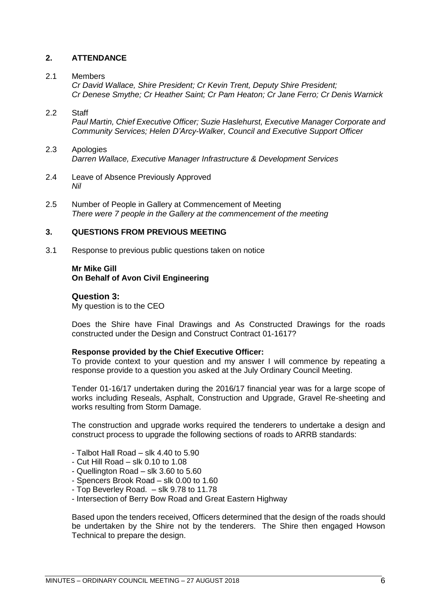## <span id="page-5-0"></span>**2. ATTENDANCE**

### <span id="page-5-1"></span>2.1 Members

*Cr David Wallace, Shire President; Cr Kevin Trent, Deputy Shire President; Cr Denese Smythe; Cr Heather Saint; Cr Pam Heaton; Cr Jane Ferro; Cr Denis Warnick*

## <span id="page-5-2"></span>2.2 Staff

*Paul Martin, Chief Executive Officer; Suzie Haslehurst, Executive Manager Corporate and Community Services; Helen D'Arcy-Walker, Council and Executive Support Officer*

## <span id="page-5-3"></span>2.3 Apologies *Darren Wallace, Executive Manager Infrastructure & Development Services*

- <span id="page-5-4"></span>2.4 Leave of Absence Previously Approved *Nil*
- <span id="page-5-5"></span>2.5 Number of People in Gallery at Commencement of Meeting *There were 7 people in the Gallery at the commencement of the meeting*

## <span id="page-5-6"></span>**3. QUESTIONS FROM PREVIOUS MEETING**

<span id="page-5-7"></span>3.1 Response to previous public questions taken on notice

## **Mr Mike Gill On Behalf of Avon Civil Engineering**

**Question 3:** My question is to the CEO

Does the Shire have Final Drawings and As Constructed Drawings for the roads constructed under the Design and Construct Contract 01-1617?

#### **Response provided by the Chief Executive Officer:**

To provide context to your question and my answer I will commence by repeating a response provide to a question you asked at the July Ordinary Council Meeting.

Tender 01-16/17 undertaken during the 2016/17 financial year was for a large scope of works including Reseals, Asphalt, Construction and Upgrade, Gravel Re-sheeting and works resulting from Storm Damage.

The construction and upgrade works required the tenderers to undertake a design and construct process to upgrade the following sections of roads to ARRB standards:

- Talbot Hall Road slk 4.40 to 5.90
- Cut Hill Road slk 0.10 to 1.08
- Quellington Road slk 3.60 to 5.60
- Spencers Brook Road slk 0.00 to 1.60
- Top Beverley Road. slk 9.78 to 11.78
- Intersection of Berry Bow Road and Great Eastern Highway

Based upon the tenders received, Officers determined that the design of the roads should be undertaken by the Shire not by the tenderers. The Shire then engaged Howson Technical to prepare the design.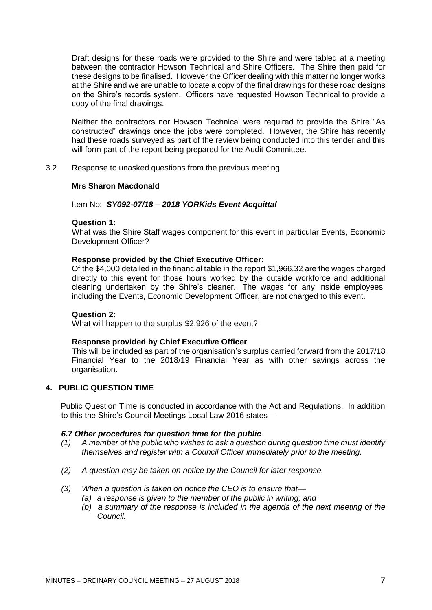Draft designs for these roads were provided to the Shire and were tabled at a meeting between the contractor Howson Technical and Shire Officers. The Shire then paid for these designs to be finalised. However the Officer dealing with this matter no longer works at the Shire and we are unable to locate a copy of the final drawings for these road designs on the Shire's records system. Officers have requested Howson Technical to provide a copy of the final drawings.

Neither the contractors nor Howson Technical were required to provide the Shire "As constructed" drawings once the jobs were completed. However, the Shire has recently had these roads surveyed as part of the review being conducted into this tender and this will form part of the report being prepared for the Audit Committee.

<span id="page-6-0"></span>3.2 Response to unasked questions from the previous meeting

## **Mrs Sharon Macdonald**

## Item No: *SY092-07/18 – 2018 YORKids Event Acquittal*

## **Question 1:**

What was the Shire Staff wages component for this event in particular Events, Economic Development Officer?

## **Response provided by the Chief Executive Officer:**

Of the \$4,000 detailed in the financial table in the report \$1,966.32 are the wages charged directly to this event for those hours worked by the outside workforce and additional cleaning undertaken by the Shire's cleaner. The wages for any inside employees, including the Events, Economic Development Officer, are not charged to this event.

#### **Question 2:**

What will happen to the surplus \$2,926 of the event?

#### **Response provided by Chief Executive Officer**

This will be included as part of the organisation's surplus carried forward from the 2017/18 Financial Year to the 2018/19 Financial Year as with other savings across the organisation.

## <span id="page-6-1"></span>**4. PUBLIC QUESTION TIME**

Public Question Time is conducted in accordance with the Act and Regulations. In addition to this the Shire's Council Meetings Local Law 2016 states –

#### *6.7 Other procedures for question time for the public*

- *(1) A member of the public who wishes to ask a question during question time must identify themselves and register with a Council Officer immediately prior to the meeting.*
- *(2) A question may be taken on notice by the Council for later response.*
- *(3) When a question is taken on notice the CEO is to ensure that—*
	- *(a) a response is given to the member of the public in writing; and*
	- *(b) a summary of the response is included in the agenda of the next meeting of the Council.*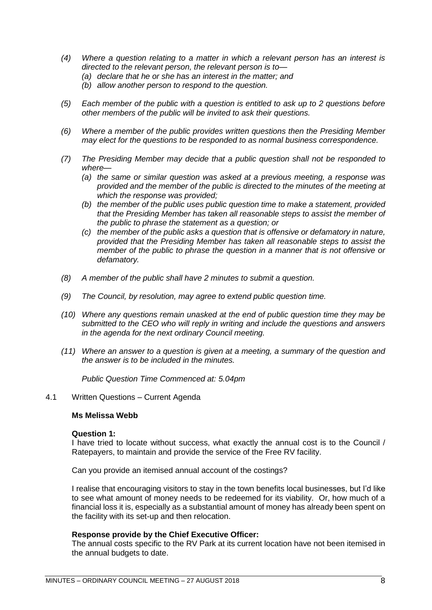- *(4) Where a question relating to a matter in which a relevant person has an interest is directed to the relevant person, the relevant person is to—*
	- *(a) declare that he or she has an interest in the matter; and*
	- *(b) allow another person to respond to the question.*
- *(5) Each member of the public with a question is entitled to ask up to 2 questions before other members of the public will be invited to ask their questions.*
- *(6) Where a member of the public provides written questions then the Presiding Member may elect for the questions to be responded to as normal business correspondence.*
- *(7) The Presiding Member may decide that a public question shall not be responded to where—*
	- *(a) the same or similar question was asked at a previous meeting, a response was provided and the member of the public is directed to the minutes of the meeting at which the response was provided;*
	- *(b) the member of the public uses public question time to make a statement, provided that the Presiding Member has taken all reasonable steps to assist the member of the public to phrase the statement as a question; or*
	- *(c) the member of the public asks a question that is offensive or defamatory in nature, provided that the Presiding Member has taken all reasonable steps to assist the member of the public to phrase the question in a manner that is not offensive or defamatory.*
- *(8) A member of the public shall have 2 minutes to submit a question.*
- *(9) The Council, by resolution, may agree to extend public question time.*
- *(10) Where any questions remain unasked at the end of public question time they may be submitted to the CEO who will reply in writing and include the questions and answers in the agenda for the next ordinary Council meeting.*
- *(11) Where an answer to a question is given at a meeting, a summary of the question and the answer is to be included in the minutes.*

*Public Question Time Commenced at: 5.04pm*

#### <span id="page-7-0"></span>4.1 Written Questions – Current Agenda

#### **Ms Melissa Webb**

#### **Question 1:**

I have tried to locate without success, what exactly the annual cost is to the Council / Ratepayers, to maintain and provide the service of the Free RV facility.

Can you provide an itemised annual account of the costings?

I realise that encouraging visitors to stay in the town benefits local businesses, but I'd like to see what amount of money needs to be redeemed for its viability. Or, how much of a financial loss it is, especially as a substantial amount of money has already been spent on the facility with its set-up and then relocation.

#### **Response provide by the Chief Executive Officer:**

The annual costs specific to the RV Park at its current location have not been itemised in the annual budgets to date.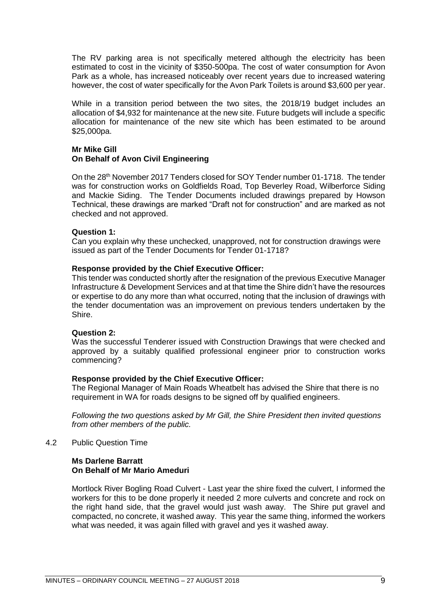The RV parking area is not specifically metered although the electricity has been estimated to cost in the vicinity of \$350-500pa. The cost of water consumption for Avon Park as a whole, has increased noticeably over recent years due to increased watering however, the cost of water specifically for the Avon Park Toilets is around \$3,600 per year.

While in a transition period between the two sites, the 2018/19 budget includes an allocation of \$4,932 for maintenance at the new site. Future budgets will include a specific allocation for maintenance of the new site which has been estimated to be around \$25,000pa.

## **Mr Mike Gill On Behalf of Avon Civil Engineering**

On the 28th November 2017 Tenders closed for SOY Tender number 01-1718. The tender was for construction works on Goldfields Road, Top Beverley Road, Wilberforce Siding and Mackie Siding. The Tender Documents included drawings prepared by Howson Technical, these drawings are marked "Draft not for construction" and are marked as not checked and not approved.

#### **Question 1:**

Can you explain why these unchecked, unapproved, not for construction drawings were issued as part of the Tender Documents for Tender 01-1718?

#### **Response provided by the Chief Executive Officer:**

This tender was conducted shortly after the resignation of the previous Executive Manager Infrastructure & Development Services and at that time the Shire didn't have the resources or expertise to do any more than what occurred, noting that the inclusion of drawings with the tender documentation was an improvement on previous tenders undertaken by the Shire.

#### **Question 2:**

Was the successful Tenderer issued with Construction Drawings that were checked and approved by a suitably qualified professional engineer prior to construction works commencing?

#### **Response provided by the Chief Executive Officer:**

The Regional Manager of Main Roads Wheatbelt has advised the Shire that there is no requirement in WA for roads designs to be signed off by qualified engineers.

*Following the two questions asked by Mr Gill, the Shire President then invited questions from other members of the public.* 

<span id="page-8-0"></span>4.2 Public Question Time

#### **Ms Darlene Barratt On Behalf of Mr Mario Ameduri**

Mortlock River Bogling Road Culvert - Last year the shire fixed the culvert, I informed the workers for this to be done properly it needed 2 more culverts and concrete and rock on the right hand side, that the gravel would just wash away. The Shire put gravel and compacted, no concrete, it washed away. This year the same thing, informed the workers what was needed, it was again filled with gravel and yes it washed away.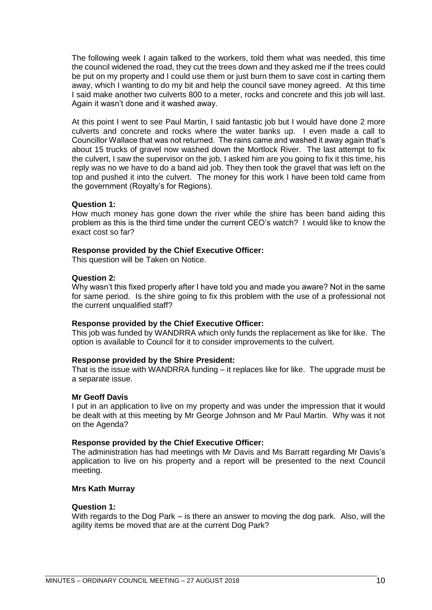The following week I again talked to the workers, told them what was needed, this time the council widened the road, they cut the trees down and they asked me if the trees could be put on my property and I could use them or just burn them to save cost in carting them away, which I wanting to do my bit and help the council save money agreed. At this time I said make another two culverts 800 to a meter, rocks and concrete and this job will last. Again it wasn't done and it washed away.

At this point I went to see Paul Martin, I said fantastic job but I would have done 2 more culverts and concrete and rocks where the water banks up. I even made a call to Councillor Wallace that was not returned. The rains came and washed it away again that's about 15 trucks of gravel now washed down the Mortlock River. The last attempt to fix the culvert, I saw the supervisor on the job, I asked him are you going to fix it this time, his reply was no we have to do a band aid job. They then took the gravel that was left on the top and pushed it into the culvert. The money for this work I have been told came from the government (Royalty's for Regions).

#### **Question 1:**

How much money has gone down the river while the shire has been band aiding this problem as this is the third time under the current CEO's watch? I would like to know the exact cost so far?

#### **Response provided by the Chief Executive Officer:**

This question will be Taken on Notice.

#### **Question 2:**

Why wasn't this fixed properly after I have told you and made you aware? Not in the same for same period. Is the shire going to fix this problem with the use of a professional not the current unqualified staff?

#### **Response provided by the Chief Executive Officer:**

This job was funded by WANDRRA which only funds the replacement as like for like. The option is available to Council for it to consider improvements to the culvert.

#### **Response provided by the Shire President:**

That is the issue with WANDRRA funding – it replaces like for like. The upgrade must be a separate issue.

#### **Mr Geoff Davis**

I put in an application to live on my property and was under the impression that it would be dealt with at this meeting by Mr George Johnson and Mr Paul Martin. Why was it not on the Agenda?

#### **Response provided by the Chief Executive Officer:**

The administration has had meetings with Mr Davis and Ms Barratt regarding Mr Davis's application to live on his property and a report will be presented to the next Council meeting.

## **Mrs Kath Murray**

#### **Question 1:**

With regards to the Dog Park – is there an answer to moving the dog park. Also, will the agility items be moved that are at the current Dog Park?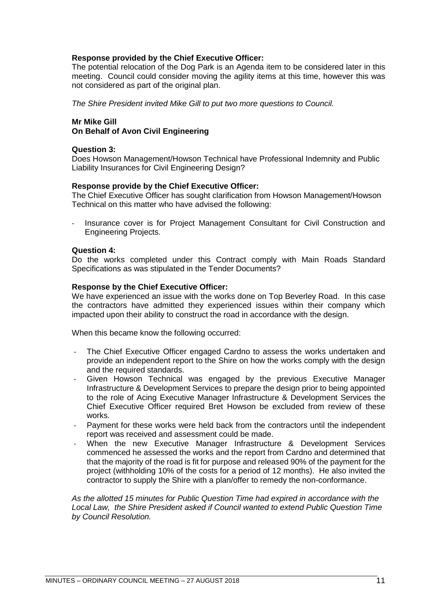## **Response provided by the Chief Executive Officer:**

The potential relocation of the Dog Park is an Agenda item to be considered later in this meeting. Council could consider moving the agility items at this time, however this was not considered as part of the original plan.

*The Shire President invited Mike Gill to put two more questions to Council.*

## **Mr Mike Gill On Behalf of Avon Civil Engineering**

## **Question 3:**

Does Howson Management/Howson Technical have Professional Indemnity and Public Liability Insurances for Civil Engineering Design?

## **Response provide by the Chief Executive Officer:**

The Chief Executive Officer has sought clarification from Howson Management/Howson Technical on this matter who have advised the following:

Insurance cover is for Project Management Consultant for Civil Construction and Engineering Projects.

#### **Question 4:**

Do the works completed under this Contract comply with Main Roads Standard Specifications as was stipulated in the Tender Documents?

#### **Response by the Chief Executive Officer:**

We have experienced an issue with the works done on Top Beverley Road. In this case the contractors have admitted they experienced issues within their company which impacted upon their ability to construct the road in accordance with the design.

When this became know the following occurred:

- The Chief Executive Officer engaged Cardno to assess the works undertaken and provide an independent report to the Shire on how the works comply with the design and the required standards.
- Given Howson Technical was engaged by the previous Executive Manager Infrastructure & Development Services to prepare the design prior to being appointed to the role of Acing Executive Manager Infrastructure & Development Services the Chief Executive Officer required Bret Howson be excluded from review of these works.
- Payment for these works were held back from the contractors until the independent report was received and assessment could be made.
- When the new Executive Manager Infrastructure & Development Services commenced he assessed the works and the report from Cardno and determined that that the majority of the road is fit for purpose and released 90% of the payment for the project (withholding 10% of the costs for a period of 12 months). He also invited the contractor to supply the Shire with a plan/offer to remedy the non-conformance.

*As the allotted 15 minutes for Public Question Time had expired in accordance with the Local Law, the Shire President asked if Council wanted to extend Public Question Time by Council Resolution.*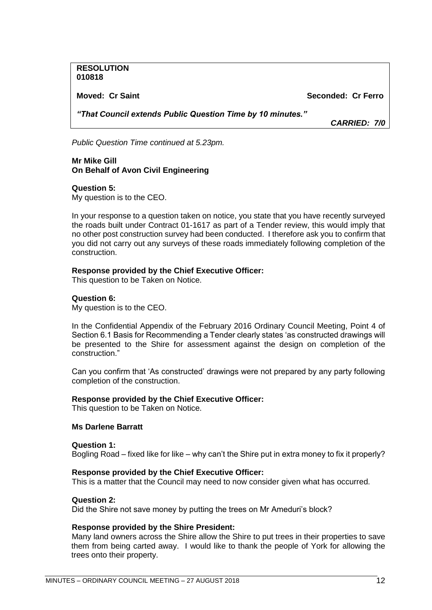**RESOLUTION 010818**

**Moved: Cr Saint Seconded: Cr Ferro**

*"That Council extends Public Question Time by 10 minutes."*

*CARRIED: 7/0*

*Public Question Time continued at 5.23pm.*

**Mr Mike Gill On Behalf of Avon Civil Engineering**

#### **Question 5:**

My question is to the CEO.

In your response to a question taken on notice, you state that you have recently surveyed the roads built under Contract 01-1617 as part of a Tender review, this would imply that no other post construction survey had been conducted. I therefore ask you to confirm that you did not carry out any surveys of these roads immediately following completion of the construction.

#### **Response provided by the Chief Executive Officer:**

This question to be Taken on Notice.

#### **Question 6:**

My question is to the CEO.

In the Confidential Appendix of the February 2016 Ordinary Council Meeting, Point 4 of Section 6.1 Basis for Recommending a Tender clearly states 'as constructed drawings will be presented to the Shire for assessment against the design on completion of the construction."

Can you confirm that 'As constructed' drawings were not prepared by any party following completion of the construction.

#### **Response provided by the Chief Executive Officer:**

This question to be Taken on Notice.

#### **Ms Darlene Barratt**

**Question 1:**

Bogling Road – fixed like for like – why can't the Shire put in extra money to fix it properly?

#### **Response provided by the Chief Executive Officer:**

This is a matter that the Council may need to now consider given what has occurred.

#### **Question 2:**

Did the Shire not save money by putting the trees on Mr Ameduri's block?

#### **Response provided by the Shire President:**

Many land owners across the Shire allow the Shire to put trees in their properties to save them from being carted away. I would like to thank the people of York for allowing the trees onto their property.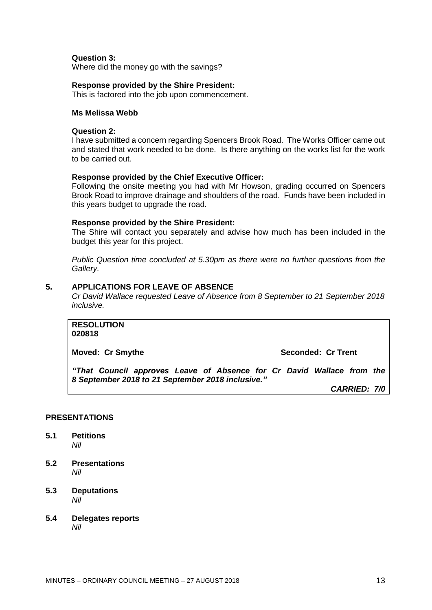## **Question 3:**

Where did the money go with the savings?

#### **Response provided by the Shire President:**

This is factored into the job upon commencement.

#### **Ms Melissa Webb**

## **Question 2:**

I have submitted a concern regarding Spencers Brook Road. The Works Officer came out and stated that work needed to be done. Is there anything on the works list for the work to be carried out.

#### **Response provided by the Chief Executive Officer:**

Following the onsite meeting you had with Mr Howson, grading occurred on Spencers Brook Road to improve drainage and shoulders of the road. Funds have been included in this years budget to upgrade the road.

#### **Response provided by the Shire President:**

The Shire will contact you separately and advise how much has been included in the budget this year for this project.

*Public Question time concluded at 5.30pm as there were no further questions from the Gallery.*

#### <span id="page-12-0"></span>**5. APPLICATIONS FOR LEAVE OF ABSENCE**

*Cr David Wallace requested Leave of Absence from 8 September to 21 September 2018 inclusive.*

**RESOLUTION 020818**

**Moved: Cr Smythe Seconded: Cr Trent** 

*"That Council approves Leave of Absence for Cr David Wallace from the 8 September 2018 to 21 September 2018 inclusive."*

*CARRIED: 7/0*

## <span id="page-12-1"></span>**PRESENTATIONS**

- <span id="page-12-2"></span>**5.1 Petitions**  *Nil*
- <span id="page-12-3"></span>**5.2 Presentations**  *Nil*
- <span id="page-12-4"></span>**5.3 Deputations** *Nil*
- <span id="page-12-6"></span><span id="page-12-5"></span>**5.4 Delegates reports** *Nil*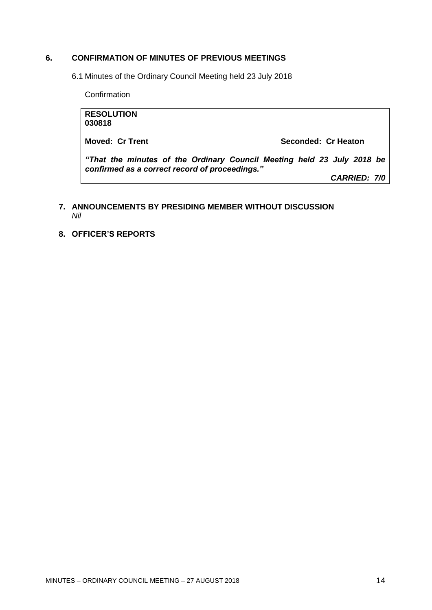## **6. CONFIRMATION OF MINUTES OF PREVIOUS MEETINGS**

6.1 Minutes of the Ordinary Council Meeting held 23 July 2018

**Confirmation** 

**RESOLUTION 030818 Moved: Cr Trent Seconded: Cr Heaton** *"That the minutes of the Ordinary Council Meeting held 23 July 2018 be confirmed as a correct record of proceedings." CARRIED: 7/0*

## <span id="page-13-0"></span>**7. ANNOUNCEMENTS BY PRESIDING MEMBER WITHOUT DISCUSSION** *Nil*

<span id="page-13-1"></span>**8. OFFICER'S REPORTS**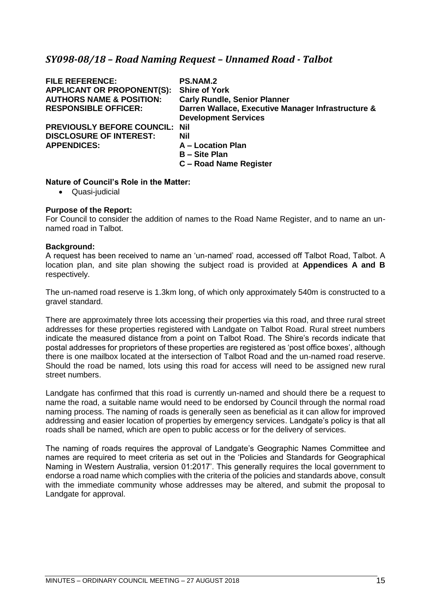# <span id="page-14-0"></span>*SY098-08/18 – Road Naming Request – Unnamed Road - Talbot*

| <b>FILE REFERENCE:</b>                | <b>PS.NAM.2</b>                                    |
|---------------------------------------|----------------------------------------------------|
| <b>APPLICANT OR PROPONENT(S):</b>     | <b>Shire of York</b>                               |
| <b>AUTHORS NAME &amp; POSITION:</b>   | <b>Carly Rundle, Senior Planner</b>                |
| <b>RESPONSIBLE OFFICER:</b>           | Darren Wallace, Executive Manager Infrastructure & |
|                                       | <b>Development Services</b>                        |
| <b>PREVIOUSLY BEFORE COUNCIL: Nil</b> |                                                    |
| <b>DISCLOSURE OF INTEREST:</b>        | Nil                                                |
| <b>APPENDICES:</b>                    | A - Location Plan                                  |
|                                       | <b>B</b> - Site Plan                               |
|                                       | C - Road Name Register                             |

#### **Nature of Council's Role in the Matter:**

• Quasi-judicial

## **Purpose of the Report:**

For Council to consider the addition of names to the Road Name Register, and to name an unnamed road in Talbot.

#### **Background:**

A request has been received to name an 'un-named' road, accessed off Talbot Road, Talbot. A location plan, and site plan showing the subject road is provided at **Appendices A and B** respectively.

The un-named road reserve is 1.3km long, of which only approximately 540m is constructed to a gravel standard.

There are approximately three lots accessing their properties via this road, and three rural street addresses for these properties registered with Landgate on Talbot Road. Rural street numbers indicate the measured distance from a point on Talbot Road. The Shire's records indicate that postal addresses for proprietors of these properties are registered as 'post office boxes', although there is one mailbox located at the intersection of Talbot Road and the un-named road reserve. Should the road be named, lots using this road for access will need to be assigned new rural street numbers.

Landgate has confirmed that this road is currently un-named and should there be a request to name the road, a suitable name would need to be endorsed by Council through the normal road naming process. The naming of roads is generally seen as beneficial as it can allow for improved addressing and easier location of properties by emergency services. Landgate's policy is that all roads shall be named, which are open to public access or for the delivery of services.

The naming of roads requires the approval of Landgate's Geographic Names Committee and names are required to meet criteria as set out in the 'Policies and Standards for Geographical Naming in Western Australia, version 01:2017'. This generally requires the local government to endorse a road name which complies with the criteria of the policies and standards above, consult with the immediate community whose addresses may be altered, and submit the proposal to Landgate for approval.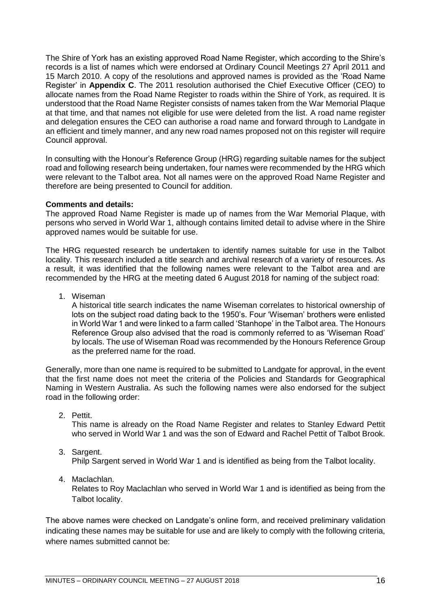The Shire of York has an existing approved Road Name Register, which according to the Shire's records is a list of names which were endorsed at Ordinary Council Meetings 27 April 2011 and 15 March 2010. A copy of the resolutions and approved names is provided as the 'Road Name Register' in **Appendix C**. The 2011 resolution authorised the Chief Executive Officer (CEO) to allocate names from the Road Name Register to roads within the Shire of York, as required. It is understood that the Road Name Register consists of names taken from the War Memorial Plaque at that time, and that names not eligible for use were deleted from the list. A road name register and delegation ensures the CEO can authorise a road name and forward through to Landgate in an efficient and timely manner, and any new road names proposed not on this register will require Council approval.

In consulting with the Honour's Reference Group (HRG) regarding suitable names for the subject road and following research being undertaken, four names were recommended by the HRG which were relevant to the Talbot area. Not all names were on the approved Road Name Register and therefore are being presented to Council for addition.

## **Comments and details:**

The approved Road Name Register is made up of names from the War Memorial Plaque, with persons who served in World War 1, although contains limited detail to advise where in the Shire approved names would be suitable for use.

The HRG requested research be undertaken to identify names suitable for use in the Talbot locality. This research included a title search and archival research of a variety of resources. As a result, it was identified that the following names were relevant to the Talbot area and are recommended by the HRG at the meeting dated 6 August 2018 for naming of the subject road:

1. Wiseman

A historical title search indicates the name Wiseman correlates to historical ownership of lots on the subject road dating back to the 1950's. Four 'Wiseman' brothers were enlisted in World War 1 and were linked to a farm called 'Stanhope' in the Talbot area. The Honours Reference Group also advised that the road is commonly referred to as 'Wiseman Road' by locals. The use of Wiseman Road was recommended by the Honours Reference Group as the preferred name for the road.

Generally, more than one name is required to be submitted to Landgate for approval, in the event that the first name does not meet the criteria of the Policies and Standards for Geographical Naming in Western Australia. As such the following names were also endorsed for the subject road in the following order:

2. Pettit.

This name is already on the Road Name Register and relates to Stanley Edward Pettit who served in World War 1 and was the son of Edward and Rachel Pettit of Talbot Brook.

3. Sargent.

Philp Sargent served in World War 1 and is identified as being from the Talbot locality.

4. Maclachlan.

Relates to Roy Maclachlan who served in World War 1 and is identified as being from the Talbot locality.

The above names were checked on Landgate's online form, and received preliminary validation indicating these names may be suitable for use and are likely to comply with the following criteria, where names submitted cannot be: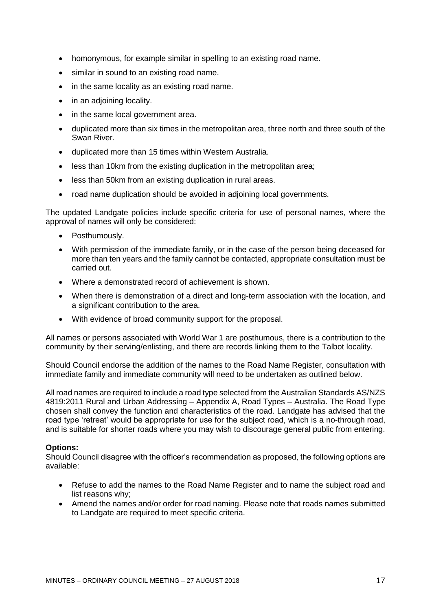- homonymous, for example similar in spelling to an existing road name.
- similar in sound to an existing road name.
- in the same locality as an existing road name.
- in an adioining locality.
- in the same local government area.
- duplicated more than six times in the metropolitan area, three north and three south of the Swan River.
- duplicated more than 15 times within Western Australia.
- less than 10km from the existing duplication in the metropolitan area;
- less than 50km from an existing duplication in rural areas.
- road name duplication should be avoided in adjoining local governments.

The updated Landgate policies include specific criteria for use of personal names, where the approval of names will only be considered:

- Posthumously.
- With permission of the immediate family, or in the case of the person being deceased for more than ten years and the family cannot be contacted, appropriate consultation must be carried out.
- Where a demonstrated record of achievement is shown.
- When there is demonstration of a direct and long-term association with the location, and a significant contribution to the area.
- With evidence of broad community support for the proposal.

All names or persons associated with World War 1 are posthumous, there is a contribution to the community by their serving/enlisting, and there are records linking them to the Talbot locality.

Should Council endorse the addition of the names to the Road Name Register, consultation with immediate family and immediate community will need to be undertaken as outlined below.

All road names are required to include a road type selected from the Australian Standards AS/NZS 4819:2011 Rural and Urban Addressing – Appendix A, Road Types – Australia. The Road Type chosen shall convey the function and characteristics of the road. Landgate has advised that the road type 'retreat' would be appropriate for use for the subject road, which is a no-through road, and is suitable for shorter roads where you may wish to discourage general public from entering.

## **Options:**

Should Council disagree with the officer's recommendation as proposed, the following options are available:

- Refuse to add the names to the Road Name Register and to name the subject road and list reasons why;
- Amend the names and/or order for road naming. Please note that roads names submitted to Landgate are required to meet specific criteria.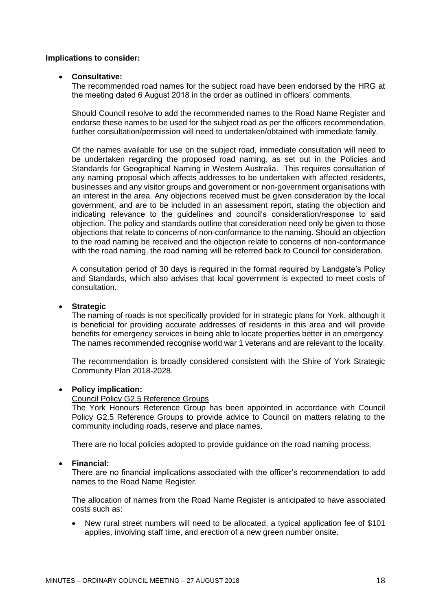## **Implications to consider:**

## • **Consultative:**

The recommended road names for the subject road have been endorsed by the HRG at the meeting dated 6 August 2018 in the order as outlined in officers' comments.

Should Council resolve to add the recommended names to the Road Name Register and endorse these names to be used for the subject road as per the officers recommendation, further consultation/permission will need to undertaken/obtained with immediate family.

Of the names available for use on the subject road, immediate consultation will need to be undertaken regarding the proposed road naming, as set out in the Policies and Standards for Geographical Naming in Western Australia. This requires consultation of any naming proposal which affects addresses to be undertaken with affected residents, businesses and any visitor groups and government or non-government organisations with an interest in the area. Any objections received must be given consideration by the local government, and are to be included in an assessment report, stating the objection and indicating relevance to the guidelines and council's consideration/response to said objection. The policy and standards outline that consideration need only be given to those objections that relate to concerns of non-conformance to the naming. Should an objection to the road naming be received and the objection relate to concerns of non-conformance with the road naming, the road naming will be referred back to Council for consideration.

A consultation period of 30 days is required in the format required by Landgate's Policy and Standards, which also advises that local government is expected to meet costs of consultation.

## • **Strategic**

The naming of roads is not specifically provided for in strategic plans for York, although it is beneficial for providing accurate addresses of residents in this area and will provide benefits for emergency services in being able to locate properties better in an emergency. The names recommended recognise world war 1 veterans and are relevant to the locality.

The recommendation is broadly considered consistent with the Shire of York Strategic Community Plan 2018-2028.

#### • **Policy implication:**

## Council Policy G2.5 Reference Groups

The York Honours Reference Group has been appointed in accordance with Council Policy G2.5 Reference Groups to provide advice to Council on matters relating to the community including roads, reserve and place names.

There are no local policies adopted to provide guidance on the road naming process.

#### • **Financial:**

There are no financial implications associated with the officer's recommendation to add names to the Road Name Register.

The allocation of names from the Road Name Register is anticipated to have associated costs such as:

New rural street numbers will need to be allocated, a typical application fee of \$101 applies, involving staff time, and erection of a new green number onsite.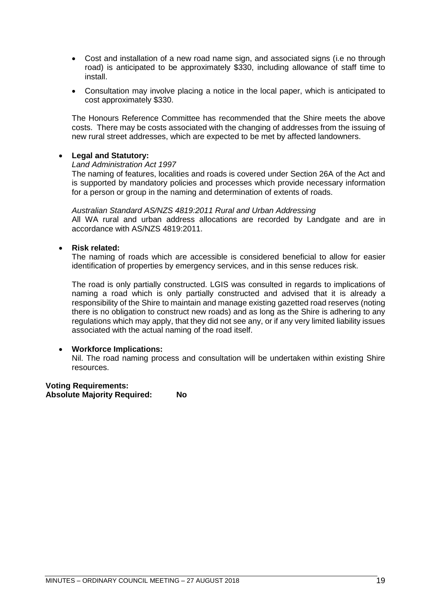- Cost and installation of a new road name sign, and associated signs (i.e no through road) is anticipated to be approximately \$330, including allowance of staff time to install.
- Consultation may involve placing a notice in the local paper, which is anticipated to cost approximately \$330.

The Honours Reference Committee has recommended that the Shire meets the above costs. There may be costs associated with the changing of addresses from the issuing of new rural street addresses, which are expected to be met by affected landowners.

## • **Legal and Statutory:**

#### *Land Administration Act 1997*

The naming of features, localities and roads is covered under Section 26A of the Act and is supported by mandatory policies and processes which provide necessary information for a person or group in the naming and determination of extents of roads.

#### *Australian Standard AS/NZS 4819:2011 Rural and Urban Addressing*

All WA rural and urban address allocations are recorded by Landgate and are in accordance with AS/NZS 4819:2011.

## • **Risk related:**

The naming of roads which are accessible is considered beneficial to allow for easier identification of properties by emergency services, and in this sense reduces risk.

The road is only partially constructed. LGIS was consulted in regards to implications of naming a road which is only partially constructed and advised that it is already a responsibility of the Shire to maintain and manage existing gazetted road reserves (noting there is no obligation to construct new roads) and as long as the Shire is adhering to any regulations which may apply, that they did not see any, or if any very limited liability issues associated with the actual naming of the road itself.

## • **Workforce Implications:**

Nil. The road naming process and consultation will be undertaken within existing Shire resources.

**Voting Requirements: Absolute Majority Required: No**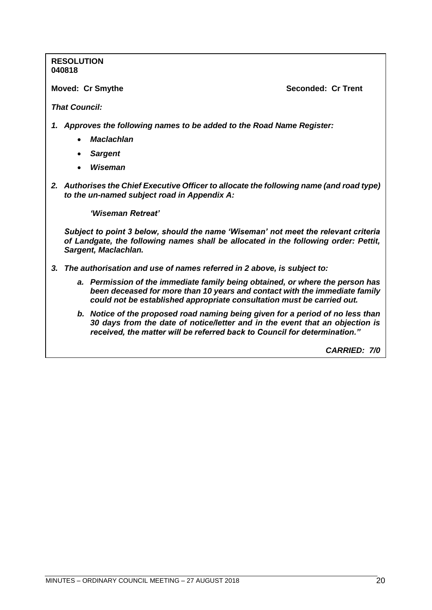**RESOLUTION 040818**

**Moved: Cr Smythe Seconded: Cr Trent** 

*That Council:*

- *1. Approves the following names to be added to the Road Name Register:*
	- *Maclachlan*
	- *Sargent*
	- *Wiseman*
- *2. Authorises the Chief Executive Officer to allocate the following name (and road type) to the un-named subject road in Appendix A:*

*'Wiseman Retreat'*

*Subject to point 3 below, should the name 'Wiseman' not meet the relevant criteria of Landgate, the following names shall be allocated in the following order: Pettit, Sargent, Maclachlan.* 

- *3. The authorisation and use of names referred in 2 above, is subject to:*
	- *a. Permission of the immediate family being obtained, or where the person has been deceased for more than 10 years and contact with the immediate family could not be established appropriate consultation must be carried out.*
	- *b. Notice of the proposed road naming being given for a period of no less than 30 days from the date of notice/letter and in the event that an objection is received, the matter will be referred back to Council for determination."*

*CARRIED: 7/0*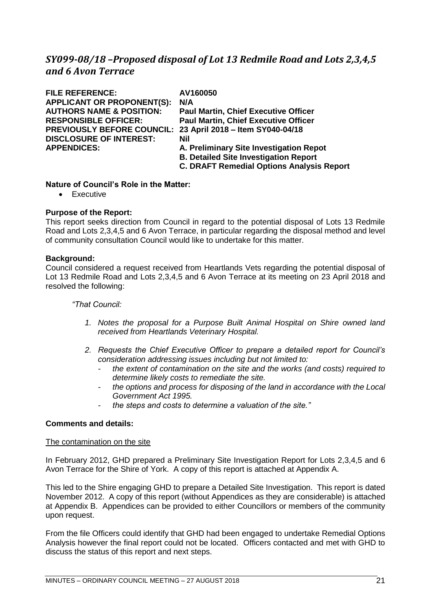# <span id="page-20-0"></span>*SY099-08/18 –Proposed disposal of Lot 13 Redmile Road and Lots 2,3,4,5 and 6 Avon Terrace*

| <b>FILE REFERENCE:</b>              | AV160050                                         |
|-------------------------------------|--------------------------------------------------|
| <b>APPLICANT OR PROPONENT(S):</b>   | N/A                                              |
| <b>AUTHORS NAME &amp; POSITION:</b> | <b>Paul Martin, Chief Executive Officer</b>      |
| <b>RESPONSIBLE OFFICER:</b>         | <b>Paul Martin, Chief Executive Officer</b>      |
| <b>PREVIOUSLY BEFORE COUNCIL:</b>   | 23 April 2018 - Item SY040-04/18                 |
| <b>DISCLOSURE OF INTEREST:</b>      | Nil                                              |
| <b>APPENDICES:</b>                  | A. Preliminary Site Investigation Repot          |
|                                     | <b>B. Detailed Site Investigation Report</b>     |
|                                     | <b>C. DRAFT Remedial Options Analysis Report</b> |
|                                     |                                                  |

## **Nature of Council's Role in the Matter:**

• Executive

## **Purpose of the Report:**

This report seeks direction from Council in regard to the potential disposal of Lots 13 Redmile Road and Lots 2,3,4,5 and 6 Avon Terrace, in particular regarding the disposal method and level of community consultation Council would like to undertake for this matter.

## **Background:**

Council considered a request received from Heartlands Vets regarding the potential disposal of Lot 13 Redmile Road and Lots 2,3,4,5 and 6 Avon Terrace at its meeting on 23 April 2018 and resolved the following:

## *"That Council:*

- *1. Notes the proposal for a Purpose Built Animal Hospital on Shire owned land received from Heartlands Veterinary Hospital.*
- *2. Requests the Chief Executive Officer to prepare a detailed report for Council's consideration addressing issues including but not limited to:* 
	- *the extent of contamination on the site and the works (and costs) required to determine likely costs to remediate the site.*
	- *the options and process for disposing of the land in accordance with the Local Government Act 1995.*
	- *the steps and costs to determine a valuation of the site."*

## **Comments and details:**

#### The contamination on the site

In February 2012, GHD prepared a Preliminary Site Investigation Report for Lots 2,3,4,5 and 6 Avon Terrace for the Shire of York. A copy of this report is attached at Appendix A.

This led to the Shire engaging GHD to prepare a Detailed Site Investigation. This report is dated November 2012. A copy of this report (without Appendices as they are considerable) is attached at Appendix B. Appendices can be provided to either Councillors or members of the community upon request.

From the file Officers could identify that GHD had been engaged to undertake Remedial Options Analysis however the final report could not be located. Officers contacted and met with GHD to discuss the status of this report and next steps.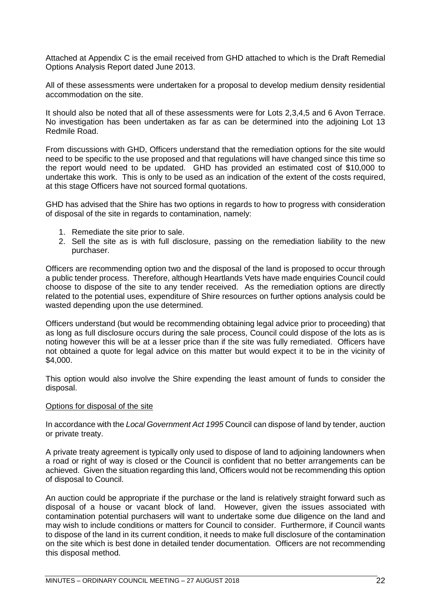Attached at Appendix C is the email received from GHD attached to which is the Draft Remedial Options Analysis Report dated June 2013.

All of these assessments were undertaken for a proposal to develop medium density residential accommodation on the site.

It should also be noted that all of these assessments were for Lots 2,3,4,5 and 6 Avon Terrace. No investigation has been undertaken as far as can be determined into the adjoining Lot 13 Redmile Road.

From discussions with GHD, Officers understand that the remediation options for the site would need to be specific to the use proposed and that regulations will have changed since this time so the report would need to be updated. GHD has provided an estimated cost of \$10,000 to undertake this work. This is only to be used as an indication of the extent of the costs required, at this stage Officers have not sourced formal quotations.

GHD has advised that the Shire has two options in regards to how to progress with consideration of disposal of the site in regards to contamination, namely:

- 1. Remediate the site prior to sale.
- 2. Sell the site as is with full disclosure, passing on the remediation liability to the new purchaser.

Officers are recommending option two and the disposal of the land is proposed to occur through a public tender process. Therefore, although Heartlands Vets have made enquiries Council could choose to dispose of the site to any tender received. As the remediation options are directly related to the potential uses, expenditure of Shire resources on further options analysis could be wasted depending upon the use determined.

Officers understand (but would be recommending obtaining legal advice prior to proceeding) that as long as full disclosure occurs during the sale process, Council could dispose of the lots as is noting however this will be at a lesser price than if the site was fully remediated. Officers have not obtained a quote for legal advice on this matter but would expect it to be in the vicinity of \$4,000.

This option would also involve the Shire expending the least amount of funds to consider the disposal.

#### Options for disposal of the site

In accordance with the *Local Government Act 1995* Council can dispose of land by tender, auction or private treaty.

A private treaty agreement is typically only used to dispose of land to adjoining landowners when a road or right of way is closed or the Council is confident that no better arrangements can be achieved. Given the situation regarding this land, Officers would not be recommending this option of disposal to Council.

An auction could be appropriate if the purchase or the land is relatively straight forward such as disposal of a house or vacant block of land. However, given the issues associated with contamination potential purchasers will want to undertake some due diligence on the land and may wish to include conditions or matters for Council to consider. Furthermore, if Council wants to dispose of the land in its current condition, it needs to make full disclosure of the contamination on the site which is best done in detailed tender documentation. Officers are not recommending this disposal method.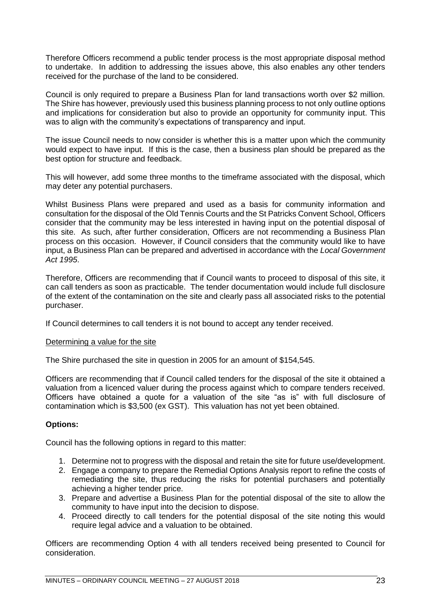Therefore Officers recommend a public tender process is the most appropriate disposal method to undertake. In addition to addressing the issues above, this also enables any other tenders received for the purchase of the land to be considered.

Council is only required to prepare a Business Plan for land transactions worth over \$2 million. The Shire has however, previously used this business planning process to not only outline options and implications for consideration but also to provide an opportunity for community input. This was to align with the community's expectations of transparency and input.

The issue Council needs to now consider is whether this is a matter upon which the community would expect to have input. If this is the case, then a business plan should be prepared as the best option for structure and feedback.

This will however, add some three months to the timeframe associated with the disposal, which may deter any potential purchasers.

Whilst Business Plans were prepared and used as a basis for community information and consultation for the disposal of the Old Tennis Courts and the St Patricks Convent School, Officers consider that the community may be less interested in having input on the potential disposal of this site. As such, after further consideration, Officers are not recommending a Business Plan process on this occasion. However, if Council considers that the community would like to have input, a Business Plan can be prepared and advertised in accordance with the *Local Government Act 1995*.

Therefore, Officers are recommending that if Council wants to proceed to disposal of this site, it can call tenders as soon as practicable. The tender documentation would include full disclosure of the extent of the contamination on the site and clearly pass all associated risks to the potential purchaser.

If Council determines to call tenders it is not bound to accept any tender received.

#### Determining a value for the site

The Shire purchased the site in question in 2005 for an amount of \$154,545.

Officers are recommending that if Council called tenders for the disposal of the site it obtained a valuation from a licenced valuer during the process against which to compare tenders received. Officers have obtained a quote for a valuation of the site "as is" with full disclosure of contamination which is \$3,500 (ex GST). This valuation has not yet been obtained.

## **Options:**

Council has the following options in regard to this matter:

- 1. Determine not to progress with the disposal and retain the site for future use/development.
- 2. Engage a company to prepare the Remedial Options Analysis report to refine the costs of remediating the site, thus reducing the risks for potential purchasers and potentially achieving a higher tender price.
- 3. Prepare and advertise a Business Plan for the potential disposal of the site to allow the community to have input into the decision to dispose.
- 4. Proceed directly to call tenders for the potential disposal of the site noting this would require legal advice and a valuation to be obtained.

Officers are recommending Option 4 with all tenders received being presented to Council for consideration.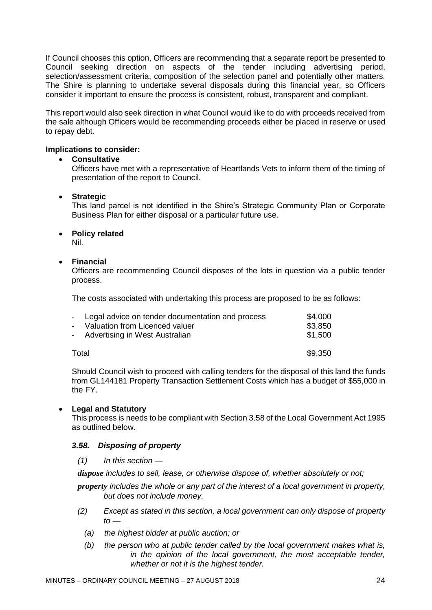If Council chooses this option, Officers are recommending that a separate report be presented to Council seeking direction on aspects of the tender including advertising period, selection/assessment criteria, composition of the selection panel and potentially other matters. The Shire is planning to undertake several disposals during this financial year, so Officers consider it important to ensure the process is consistent, robust, transparent and compliant.

This report would also seek direction in what Council would like to do with proceeds received from the sale although Officers would be recommending proceeds either be placed in reserve or used to repay debt.

## **Implications to consider:**

## • **Consultative**

Officers have met with a representative of Heartlands Vets to inform them of the timing of presentation of the report to Council.

## • **Strategic**

This land parcel is not identified in the Shire's Strategic Community Plan or Corporate Business Plan for either disposal or a particular future use.

## • **Policy related**

Nil.

## • **Financial**

Officers are recommending Council disposes of the lots in question via a public tender process.

The costs associated with undertaking this process are proposed to be as follows:

| - Legal advice on tender documentation and process | \$4.000 |
|----------------------------------------------------|---------|
| - Valuation from Licenced valuer                   | \$3,850 |
| - Advertising in West Australian                   | \$1.500 |
|                                                    |         |
| Total                                              | \$9.350 |

Should Council wish to proceed with calling tenders for the disposal of this land the funds from GL144181 Property Transaction Settlement Costs which has a budget of \$55,000 in the FY.

## • **Legal and Statutory**

This process is needs to be compliant with Section 3.58 of the Local Government Act 1995 as outlined below.

#### *3.58. Disposing of property*

*(1) In this section —*

*dispose includes to sell, lease, or otherwise dispose of, whether absolutely or not;*

*property includes the whole or any part of the interest of a local government in property, but does not include money.*

- *(2) Except as stated in this section, a local government can only dispose of property to —*
	- *(a) the highest bidder at public auction; or*
	- *(b) the person who at public tender called by the local government makes what is, in the opinion of the local government, the most acceptable tender, whether or not it is the highest tender.*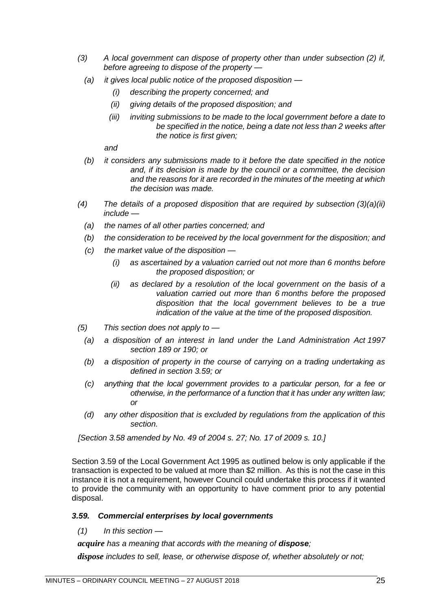- *(3) A local government can dispose of property other than under subsection (2) if, before agreeing to dispose of the property —*
	- *(a) it gives local public notice of the proposed disposition —*
		- *(i) describing the property concerned; and*
		- *(ii) giving details of the proposed disposition; and*
		- *(iii) inviting submissions to be made to the local government before a date to be specified in the notice, being a date not less than 2 weeks after the notice is first given;*

*and*

- *(b) it considers any submissions made to it before the date specified in the notice and, if its decision is made by the council or a committee, the decision and the reasons for it are recorded in the minutes of the meeting at which the decision was made.*
- *(4) The details of a proposed disposition that are required by subsection (3)(a)(ii) include —*
	- *(a) the names of all other parties concerned; and*
	- *(b) the consideration to be received by the local government for the disposition; and*
	- *(c) the market value of the disposition —*
		- *(i) as ascertained by a valuation carried out not more than 6 months before the proposed disposition; or*
		- *(ii) as declared by a resolution of the local government on the basis of a valuation carried out more than 6 months before the proposed disposition that the local government believes to be a true indication of the value at the time of the proposed disposition.*
- *(5) This section does not apply to —*
	- *(a) a disposition of an interest in land under the Land Administration Act 1997 section 189 or 190; or*
	- *(b) a disposition of property in the course of carrying on a trading undertaking as defined in section 3.59; or*
	- *(c) anything that the local government provides to a particular person, for a fee or otherwise, in the performance of a function that it has under any written law; or*
	- *(d) any other disposition that is excluded by regulations from the application of this section.*

*[Section 3.58 amended by No. 49 of 2004 s. 27; No. 17 of 2009 s. 10.]*

Section 3.59 of the Local Government Act 1995 as outlined below is only applicable if the transaction is expected to be valued at more than \$2 million. As this is not the case in this instance it is not a requirement, however Council could undertake this process if it wanted to provide the community with an opportunity to have comment prior to any potential disposal.

#### *3.59. Commercial enterprises by local governments*

*(1) In this section —*

*acquire* has a meaning that accords with the meaning of **dispose**;

*dispose includes to sell, lease, or otherwise dispose of, whether absolutely or not;*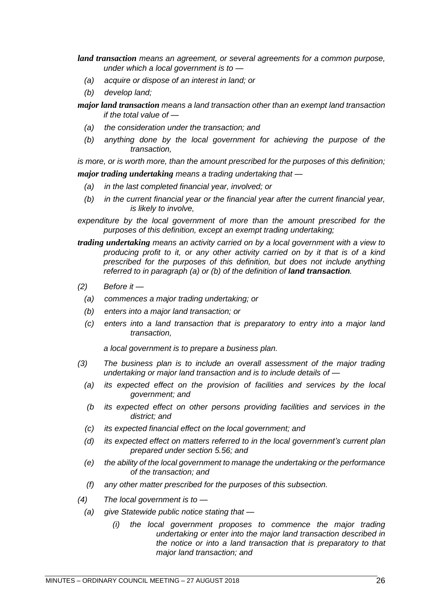*land transaction means an agreement, or several agreements for a common purpose, under which a local government is to —*

- *(a) acquire or dispose of an interest in land; or*
- *(b) develop land;*

*major land transaction means a land transaction other than an exempt land transaction if the total value of —*

- *(a) the consideration under the transaction; and*
- *(b) anything done by the local government for achieving the purpose of the transaction,*

*is more, or is worth more, than the amount prescribed for the purposes of this definition;*

*major trading undertaking means a trading undertaking that —*

- *(a) in the last completed financial year, involved; or*
- *(b) in the current financial year or the financial year after the current financial year, is likely to involve,*

expenditure by the local government of more than the amount prescribed for the *purposes of this definition, except an exempt trading undertaking;*

- *trading undertaking means an activity carried on by a local government with a view to producing profit to it, or any other activity carried on by it that is of a kind prescribed for the purposes of this definition, but does not include anything referred to in paragraph (a) or (b) of the definition of land transaction.*
- *(2) Before it —*
	- *(a) commences a major trading undertaking; or*
	- *(b) enters into a major land transaction; or*
	- *(c) enters into a land transaction that is preparatory to entry into a major land transaction,*

*a local government is to prepare a business plan.*

- *(3) The business plan is to include an overall assessment of the major trading undertaking or major land transaction and is to include details of —*
	- *(a) its expected effect on the provision of facilities and services by the local government; and*
	- *(b its expected effect on other persons providing facilities and services in the district; and*
	- *(c) its expected financial effect on the local government; and*
	- *(d) its expected effect on matters referred to in the local government's current plan prepared under section 5.56; and*
	- *(e) the ability of the local government to manage the undertaking or the performance of the transaction; and*
	- *(f) any other matter prescribed for the purposes of this subsection.*
- *(4) The local government is to —*
	- *(a) give Statewide public notice stating that —*
		- *(i) the local government proposes to commence the major trading undertaking or enter into the major land transaction described in the notice or into a land transaction that is preparatory to that major land transaction; and*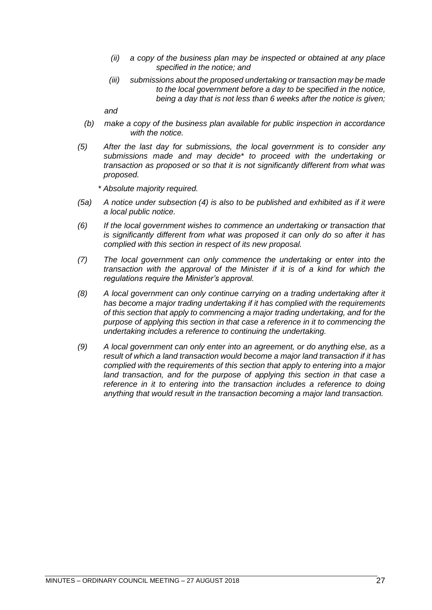- *(ii) a copy of the business plan may be inspected or obtained at any place specified in the notice; and*
- *(iii) submissions about the proposed undertaking or transaction may be made to the local government before a day to be specified in the notice, being a day that is not less than 6 weeks after the notice is given;*

*and*

- *(b) make a copy of the business plan available for public inspection in accordance with the notice.*
- *(5) After the last day for submissions, the local government is to consider any submissions made and may decide\* to proceed with the undertaking or transaction as proposed or so that it is not significantly different from what was proposed.*

*\* Absolute majority required.*

- *(5a) A notice under subsection (4) is also to be published and exhibited as if it were a local public notice.*
- *(6) If the local government wishes to commence an undertaking or transaction that is significantly different from what was proposed it can only do so after it has complied with this section in respect of its new proposal.*
- *(7) The local government can only commence the undertaking or enter into the transaction with the approval of the Minister if it is of a kind for which the regulations require the Minister's approval.*
- *(8) A local government can only continue carrying on a trading undertaking after it has become a major trading undertaking if it has complied with the requirements of this section that apply to commencing a major trading undertaking, and for the purpose of applying this section in that case a reference in it to commencing the undertaking includes a reference to continuing the undertaking.*
- *(9) A local government can only enter into an agreement, or do anything else, as a result of which a land transaction would become a major land transaction if it has complied with the requirements of this section that apply to entering into a major*  land transaction, and for the purpose of applying this section in that case a *reference in it to entering into the transaction includes a reference to doing anything that would result in the transaction becoming a major land transaction.*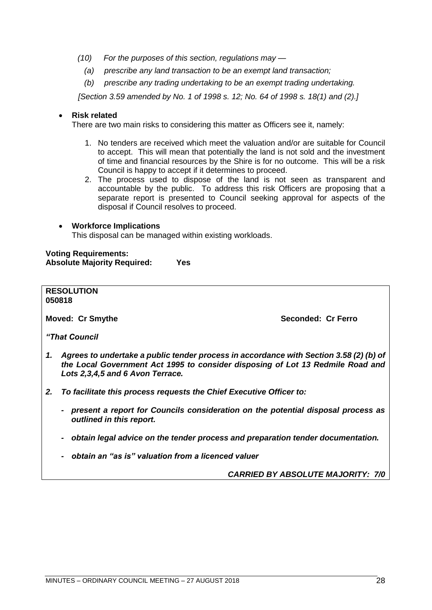- *(10) For the purposes of this section, regulations may —*
	- *(a) prescribe any land transaction to be an exempt land transaction;*
	- *(b) prescribe any trading undertaking to be an exempt trading undertaking.*

*[Section 3.59 amended by No. 1 of 1998 s. 12; No. 64 of 1998 s. 18(1) and (2).]*

## • **Risk related**

There are two main risks to considering this matter as Officers see it, namely:

- 1. No tenders are received which meet the valuation and/or are suitable for Council to accept. This will mean that potentially the land is not sold and the investment of time and financial resources by the Shire is for no outcome. This will be a risk Council is happy to accept if it determines to proceed.
- 2. The process used to dispose of the land is not seen as transparent and accountable by the public. To address this risk Officers are proposing that a separate report is presented to Council seeking approval for aspects of the disposal if Council resolves to proceed.

#### • **Workforce Implications**

This disposal can be managed within existing workloads.

**Voting Requirements: Absolute Majority Required: Yes**

|    | <b>RESOLUTION</b><br>050818                                                                                                                                                                                  |  |
|----|--------------------------------------------------------------------------------------------------------------------------------------------------------------------------------------------------------------|--|
|    | Seconded: Cr Ferro<br><b>Moved: Cr Smythe</b>                                                                                                                                                                |  |
|    | <b>"That Council"</b>                                                                                                                                                                                        |  |
| 1. | Agrees to undertake a public tender process in accordance with Section 3.58 (2) (b) of<br>the Local Government Act 1995 to consider disposing of Lot 13 Redmile Road and<br>Lots 2,3,4,5 and 6 Avon Terrace. |  |
| 2. | To facilitate this process requests the Chief Executive Officer to:                                                                                                                                          |  |
|    | present a report for Councils consideration on the potential disposal process as<br>$\blacksquare$<br>outlined in this report.                                                                               |  |
|    | obtain legal advice on the tender process and preparation tender documentation.<br>$\qquad \qquad$                                                                                                           |  |
|    | obtain an "as is" valuation from a licenced valuer<br>$\blacksquare$                                                                                                                                         |  |

*CARRIED BY ABSOLUTE MAJORITY: 7/0*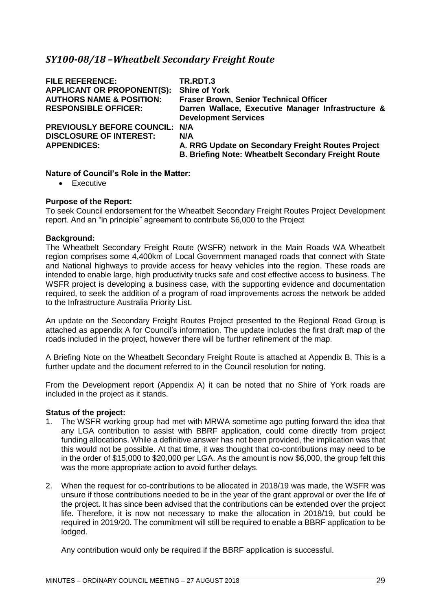# <span id="page-28-0"></span>*SY100-08/18 –Wheatbelt Secondary Freight Route*

| <b>FILE REFERENCE:</b>                | TR.RDT.3                                                   |
|---------------------------------------|------------------------------------------------------------|
| <b>APPLICANT OR PROPONENT(S):</b>     | <b>Shire of York</b>                                       |
| <b>AUTHORS NAME &amp; POSITION:</b>   | <b>Fraser Brown, Senior Technical Officer</b>              |
| <b>RESPONSIBLE OFFICER:</b>           | Darren Wallace, Executive Manager Infrastructure &         |
|                                       | <b>Development Services</b>                                |
| <b>PREVIOUSLY BEFORE COUNCIL: N/A</b> |                                                            |
| <b>DISCLOSURE OF INTEREST:</b>        | N/A                                                        |
| <b>APPENDICES:</b>                    | A. RRG Update on Secondary Freight Routes Project          |
|                                       | <b>B. Briefing Note: Wheatbelt Secondary Freight Route</b> |

## **Nature of Council's Role in the Matter:**

• Executive

## **Purpose of the Report:**

To seek Council endorsement for the Wheatbelt Secondary Freight Routes Project Development report. And an "in principle" agreement to contribute \$6,000 to the Project

## **Background:**

The Wheatbelt Secondary Freight Route (WSFR) network in the Main Roads WA Wheatbelt region comprises some 4,400km of Local Government managed roads that connect with State and National highways to provide access for heavy vehicles into the region. These roads are intended to enable large, high productivity trucks safe and cost effective access to business. The WSFR project is developing a business case, with the supporting evidence and documentation required, to seek the addition of a program of road improvements across the network be added to the Infrastructure Australia Priority List.

An update on the Secondary Freight Routes Project presented to the Regional Road Group is attached as appendix A for Council's information. The update includes the first draft map of the roads included in the project, however there will be further refinement of the map.

A Briefing Note on the Wheatbelt Secondary Freight Route is attached at Appendix B. This is a further update and the document referred to in the Council resolution for noting.

From the Development report (Appendix A) it can be noted that no Shire of York roads are included in the project as it stands.

#### **Status of the project:**

- 1. The WSFR working group had met with MRWA sometime ago putting forward the idea that any LGA contribution to assist with BBRF application, could come directly from project funding allocations. While a definitive answer has not been provided, the implication was that this would not be possible. At that time, it was thought that co-contributions may need to be in the order of \$15,000 to \$20,000 per LGA. As the amount is now \$6,000, the group felt this was the more appropriate action to avoid further delays.
- 2. When the request for co-contributions to be allocated in 2018/19 was made, the WSFR was unsure if those contributions needed to be in the year of the grant approval or over the life of the project. It has since been advised that the contributions can be extended over the project life. Therefore, it is now not necessary to make the allocation in 2018/19, but could be required in 2019/20. The commitment will still be required to enable a BBRF application to be lodged.

Any contribution would only be required if the BBRF application is successful.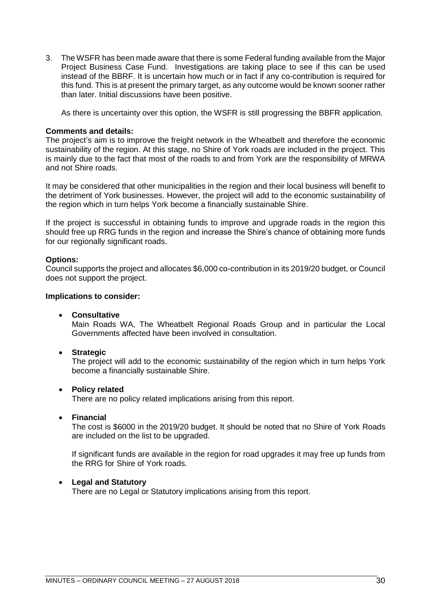3. The WSFR has been made aware that there is some Federal funding available from the Major Project Business Case Fund. Investigations are taking place to see if this can be used instead of the BBRF. It is uncertain how much or in fact if any co-contribution is required for this fund. This is at present the primary target, as any outcome would be known sooner rather than later. Initial discussions have been positive.

As there is uncertainty over this option, the WSFR is still progressing the BBFR application.

## **Comments and details:**

The project's aim is to improve the freight network in the Wheatbelt and therefore the economic sustainability of the region. At this stage, no Shire of York roads are included in the project. This is mainly due to the fact that most of the roads to and from York are the responsibility of MRWA and not Shire roads.

It may be considered that other municipalities in the region and their local business will benefit to the detriment of York businesses. However, the project will add to the economic sustainability of the region which in turn helps York become a financially sustainable Shire.

If the project is successful in obtaining funds to improve and upgrade roads in the region this should free up RRG funds in the region and increase the Shire's chance of obtaining more funds for our regionally significant roads.

## **Options:**

Council supports the project and allocates \$6,000 co-contribution in its 2019/20 budget, or Council does not support the project.

## **Implications to consider:**

## • **Consultative**

Main Roads WA, The Wheatbelt Regional Roads Group and in particular the Local Governments affected have been involved in consultation.

#### • **Strategic**

The project will add to the economic sustainability of the region which in turn helps York become a financially sustainable Shire.

#### • **Policy related**

There are no policy related implications arising from this report.

#### • **Financial**

The cost is \$6000 in the 2019/20 budget. It should be noted that no Shire of York Roads are included on the list to be upgraded.

If significant funds are available in the region for road upgrades it may free up funds from the RRG for Shire of York roads.

## • **Legal and Statutory**

There are no Legal or Statutory implications arising from this report.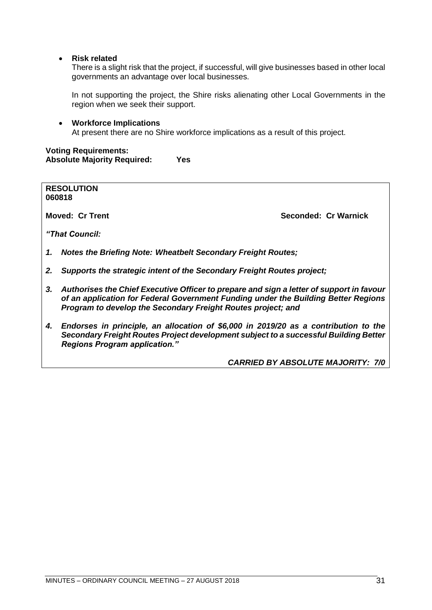• **Risk related**

There is a slight risk that the project, if successful, will give businesses based in other local governments an advantage over local businesses.

In not supporting the project, the Shire risks alienating other Local Governments in the region when we seek their support.

• **Workforce Implications** At present there are no Shire workforce implications as a result of this project.

**Voting Requirements: Absolute Majority Required: Yes**

**RESOLUTION 060818**

**Moved: Cr Trent Seconded: Cr Warnick**

*"That Council:*

- *1. Notes the Briefing Note: Wheatbelt Secondary Freight Routes;*
- *2. Supports the strategic intent of the Secondary Freight Routes project;*
- *3. Authorises the Chief Executive Officer to prepare and sign a letter of support in favour of an application for Federal Government Funding under the Building Better Regions Program to develop the Secondary Freight Routes project; and*
- *4. Endorses in principle, an allocation of \$6,000 in 2019/20 as a contribution to the Secondary Freight Routes Project development subject to a successful Building Better Regions Program application."*

*CARRIED BY ABSOLUTE MAJORITY: 7/0*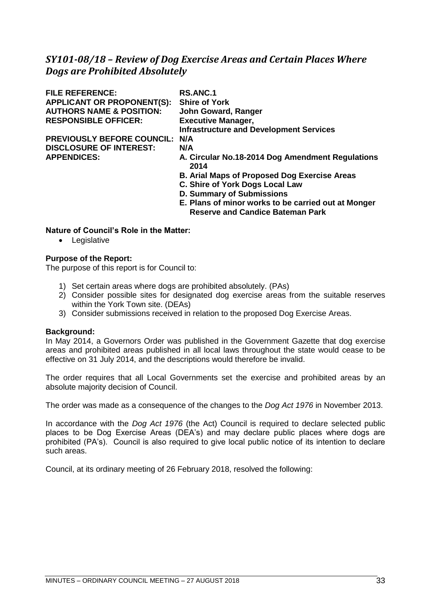# <span id="page-32-0"></span>*SY101-08/18 – Review of Dog Exercise Areas and Certain Places Where Dogs are Prohibited Absolutely*

| <b>FILE REFERENCE:</b>              | <b>RS.ANC.1</b>                                          |
|-------------------------------------|----------------------------------------------------------|
| <b>APPLICANT OR PROPONENT(S):</b>   | <b>Shire of York</b>                                     |
| <b>AUTHORS NAME &amp; POSITION:</b> | John Goward, Ranger                                      |
| <b>RESPONSIBLE OFFICER:</b>         | <b>Executive Manager,</b>                                |
|                                     | <b>Infrastructure and Development Services</b>           |
| <b>PREVIOUSLY BEFORE COUNCIL:</b>   | N/A                                                      |
| <b>DISCLOSURE OF INTEREST:</b>      | N/A                                                      |
| <b>APPENDICES:</b>                  | A. Circular No.18-2014 Dog Amendment Regulations<br>2014 |
|                                     | <b>B. Arial Maps of Proposed Dog Exercise Areas</b>      |
|                                     | C. Shire of York Dogs Local Law                          |
|                                     | <b>D. Summary of Submissions</b>                         |
|                                     | E. Plans of minor works to be carried out at Monger      |
|                                     | <b>Reserve and Candice Bateman Park</b>                  |

## **Nature of Council's Role in the Matter:**

• Legislative

## **Purpose of the Report:**

The purpose of this report is for Council to:

- 1) Set certain areas where dogs are prohibited absolutely. (PAs)
- 2) Consider possible sites for designated dog exercise areas from the suitable reserves within the York Town site. (DEAs)
- 3) Consider submissions received in relation to the proposed Dog Exercise Areas.

#### **Background:**

In May 2014, a Governors Order was published in the Government Gazette that dog exercise areas and prohibited areas published in all local laws throughout the state would cease to be effective on 31 July 2014, and the descriptions would therefore be invalid.

The order requires that all Local Governments set the exercise and prohibited areas by an absolute majority decision of Council.

The order was made as a consequence of the changes to the *Dog Act 1976* in November 2013.

In accordance with the *Dog Act 1976* (the Act) Council is required to declare selected public places to be Dog Exercise Areas (DEA's) and may declare public places where dogs are prohibited (PA's). Council is also required to give local public notice of its intention to declare such areas.

Council, at its ordinary meeting of 26 February 2018, resolved the following: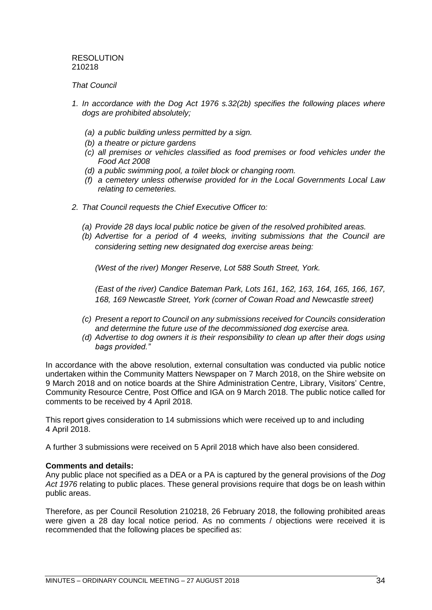## RESOLUTION 210218

## *That Council*

- *1. In accordance with the Dog Act 1976 s.32(2b) specifies the following places where dogs are prohibited absolutely;*
	- *(a) a public building unless permitted by a sign.*
	- *(b) a theatre or picture gardens*
	- *(c) all premises or vehicles classified as food premises or food vehicles under the Food Act 2008*
	- *(d) a public swimming pool, a toilet block or changing room.*
	- *(f) a cemetery unless otherwise provided for in the Local Governments Local Law relating to cemeteries.*
- *2. That Council requests the Chief Executive Officer to:* 
	- *(a) Provide 28 days local public notice be given of the resolved prohibited areas.*
	- *(b) Advertise for a period of 4 weeks, inviting submissions that the Council are considering setting new designated dog exercise areas being:*

*(West of the river) Monger Reserve, Lot 588 South Street, York.* 

*(East of the river) Candice Bateman Park, Lots 161, 162, 163, 164, 165, 166, 167, 168, 169 Newcastle Street, York (corner of Cowan Road and Newcastle street)*

- *(c) Present a report to Council on any submissions received for Councils consideration and determine the future use of the decommissioned dog exercise area.*
- *(d) Advertise to dog owners it is their responsibility to clean up after their dogs using bags provided."*

In accordance with the above resolution, external consultation was conducted via public notice undertaken within the Community Matters Newspaper on 7 March 2018, on the Shire website on 9 March 2018 and on notice boards at the Shire Administration Centre, Library, Visitors' Centre, Community Resource Centre, Post Office and IGA on 9 March 2018. The public notice called for comments to be received by 4 April 2018.

This report gives consideration to 14 submissions which were received up to and including 4 April 2018.

A further 3 submissions were received on 5 April 2018 which have also been considered.

## **Comments and details:**

Any public place not specified as a DEA or a PA is captured by the general provisions of the *Dog Act 1976* relating to public places. These general provisions require that dogs be on leash within public areas.

Therefore, as per Council Resolution 210218, 26 February 2018, the following prohibited areas were given a 28 day local notice period. As no comments / objections were received it is recommended that the following places be specified as: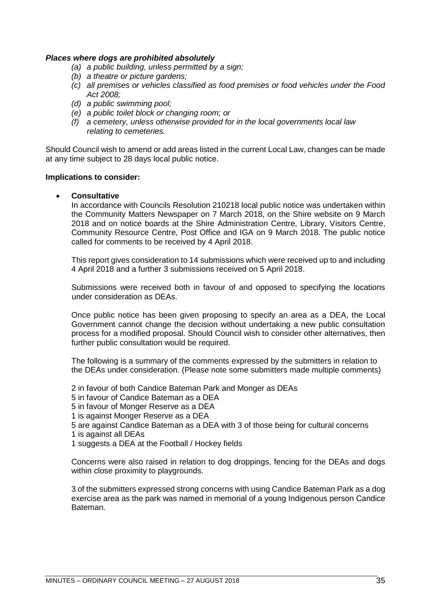## *Places where dogs are prohibited absolutely*

- *(a) a public building, unless permitted by a sign;*
- *(b) a theatre or picture gardens;*
- *(c) all premises or vehicles classified as food premises or food vehicles under the Food Act 2008;*
- *(d) a public swimming pool;*
- *(e) a public toilet block or changing room; or*
- *(f) a cemetery, unless otherwise provided for in the local governments local law relating to cemeteries.*

Should Council wish to amend or add areas listed in the current Local Law, changes can be made at any time subject to 28 days local public notice.

#### **Implications to consider:**

• **Consultative**

In accordance with Councils Resolution 210218 local public notice was undertaken within the Community Matters Newspaper on 7 March 2018, on the Shire website on 9 March 2018 and on notice boards at the Shire Administration Centre, Library, Visitors Centre, Community Resource Centre, Post Office and IGA on 9 March 2018. The public notice called for comments to be received by 4 April 2018.

This report gives consideration to 14 submissions which were received up to and including 4 April 2018 and a further 3 submissions received on 5 April 2018.

Submissions were received both in favour of and opposed to specifying the locations under consideration as DEAs.

Once public notice has been given proposing to specify an area as a DEA, the Local Government cannot change the decision without undertaking a new public consultation process for a modified proposal. Should Council wish to consider other alternatives, then further public consultation would be required.

The following is a summary of the comments expressed by the submitters in relation to the DEAs under consideration. (Please note some submitters made multiple comments)

2 in favour of both Candice Bateman Park and Monger as DEAs

5 in favour of Candice Bateman as a DEA

5 in favour of Monger Reserve as a DEA

- 1 is against Monger Reserve as a DEA
- 5 are against Candice Bateman as a DEA with 3 of those being for cultural concerns
- 1 is against all DEAs
- 1 suggests a DEA at the Football / Hockey fields

Concerns were also raised in relation to dog droppings, fencing for the DEAs and dogs within close proximity to playgrounds.

3 of the submitters expressed strong concerns with using Candice Bateman Park as a dog exercise area as the park was named in memorial of a young Indigenous person Candice Bateman.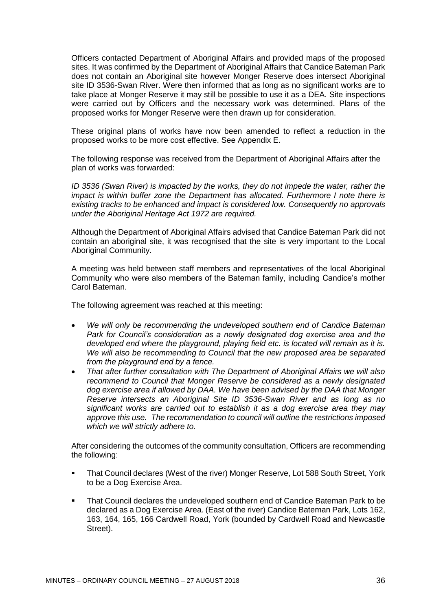Officers contacted Department of Aboriginal Affairs and provided maps of the proposed sites. It was confirmed by the Department of Aboriginal Affairs that Candice Bateman Park does not contain an Aboriginal site however Monger Reserve does intersect Aboriginal site ID 3536-Swan River. Were then informed that as long as no significant works are to take place at Monger Reserve it may still be possible to use it as a DEA. Site inspections were carried out by Officers and the necessary work was determined. Plans of the proposed works for Monger Reserve were then drawn up for consideration.

These original plans of works have now been amended to reflect a reduction in the proposed works to be more cost effective. See Appendix E.

The following response was received from the Department of Aboriginal Affairs after the plan of works was forwarded:

*ID* 3536 (Swan River) is impacted by the works, they do not impede the water, rather the *impact is within buffer zone the Department has allocated. Furthermore I note there is existing tracks to be enhanced and impact is considered low. Consequently no approvals under the Aboriginal Heritage Act 1972 are required.*

Although the Department of Aboriginal Affairs advised that Candice Bateman Park did not contain an aboriginal site, it was recognised that the site is very important to the Local Aboriginal Community.

A meeting was held between staff members and representatives of the local Aboriginal Community who were also members of the Bateman family, including Candice's mother Carol Bateman.

The following agreement was reached at this meeting:

- *We will only be recommending the undeveloped southern end of Candice Bateman Park for Council's consideration as a newly designated dog exercise area and the developed end where the playground, playing field etc. is located will remain as it is. We will also be recommending to Council that the new proposed area be separated from the playground end by a fence.*
- *That after further consultation with The Department of Aboriginal Affairs we will also recommend to Council that Monger Reserve be considered as a newly designated dog exercise area if allowed by DAA. We have been advised by the DAA that Monger Reserve intersects an Aboriginal Site ID 3536-Swan River and as long as no significant works are carried out to establish it as a dog exercise area they may approve this use. The recommendation to council will outline the restrictions imposed which we will strictly adhere to.*

After considering the outcomes of the community consultation, Officers are recommending the following:

- That Council declares (West of the river) Monger Reserve, Lot 588 South Street, York to be a Dog Exercise Area.
- That Council declares the undeveloped southern end of Candice Bateman Park to be declared as a Dog Exercise Area. (East of the river) Candice Bateman Park, Lots 162, 163, 164, 165, 166 Cardwell Road, York (bounded by Cardwell Road and Newcastle Street).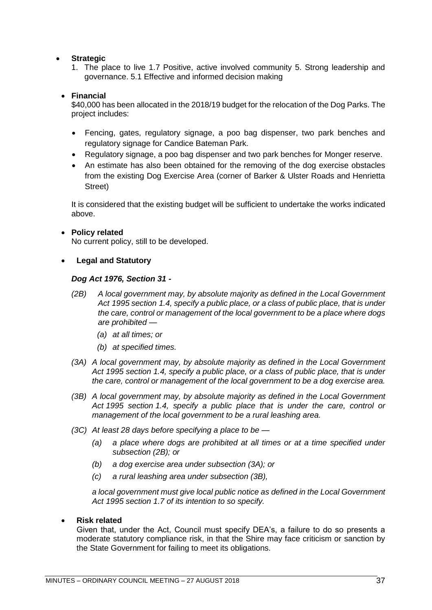# • **Strategic**

1. The place to live 1.7 Positive, active involved community 5. Strong leadership and governance. 5.1 Effective and informed decision making

# • **Financial**

\$40,000 has been allocated in the 2018/19 budget for the relocation of the Dog Parks. The project includes:

- Fencing, gates, regulatory signage, a poo bag dispenser, two park benches and regulatory signage for Candice Bateman Park.
- Regulatory signage, a poo bag dispenser and two park benches for Monger reserve.
- An estimate has also been obtained for the removing of the dog exercise obstacles from the existing Dog Exercise Area (corner of Barker & Ulster Roads and Henrietta Street)

It is considered that the existing budget will be sufficient to undertake the works indicated above.

# • **Policy related**

No current policy, still to be developed.

# • **Legal and Statutory**

### *Dog Act 1976, Section 31 -*

- *(2B) A local government may, by absolute majority as defined in the Local Government Act 1995 section 1.4, specify a public place, or a class of public place, that is under the care, control or management of the local government to be a place where dogs are prohibited —*
	- *(a) at all times; or*
	- *(b) at specified times.*
- *(3A) A local government may, by absolute majority as defined in the Local Government Act 1995 section 1.4, specify a public place, or a class of public place, that is under the care, control or management of the local government to be a dog exercise area.*
- *(3B) A local government may, by absolute majority as defined in the Local Government Act 1995 section 1.4, specify a public place that is under the care, control or management of the local government to be a rural leashing area.*
- *(3C) At least 28 days before specifying a place to be —*
	- *(a) a place where dogs are prohibited at all times or at a time specified under subsection (2B); or*
	- *(b) a dog exercise area under subsection (3A); or*
	- *(c) a rural leashing area under subsection (3B),*

*a local government must give local public notice as defined in the Local Government Act 1995 section 1.7 of its intention to so specify.*

#### • **Risk related**

Given that, under the Act, Council must specify DEA's, a failure to do so presents a moderate statutory compliance risk, in that the Shire may face criticism or sanction by the State Government for failing to meet its obligations.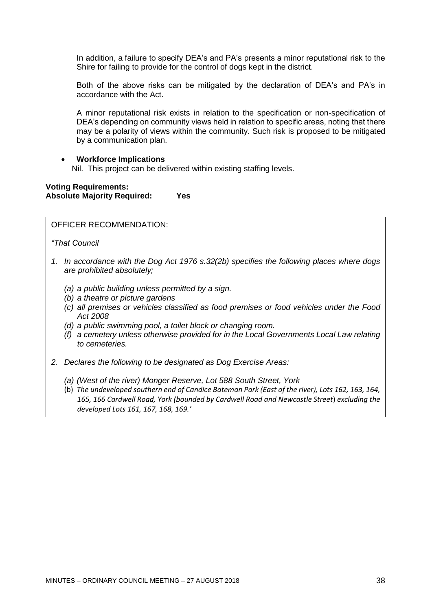In addition, a failure to specify DEA's and PA's presents a minor reputational risk to the Shire for failing to provide for the control of dogs kept in the district.

Both of the above risks can be mitigated by the declaration of DEA's and PA's in accordance with the Act.

A minor reputational risk exists in relation to the specification or non-specification of DEA's depending on community views held in relation to specific areas, noting that there may be a polarity of views within the community. Such risk is proposed to be mitigated by a communication plan.

### • **Workforce Implications**

Nil. This project can be delivered within existing staffing levels.

# **Voting Requirements: Absolute Majority Required: Yes**

OFFICER RECOMMENDATION:

*"That Council*

- *1. In accordance with the Dog Act 1976 s.32(2b) specifies the following places where dogs are prohibited absolutely;*
	- *(a) a public building unless permitted by a sign.*
	- *(b) a theatre or picture gardens*
	- *(c) all premises or vehicles classified as food premises or food vehicles under the Food Act 2008*
	- *(d) a public swimming pool, a toilet block or changing room.*
	- *(f) a cemetery unless otherwise provided for in the Local Governments Local Law relating to cemeteries.*
- *2. Declares the following to be designated as Dog Exercise Areas:*
	- *(a) (West of the river) Monger Reserve, Lot 588 South Street, York*
	- (b) *The undeveloped southern end of Candice Bateman Park (East of the river), Lots 162, 163, 164, 165, 166 Cardwell Road, York (bounded by Cardwell Road and Newcastle Street*) *excluding the developed Lots 161, 167, 168, 169.'*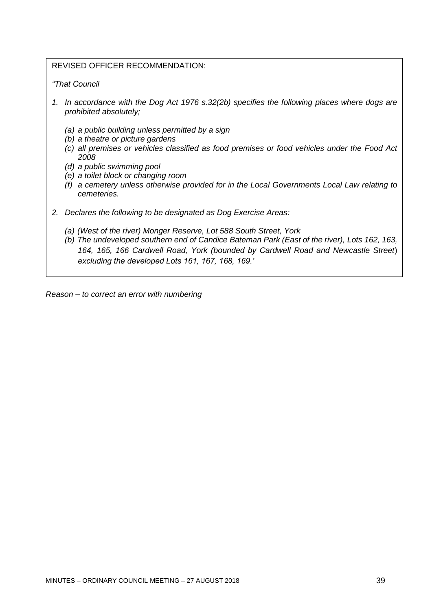# REVISED OFFICER RECOMMENDATION:

# *"That Council*

- *1. In accordance with the Dog Act 1976 s.32(2b) specifies the following places where dogs are prohibited absolutely;*
	- *(a) a public building unless permitted by a sign*
	- *(b) a theatre or picture gardens*
	- *(c) all premises or vehicles classified as food premises or food vehicles under the Food Act 2008*
	- *(d) a public swimming pool*
	- *(e) a toilet block or changing room*
	- *(f) a cemetery unless otherwise provided for in the Local Governments Local Law relating to cemeteries.*
- *2. Declares the following to be designated as Dog Exercise Areas:*
	- *(a) (West of the river) Monger Reserve, Lot 588 South Street, York*
	- *(b) The undeveloped southern end of Candice Bateman Park (East of the river), Lots 162, 163, 164, 165, 166 Cardwell Road, York (bounded by Cardwell Road and Newcastle Street*) *excluding the developed Lots 161, 167, 168, 169.'*

*Reason – to correct an error with numbering*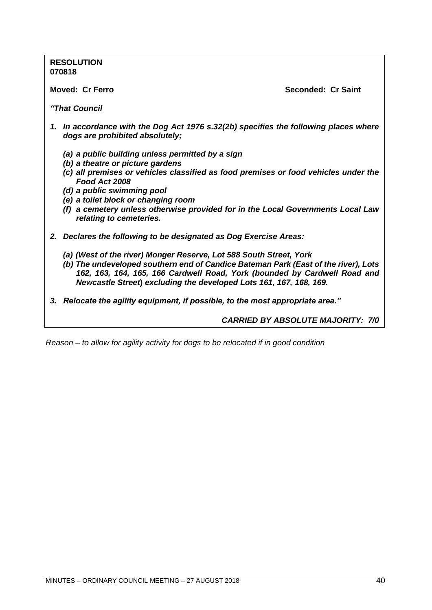**RESOLUTION 070818**

**Moved: Cr Ferro Seconded: Cr Saint**

*"That Council*

- *1. In accordance with the Dog Act 1976 s.32(2b) specifies the following places where dogs are prohibited absolutely;*
	- *(a) a public building unless permitted by a sign*
	- *(b) a theatre or picture gardens*
	- *(c) all premises or vehicles classified as food premises or food vehicles under the Food Act 2008*
	- *(d) a public swimming pool*
	- *(e) a toilet block or changing room*
	- *(f) a cemetery unless otherwise provided for in the Local Governments Local Law relating to cemeteries.*
- *2. Declares the following to be designated as Dog Exercise Areas:*
	- *(a) (West of the river) Monger Reserve, Lot 588 South Street, York*
	- *(b) The undeveloped southern end of Candice Bateman Park (East of the river), Lots 162, 163, 164, 165, 166 Cardwell Road, York (bounded by Cardwell Road and Newcastle Street***)** *excluding the developed Lots 161, 167, 168, 169.*
- *3. Relocate the agility equipment, if possible, to the most appropriate area."*

*CARRIED BY ABSOLUTE MAJORITY: 7/0*

*Reason – to allow for agility activity for dogs to be relocated if in good condition*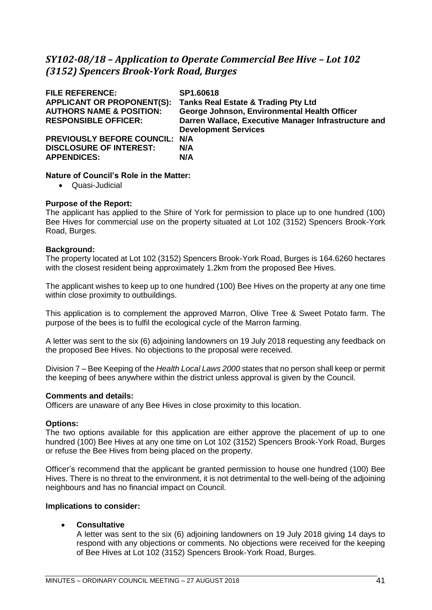# *SY102-08/18 – Application to Operate Commercial Bee Hive – Lot 102 (3152) Spencers Brook-York Road, Burges*

| <b>FILE REFERENCE:</b><br><b>APPLICANT OR PROPONENT(S):</b>                            | SP1.60618<br><b>Tanks Real Estate &amp; Trading Pty Ltd</b>                                                                         |
|----------------------------------------------------------------------------------------|-------------------------------------------------------------------------------------------------------------------------------------|
| <b>AUTHORS NAME &amp; POSITION:</b><br><b>RESPONSIBLE OFFICER:</b>                     | George Johnson, Environmental Health Officer<br>Darren Wallace, Executive Manager Infrastructure and<br><b>Development Services</b> |
| PREVIOUSLY BEFORE COUNCIL: N/A<br><b>DISCLOSURE OF INTEREST:</b><br><b>APPENDICES:</b> | N/A<br>N/A                                                                                                                          |

# **Nature of Council's Role in the Matter:**

• Quasi-Judicial

### **Purpose of the Report:**

The applicant has applied to the Shire of York for permission to place up to one hundred (100) Bee Hives for commercial use on the property situated at Lot 102 (3152) Spencers Brook-York Road, Burges.

### **Background:**

The property located at Lot 102 (3152) Spencers Brook-York Road, Burges is 164.6260 hectares with the closest resident being approximately 1.2km from the proposed Bee Hives.

The applicant wishes to keep up to one hundred (100) Bee Hives on the property at any one time within close proximity to outbuildings.

This application is to complement the approved Marron, Olive Tree & Sweet Potato farm. The purpose of the bees is to fulfil the ecological cycle of the Marron farming.

A letter was sent to the six (6) adjoining landowners on 19 July 2018 requesting any feedback on the proposed Bee Hives. No objections to the proposal were received.

Division 7 – Bee Keeping of the *Health Local Laws 2000* states that no person shall keep or permit the keeping of bees anywhere within the district unless approval is given by the Council.

#### **Comments and details:**

Officers are unaware of any Bee Hives in close proximity to this location.

# **Options:**

The two options available for this application are either approve the placement of up to one hundred (100) Bee Hives at any one time on Lot 102 (3152) Spencers Brook-York Road, Burges or refuse the Bee Hives from being placed on the property.

Officer's recommend that the applicant be granted permission to house one hundred (100) Bee Hives. There is no threat to the environment, it is not detrimental to the well-being of the adjoining neighbours and has no financial impact on Council.

#### **Implications to consider:**

• **Consultative**

A letter was sent to the six (6) adjoining landowners on 19 July 2018 giving 14 days to respond with any objections or comments. No objections were received for the keeping of Bee Hives at Lot 102 (3152) Spencers Brook-York Road, Burges.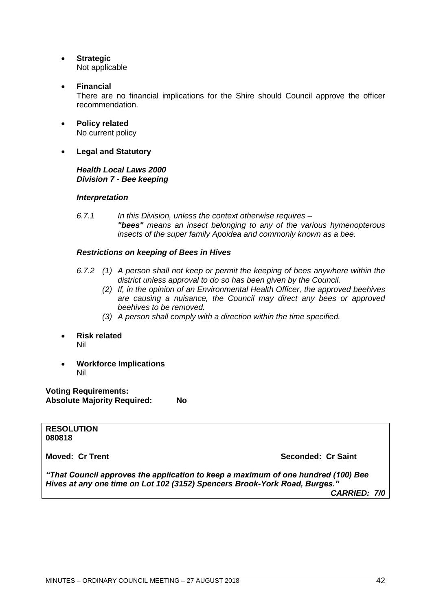- **Strategic** Not applicable
- **Financial**

There are no financial implications for the Shire should Council approve the officer recommendation.

- **Policy related** No current policy
- **Legal and Statutory**

# *Health Local Laws 2000 Division 7 - Bee keeping*

# *Interpretation*

*6.7.1 In this Division, unless the context otherwise requires – "bees" means an insect belonging to any of the various hymenopterous insects of the super family Apoidea and commonly known as a bee.* 

# *Restrictions on keeping of Bees in Hives*

- *6.7.2 (1) A person shall not keep or permit the keeping of bees anywhere within the district unless approval to do so has been given by the Council.* 
	- *(2) If, in the opinion of an Environmental Health Officer, the approved beehives are causing a nuisance, the Council may direct any bees or approved beehives to be removed.*
	- *(3) A person shall comply with a direction within the time specified.*
- **Risk related** Nil
- **Workforce Implications** Nil

**Voting Requirements: Absolute Majority Required: No**

**RESOLUTION 080818**

**Moved: Cr Trent Seconded: Cr Saint**

*"That Council approves the application to keep a maximum of one hundred (100) Bee Hives at any one time on Lot 102 (3152) Spencers Brook-York Road, Burges."*

*CARRIED: 7/0*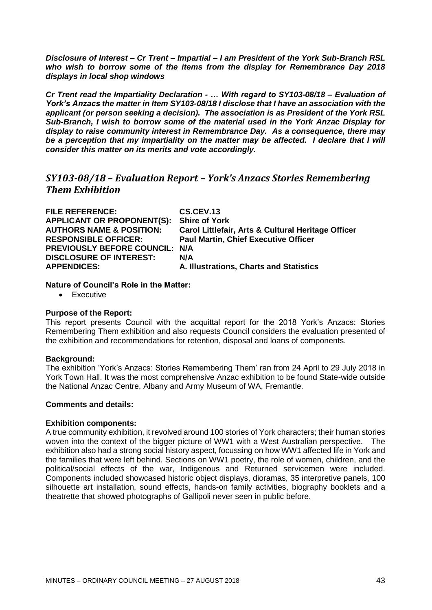*Disclosure of Interest – Cr Trent – Impartial – I am President of the York Sub-Branch RSL who wish to borrow some of the items from the display for Remembrance Day 2018 displays in local shop windows*

*Cr Trent read the Impartiality Declaration - … With regard to SY103-08/18 – Evaluation of York's Anzacs the matter in Item SY103-08/18 I disclose that I have an association with the applicant (or person seeking a decision). The association is as President of the York RSL Sub-Branch, I wish to borrow some of the material used in the York Anzac Display for display to raise community interest in Remembrance Day. As a consequence, there may be a perception that my impartiality on the matter may be affected. I declare that I will consider this matter on its merits and vote accordingly.*

# *SY103-08/18 – Evaluation Report – York's Anzacs Stories Remembering Them Exhibition*

| <b>FILE REFERENCE:</b>                | CS.CEV.13                                          |
|---------------------------------------|----------------------------------------------------|
| <b>APPLICANT OR PROPONENT(S):</b>     | <b>Shire of York</b>                               |
| <b>AUTHORS NAME &amp; POSITION:</b>   | Carol Littlefair, Arts & Cultural Heritage Officer |
| <b>RESPONSIBLE OFFICER:</b>           | <b>Paul Martin, Chief Executive Officer</b>        |
| <b>PREVIOUSLY BEFORE COUNCIL: N/A</b> |                                                    |
| <b>DISCLOSURE OF INTEREST:</b>        | N/A                                                |
| <b>APPENDICES:</b>                    | A. Illustrations, Charts and Statistics            |

### **Nature of Council's Role in the Matter:**

• Executive

#### **Purpose of the Report:**

This report presents Council with the acquittal report for the 2018 York's Anzacs: Stories Remembering Them exhibition and also requests Council considers the evaluation presented of the exhibition and recommendations for retention, disposal and loans of components.

#### **Background:**

The exhibition 'York's Anzacs: Stories Remembering Them' ran from 24 April to 29 July 2018 in York Town Hall. It was the most comprehensive Anzac exhibition to be found State-wide outside the National Anzac Centre, Albany and Army Museum of WA, Fremantle.

# **Comments and details:**

#### **Exhibition components:**

A true community exhibition, it revolved around 100 stories of York characters; their human stories woven into the context of the bigger picture of WW1 with a West Australian perspective. The exhibition also had a strong social history aspect, focussing on how WW1 affected life in York and the families that were left behind. Sections on WW1 poetry, the role of women, children, and the political/social effects of the war, Indigenous and Returned servicemen were included. Components included showcased historic object displays, dioramas, 35 interpretive panels, 100 silhouette art installation, sound effects, hands-on family activities, biography booklets and a theatrette that showed photographs of Gallipoli never seen in public before.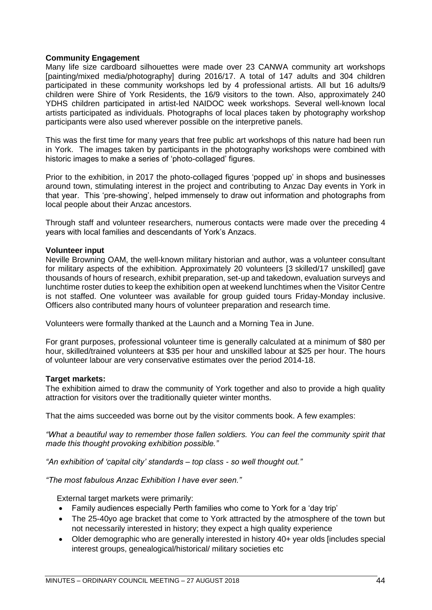# **Community Engagement**

Many life size cardboard silhouettes were made over 23 CANWA community art workshops [painting/mixed media/photography] during 2016/17. A total of 147 adults and 304 children participated in these community workshops led by 4 professional artists. All but 16 adults/9 children were Shire of York Residents, the 16/9 visitors to the town. Also, approximately 240 YDHS children participated in artist-led NAIDOC week workshops. Several well-known local artists participated as individuals. Photographs of local places taken by photography workshop participants were also used wherever possible on the interpretive panels.

This was the first time for many years that free public art workshops of this nature had been run in York. The images taken by participants in the photography workshops were combined with historic images to make a series of 'photo-collaged' figures.

Prior to the exhibition, in 2017 the photo-collaged figures 'popped up' in shops and businesses around town, stimulating interest in the project and contributing to Anzac Day events in York in that year. This 'pre-showing', helped immensely to draw out information and photographs from local people about their Anzac ancestors.

Through staff and volunteer researchers, numerous contacts were made over the preceding 4 years with local families and descendants of York's Anzacs.

#### **Volunteer input**

Neville Browning OAM, the well-known military historian and author, was a volunteer consultant for military aspects of the exhibition. Approximately 20 volunteers [3 skilled/17 unskilled] gave thousands of hours of research, exhibit preparation, set-up and takedown, evaluation surveys and lunchtime roster duties to keep the exhibition open at weekend lunchtimes when the Visitor Centre is not staffed. One volunteer was available for group guided tours Friday-Monday inclusive. Officers also contributed many hours of volunteer preparation and research time.

Volunteers were formally thanked at the Launch and a Morning Tea in June.

For grant purposes, professional volunteer time is generally calculated at a minimum of \$80 per hour, skilled/trained volunteers at \$35 per hour and unskilled labour at \$25 per hour. The hours of volunteer labour are very conservative estimates over the period 2014-18.

#### **Target markets:**

The exhibition aimed to draw the community of York together and also to provide a high quality attraction for visitors over the traditionally quieter winter months.

That the aims succeeded was borne out by the visitor comments book. A few examples:

*"What a beautiful way to remember those fallen soldiers. You can feel the community spirit that made this thought provoking exhibition possible."*

*"An exhibition of 'capital city' standards – top class - so well thought out."*

*"The most fabulous Anzac Exhibition I have ever seen."*

External target markets were primarily:

- Family audiences especially Perth families who come to York for a 'day trip'
- The 25-40yo age bracket that come to York attracted by the atmosphere of the town but not necessarily interested in history; they expect a high quality experience
- Older demographic who are generally interested in history 40+ year olds [includes special interest groups, genealogical/historical/ military societies etc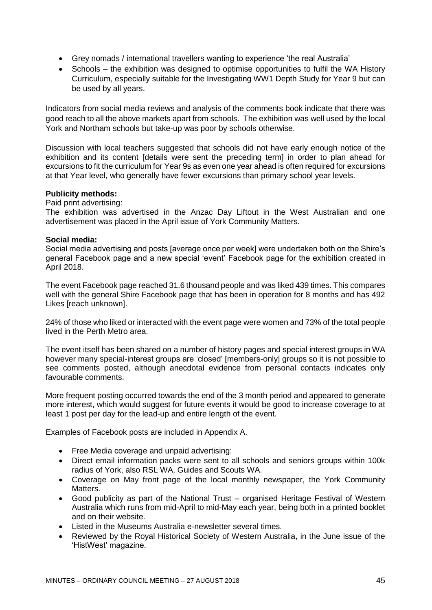- Grey nomads / international travellers wanting to experience 'the real Australia'
- Schools the exhibition was designed to optimise opportunities to fulfil the WA History Curriculum, especially suitable for the Investigating WW1 Depth Study for Year 9 but can be used by all years.

Indicators from social media reviews and analysis of the comments book indicate that there was good reach to all the above markets apart from schools. The exhibition was well used by the local York and Northam schools but take-up was poor by schools otherwise.

Discussion with local teachers suggested that schools did not have early enough notice of the exhibition and its content [details were sent the preceding term] in order to plan ahead for excursions to fit the curriculum for Year 9s as even one year ahead is often required for excursions at that Year level, who generally have fewer excursions than primary school year levels.

### **Publicity methods:**

Paid print advertising:

The exhibition was advertised in the Anzac Day Liftout in the West Australian and one advertisement was placed in the April issue of York Community Matters.

### **Social media:**

Social media advertising and posts [average once per week] were undertaken both on the Shire's general Facebook page and a new special 'event' Facebook page for the exhibition created in April 2018.

The event Facebook page reached 31.6 thousand people and was liked 439 times. This compares well with the general Shire Facebook page that has been in operation for 8 months and has 492 Likes [reach unknown].

24% of those who liked or interacted with the event page were women and 73% of the total people lived in the Perth Metro area.

The event itself has been shared on a number of history pages and special interest groups in WA however many special-interest groups are 'closed' [members-only] groups so it is not possible to see comments posted, although anecdotal evidence from personal contacts indicates only favourable comments.

More frequent posting occurred towards the end of the 3 month period and appeared to generate more interest, which would suggest for future events it would be good to increase coverage to at least 1 post per day for the lead-up and entire length of the event.

Examples of Facebook posts are included in Appendix A.

- Free Media coverage and unpaid advertising:
- Direct email information packs were sent to all schools and seniors groups within 100k radius of York, also RSL WA, Guides and Scouts WA.
- Coverage on May front page of the local monthly newspaper, the York Community Matters.
- Good publicity as part of the National Trust organised Heritage Festival of Western Australia which runs from mid-April to mid-May each year, being both in a printed booklet and on their website.
- Listed in the Museums Australia e-newsletter several times.
- Reviewed by the Royal Historical Society of Western Australia, in the June issue of the 'HistWest' magazine.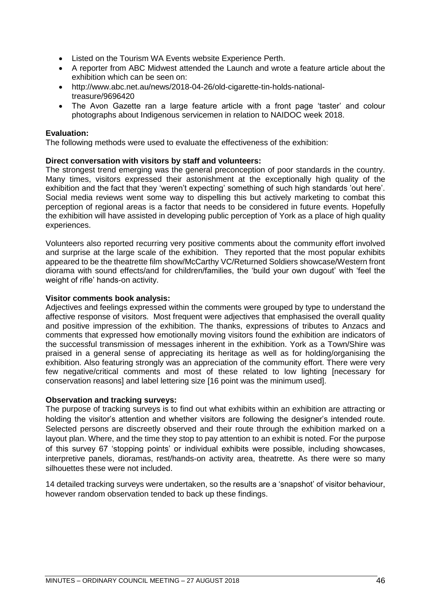- Listed on the Tourism WA Events website Experience Perth.
- A reporter from ABC Midwest attended the Launch and wrote a feature article about the exhibition which can be seen on:
- [http://www.abc.net.au/news/2018-04-26/old-cigarette-tin-holds-national](http://www.abc.net.au/news/2018-04-26/old-cigarette-tin-holds-national-treasure/9696420)[treasure/9696420](http://www.abc.net.au/news/2018-04-26/old-cigarette-tin-holds-national-treasure/9696420)
- The Avon Gazette ran a large feature article with a front page 'taster' and colour photographs about Indigenous servicemen in relation to NAIDOC week 2018.

# **Evaluation:**

The following methods were used to evaluate the effectiveness of the exhibition:

# **Direct conversation with visitors by staff and volunteers:**

The strongest trend emerging was the general preconception of poor standards in the country. Many times, visitors expressed their astonishment at the exceptionally high quality of the exhibition and the fact that they 'weren't expecting' something of such high standards 'out here'. Social media reviews went some way to dispelling this but actively marketing to combat this perception of regional areas is a factor that needs to be considered in future events. Hopefully the exhibition will have assisted in developing public perception of York as a place of high quality experiences.

Volunteers also reported recurring very positive comments about the community effort involved and surprise at the large scale of the exhibition. They reported that the most popular exhibits appeared to be the theatrette film show/McCarthy VC/Returned Soldiers showcase/Western front diorama with sound effects/and for children/families, the 'build your own dugout' with 'feel the weight of rifle' hands-on activity.

### **Visitor comments book analysis:**

Adjectives and feelings expressed within the comments were grouped by type to understand the affective response of visitors. Most frequent were adjectives that emphasised the overall quality and positive impression of the exhibition. The thanks, expressions of tributes to Anzacs and comments that expressed how emotionally moving visitors found the exhibition are indicators of the successful transmission of messages inherent in the exhibition. York as a Town/Shire was praised in a general sense of appreciating its heritage as well as for holding/organising the exhibition. Also featuring strongly was an appreciation of the community effort. There were very few negative/critical comments and most of these related to low lighting [necessary for conservation reasons] and label lettering size [16 point was the minimum used].

#### **Observation and tracking surveys:**

The purpose of tracking surveys is to find out what exhibits within an exhibition are attracting or holding the visitor's attention and whether visitors are following the designer's intended route. Selected persons are discreetly observed and their route through the exhibition marked on a layout plan. Where, and the time they stop to pay attention to an exhibit is noted. For the purpose of this survey 67 'stopping points' or individual exhibits were possible, including showcases, interpretive panels, dioramas, rest/hands-on activity area, theatrette. As there were so many silhouettes these were not included.

14 detailed tracking surveys were undertaken, so the results are a 'snapshot' of visitor behaviour, however random observation tended to back up these findings.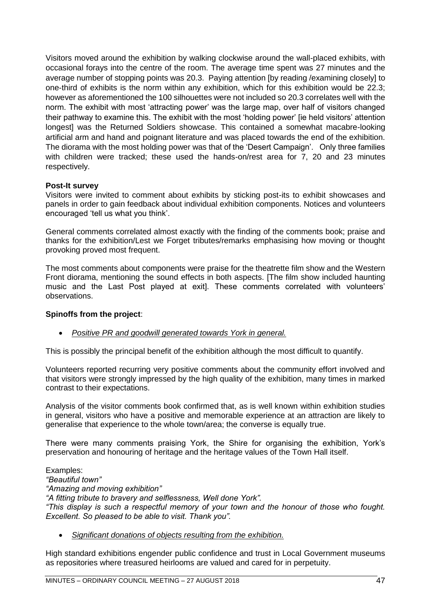Visitors moved around the exhibition by walking clockwise around the wall-placed exhibits, with occasional forays into the centre of the room. The average time spent was 27 minutes and the average number of stopping points was 20.3. Paying attention [by reading /examining closely] to one-third of exhibits is the norm within any exhibition, which for this exhibition would be 22.3; however as aforementioned the 100 silhouettes were not included so 20.3 correlates well with the norm. The exhibit with most 'attracting power' was the large map, over half of visitors changed their pathway to examine this. The exhibit with the most 'holding power' [ie held visitors' attention longest] was the Returned Soldiers showcase. This contained a somewhat macabre-looking artificial arm and hand and poignant literature and was placed towards the end of the exhibition. The diorama with the most holding power was that of the 'Desert Campaign'. Only three families with children were tracked; these used the hands-on/rest area for 7, 20 and 23 minutes respectively.

### **Post-It survey**

Visitors were invited to comment about exhibits by sticking post-its to exhibit showcases and panels in order to gain feedback about individual exhibition components. Notices and volunteers encouraged 'tell us what you think'.

General comments correlated almost exactly with the finding of the comments book; praise and thanks for the exhibition/Lest we Forget tributes/remarks emphasising how moving or thought provoking proved most frequent.

The most comments about components were praise for the theatrette film show and the Western Front diorama, mentioning the sound effects in both aspects. [The film show included haunting music and the Last Post played at exit]. These comments correlated with volunteers' observations.

# **Spinoffs from the project**:

• *Positive PR and goodwill generated towards York in general.*

This is possibly the principal benefit of the exhibition although the most difficult to quantify.

Volunteers reported recurring very positive comments about the community effort involved and that visitors were strongly impressed by the high quality of the exhibition, many times in marked contrast to their expectations.

Analysis of the visitor comments book confirmed that, as is well known within exhibition studies in general, visitors who have a positive and memorable experience at an attraction are likely to generalise that experience to the whole town/area; the converse is equally true.

There were many comments praising York, the Shire for organising the exhibition, York's preservation and honouring of heritage and the heritage values of the Town Hall itself.

Examples: *"Beautiful town" "Amazing and moving exhibition" "A fitting tribute to bravery and selflessness, Well done York". "This display is such a respectful memory of your town and the honour of those who fought. Excellent. So pleased to be able to visit. Thank you".*

• *Significant donations of objects resulting from the exhibition.*

High standard exhibitions engender public confidence and trust in Local Government museums as repositories where treasured heirlooms are valued and cared for in perpetuity.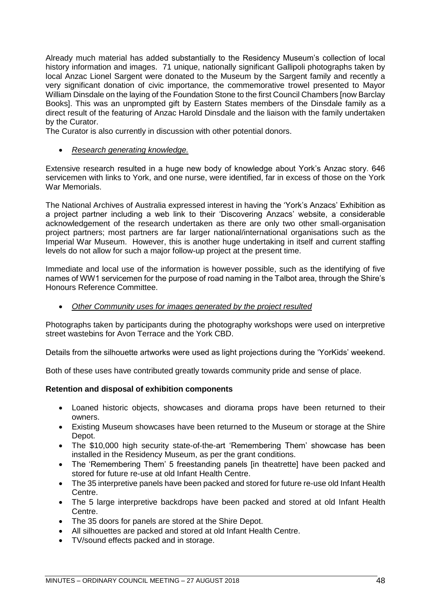Already much material has added substantially to the Residency Museum's collection of local history information and images. 71 unique, nationally significant Gallipoli photographs taken by local Anzac Lionel Sargent were donated to the Museum by the Sargent family and recently a very significant donation of civic importance, the commemorative trowel presented to Mayor William Dinsdale on the laying of the Foundation Stone to the first Council Chambers [now Barclay Books]. This was an unprompted gift by Eastern States members of the Dinsdale family as a direct result of the featuring of Anzac Harold Dinsdale and the liaison with the family undertaken by the Curator.

The Curator is also currently in discussion with other potential donors.

• *Research generating knowledge.*

Extensive research resulted in a huge new body of knowledge about York's Anzac story. 646 servicemen with links to York, and one nurse, were identified, far in excess of those on the York War Memorials.

The National Archives of Australia expressed interest in having the 'York's Anzacs' Exhibition as a project partner including a web link to their 'Discovering Anzacs' website, a considerable acknowledgement of the research undertaken as there are only two other small-organisation project partners; most partners are far larger national/international organisations such as the Imperial War Museum. However, this is another huge undertaking in itself and current staffing levels do not allow for such a major follow-up project at the present time.

Immediate and local use of the information is however possible, such as the identifying of five names of WW1 servicemen for the purpose of road naming in the Talbot area, through the Shire's Honours Reference Committee.

• *Other Community uses for images generated by the project resulted*

Photographs taken by participants during the photography workshops were used on interpretive street wastebins for Avon Terrace and the York CBD.

Details from the silhouette artworks were used as light projections during the 'YorKids' weekend.

Both of these uses have contributed greatly towards community pride and sense of place.

# **Retention and disposal of exhibition components**

- Loaned historic objects, showcases and diorama props have been returned to their owners.
- Existing Museum showcases have been returned to the Museum or storage at the Shire Depot.
- The \$10,000 high security state-of-the-art 'Remembering Them' showcase has been installed in the Residency Museum, as per the grant conditions.
- The 'Remembering Them' 5 freestanding panels [in theatrette] have been packed and stored for future re-use at old Infant Health Centre.
- The 35 interpretive panels have been packed and stored for future re-use old Infant Health Centre.
- The 5 large interpretive backdrops have been packed and stored at old Infant Health Centre.
- The 35 doors for panels are stored at the Shire Depot.
- All silhouettes are packed and stored at old Infant Health Centre.
- TV/sound effects packed and in storage.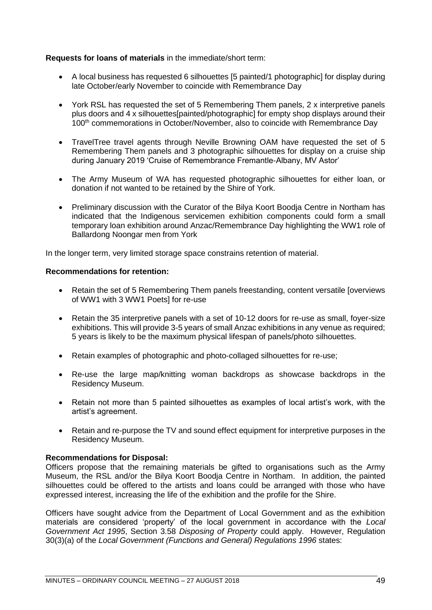# **Requests for loans of materials** in the immediate/short term:

- A local business has requested 6 silhouettes [5 painted/1 photographic] for display during late October/early November to coincide with Remembrance Day
- York RSL has requested the set of 5 Remembering Them panels, 2 x interpretive panels plus doors and 4 x silhouettes[painted/photographic] for empty shop displays around their 100<sup>th</sup> commemorations in October/November, also to coincide with Remembrance Day
- TravelTree travel agents through Neville Browning OAM have requested the set of 5 Remembering Them panels and 3 photographic silhouettes for display on a cruise ship during January 2019 'Cruise of Remembrance Fremantle-Albany, MV Astor'
- The Army Museum of WA has requested photographic silhouettes for either loan, or donation if not wanted to be retained by the Shire of York.
- Preliminary discussion with the Curator of the Bilya Koort Boodja Centre in Northam has indicated that the Indigenous servicemen exhibition components could form a small temporary loan exhibition around Anzac/Remembrance Day highlighting the WW1 role of Ballardong Noongar men from York

In the longer term, very limited storage space constrains retention of material.

# **Recommendations for retention:**

- Retain the set of 5 Remembering Them panels freestanding, content versatile [overviews] of WW1 with 3 WW1 Poets] for re-use
- Retain the 35 interpretive panels with a set of 10-12 doors for re-use as small, foyer-size exhibitions. This will provide 3-5 years of small Anzac exhibitions in any venue as required; 5 years is likely to be the maximum physical lifespan of panels/photo silhouettes.
- Retain examples of photographic and photo-collaged silhouettes for re-use;
- Re-use the large map/knitting woman backdrops as showcase backdrops in the Residency Museum.
- Retain not more than 5 painted silhouettes as examples of local artist's work, with the artist's agreement.
- Retain and re-purpose the TV and sound effect equipment for interpretive purposes in the Residency Museum.

# **Recommendations for Disposal:**

Officers propose that the remaining materials be gifted to organisations such as the Army Museum, the RSL and/or the Bilya Koort Boodja Centre in Northam. In addition, the painted silhouettes could be offered to the artists and loans could be arranged with those who have expressed interest, increasing the life of the exhibition and the profile for the Shire.

Officers have sought advice from the Department of Local Government and as the exhibition materials are considered 'property' of the local government in accordance with the *Local Government Act 1995*, Section 3.58 *Disposing of Property* could apply. However, Regulation 30(3)(a) of the *Local Government (Functions and General) Regulations 1996* states: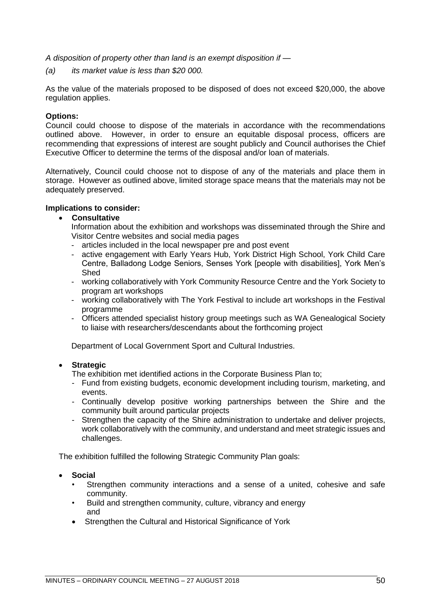*A disposition of property other than land is an exempt disposition if —*

*(a) its market value is less than \$20 000.*

As the value of the materials proposed to be disposed of does not exceed \$20,000, the above regulation applies.

# **Options:**

Council could choose to dispose of the materials in accordance with the recommendations outlined above. However, in order to ensure an equitable disposal process, officers are recommending that expressions of interest are sought publicly and Council authorises the Chief Executive Officer to determine the terms of the disposal and/or loan of materials.

Alternatively, Council could choose not to dispose of any of the materials and place them in storage. However as outlined above, limited storage space means that the materials may not be adequately preserved.

# **Implications to consider:**

### • **Consultative**

- Information about the exhibition and workshops was disseminated through the Shire and Visitor Centre websites and social media pages
- articles included in the local newspaper pre and post event
- active engagement with Early Years Hub, York District High School, York Child Care Centre, Balladong Lodge Seniors, Senses York [people with disabilities], York Men's Shed
- working collaboratively with York Community Resource Centre and the York Society to program art workshops
- working collaboratively with The York Festival to include art workshops in the Festival programme
- Officers attended specialist history group meetings such as WA Genealogical Society to liaise with researchers/descendants about the forthcoming project

Department of Local Government Sport and Cultural Industries.

# • **Strategic**

The exhibition met identified actions in the Corporate Business Plan to;

- Fund from existing budgets, economic development including tourism, marketing, and events.
- Continually develop positive working partnerships between the Shire and the community built around particular projects
- Strengthen the capacity of the Shire administration to undertake and deliver projects, work collaboratively with the community, and understand and meet strategic issues and challenges.

The exhibition fulfilled the following Strategic Community Plan goals:

- **Social**
	- Strengthen community interactions and a sense of a united, cohesive and safe community.
	- Build and strengthen community, culture, vibrancy and energy and
	- Strengthen the Cultural and Historical Significance of York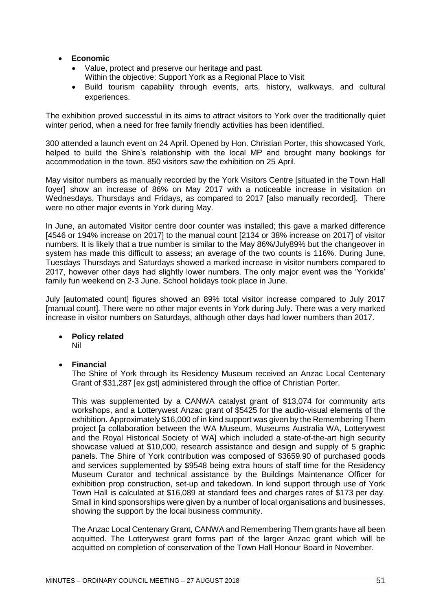# • **Economic**

- Value, protect and preserve our heritage and past. Within the objective: Support York as a Regional Place to Visit
- Build tourism capability through events, arts, history, walkways, and cultural experiences.

The exhibition proved successful in its aims to attract visitors to York over the traditionally quiet winter period, when a need for free family friendly activities has been identified.

300 attended a launch event on 24 April. Opened by Hon. Christian Porter, this showcased York, helped to build the Shire's relationship with the local MP and brought many bookings for accommodation in the town. 850 visitors saw the exhibition on 25 April.

May visitor numbers as manually recorded by the York Visitors Centre [situated in the Town Hall foyer] show an increase of 86% on May 2017 with a noticeable increase in visitation on Wednesdays, Thursdays and Fridays, as compared to 2017 [also manually recorded]. There were no other major events in York during May.

In June, an automated Visitor centre door counter was installed; this gave a marked difference [4546 or 194% increase on 2017] to the manual count [2134 or 38% increase on 2017] of visitor numbers. It is likely that a true number is similar to the May 86%/July89% but the changeover in system has made this difficult to assess; an average of the two counts is 116%. During June, Tuesdays Thursdays and Saturdays showed a marked increase in visitor numbers compared to 2017, however other days had slightly lower numbers. The only major event was the 'Yorkids' family fun weekend on 2-3 June. School holidays took place in June.

July [automated count] figures showed an 89% total visitor increase compared to July 2017 [manual count]. There were no other major events in York during July. There was a very marked increase in visitor numbers on Saturdays, although other days had lower numbers than 2017.

- **Policy related** Nil
- **Financial**

The Shire of York through its Residency Museum received an Anzac Local Centenary Grant of \$31,287 [ex gst] administered through the office of Christian Porter.

This was supplemented by a CANWA catalyst grant of \$13,074 for community arts workshops, and a Lotterywest Anzac grant of \$5425 for the audio-visual elements of the exhibition. Approximately \$16,000 of in kind support was given by the Remembering Them project [a collaboration between the WA Museum, Museums Australia WA, Lotterywest and the Royal Historical Society of WA] which included a state-of-the-art high security showcase valued at \$10,000, research assistance and design and supply of 5 graphic panels. The Shire of York contribution was composed of \$3659.90 of purchased goods and services supplemented by \$9548 being extra hours of staff time for the Residency Museum Curator and technical assistance by the Buildings Maintenance Officer for exhibition prop construction, set-up and takedown. In kind support through use of York Town Hall is calculated at \$16,089 at standard fees and charges rates of \$173 per day. Small in kind sponsorships were given by a number of local organisations and businesses, showing the support by the local business community.

The Anzac Local Centenary Grant, CANWA and Remembering Them grants have all been acquitted. The Lotterywest grant forms part of the larger Anzac grant which will be acquitted on completion of conservation of the Town Hall Honour Board in November.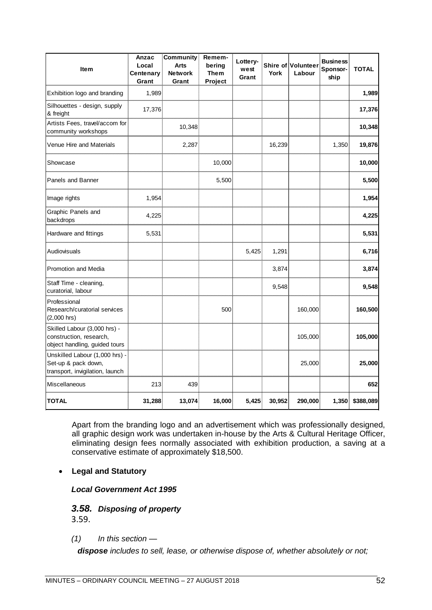| <b>Item</b>                                                                              | Anzac<br>Local<br>Centenary<br>Grant | <b>Community</b><br><b>Arts</b><br><b>Network</b><br>Grant | Remem-<br>bering<br><b>Them</b><br>Project | Lottery-<br>west<br>Grant | York   | <b>Shire of Volunteer</b><br>Labour | <b>Business</b><br>Sponsor-<br>ship | <b>TOTAL</b> |
|------------------------------------------------------------------------------------------|--------------------------------------|------------------------------------------------------------|--------------------------------------------|---------------------------|--------|-------------------------------------|-------------------------------------|--------------|
| Exhibition logo and branding                                                             | 1,989                                |                                                            |                                            |                           |        |                                     |                                     | 1,989        |
| Silhouettes - design, supply<br>& freight                                                | 17,376                               |                                                            |                                            |                           |        |                                     |                                     | 17,376       |
| Artists Fees, travel/accom for<br>community workshops                                    |                                      | 10,348                                                     |                                            |                           |        |                                     |                                     | 10,348       |
| Venue Hire and Materials                                                                 |                                      | 2,287                                                      |                                            |                           | 16,239 |                                     | 1,350                               | 19,876       |
| Showcase                                                                                 |                                      |                                                            | 10,000                                     |                           |        |                                     |                                     | 10,000       |
| Panels and Banner                                                                        |                                      |                                                            | 5,500                                      |                           |        |                                     |                                     | 5,500        |
| Image rights                                                                             | 1,954                                |                                                            |                                            |                           |        |                                     |                                     | 1,954        |
| Graphic Panels and<br>backdrops                                                          | 4,225                                |                                                            |                                            |                           |        |                                     |                                     | 4,225        |
| Hardware and fittings                                                                    | 5,531                                |                                                            |                                            |                           |        |                                     |                                     | 5,531        |
| Audiovisuals                                                                             |                                      |                                                            |                                            | 5,425                     | 1,291  |                                     |                                     | 6,716        |
| Promotion and Media                                                                      |                                      |                                                            |                                            |                           | 3,874  |                                     |                                     | 3,874        |
| Staff Time - cleaning,<br>curatorial, labour                                             |                                      |                                                            |                                            |                           | 9,548  |                                     |                                     | 9,548        |
| Professional<br>Research/curatorial services<br>$(2,000$ hrs)                            |                                      |                                                            | 500                                        |                           |        | 160,000                             |                                     | 160,500      |
| Skilled Labour (3,000 hrs) -<br>construction, research,<br>object handling, guided tours |                                      |                                                            |                                            |                           |        | 105,000                             |                                     | 105,000      |
| Unskilled Labour (1,000 hrs) -<br>Set-up & pack down,<br>transport, invigilation, launch |                                      |                                                            |                                            |                           |        | 25,000                              |                                     | 25,000       |
| Miscellaneous                                                                            | 213                                  | 439                                                        |                                            |                           |        |                                     |                                     | 652          |
| <b>TOTAL</b>                                                                             | 31,288                               | 13,074                                                     | 16,000                                     | 5,425                     | 30,952 | 290,000                             | 1,350                               | \$388,089    |

Apart from the branding logo and an advertisement which was professionally designed, all graphic design work was undertaken in-house by the Arts & Cultural Heritage Officer, eliminating design fees normally associated with exhibition production, a saving at a conservative estimate of approximately \$18,500.

# • **Legal and Statutory**

*Local Government Act 1995*

# *3.58. Disposing of property*

3.59.

# *(1) In this section —*

*dispose includes to sell, lease, or otherwise dispose of, whether absolutely or not;*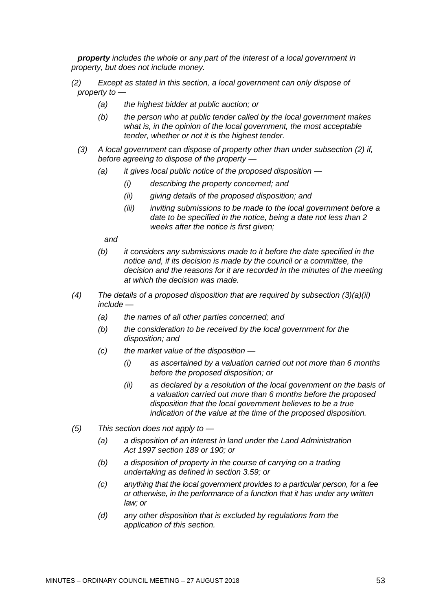*property includes the whole or any part of the interest of a local government in property, but does not include money.*

- *(2) Except as stated in this section, a local government can only dispose of property to —*
	- *(a) the highest bidder at public auction; or*
	- *(b) the person who at public tender called by the local government makes what is, in the opinion of the local government, the most acceptable tender, whether or not it is the highest tender.*
	- *(3) A local government can dispose of property other than under subsection (2) if, before agreeing to dispose of the property —*
		- *(a) it gives local public notice of the proposed disposition —*
			- *(i) describing the property concerned; and*
			- *(ii) giving details of the proposed disposition; and*
			- *(iii) inviting submissions to be made to the local government before a date to be specified in the notice, being a date not less than 2 weeks after the notice is first given;*

*and*

- *(b) it considers any submissions made to it before the date specified in the notice and, if its decision is made by the council or a committee, the decision and the reasons for it are recorded in the minutes of the meeting at which the decision was made.*
- *(4) The details of a proposed disposition that are required by subsection (3)(a)(ii) include —*
	- *(a) the names of all other parties concerned; and*
	- *(b) the consideration to be received by the local government for the disposition; and*
	- *(c) the market value of the disposition —*
		- *(i) as ascertained by a valuation carried out not more than 6 months before the proposed disposition; or*
		- *(ii) as declared by a resolution of the local government on the basis of a valuation carried out more than 6 months before the proposed disposition that the local government believes to be a true indication of the value at the time of the proposed disposition.*
- *(5) This section does not apply to —*
	- *(a) a disposition of an interest in land under the Land Administration Act 1997 section 189 or 190; or*
	- *(b) a disposition of property in the course of carrying on a trading undertaking as defined in section 3.59; or*
	- *(c) anything that the local government provides to a particular person, for a fee or otherwise, in the performance of a function that it has under any written law; or*
	- *(d) any other disposition that is excluded by regulations from the application of this section.*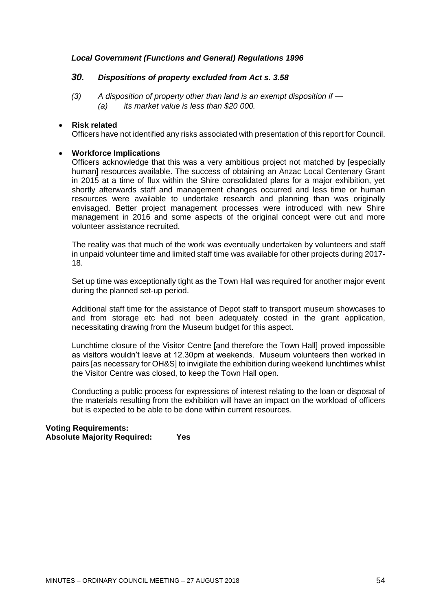# *Local Government (Functions and General) Regulations 1996*

## *30. Dispositions of property excluded from Act s. 3.58*

*(3) A disposition of property other than land is an exempt disposition if — (a) its market value is less than \$20 000.*

### • **Risk related**

Officers have not identified any risks associated with presentation of this report for Council.

# • **Workforce Implications**

Officers acknowledge that this was a very ambitious project not matched by [especially human] resources available. The success of obtaining an Anzac Local Centenary Grant in 2015 at a time of flux within the Shire consolidated plans for a major exhibition, yet shortly afterwards staff and management changes occurred and less time or human resources were available to undertake research and planning than was originally envisaged. Better project management processes were introduced with new Shire management in 2016 and some aspects of the original concept were cut and more volunteer assistance recruited.

The reality was that much of the work was eventually undertaken by volunteers and staff in unpaid volunteer time and limited staff time was available for other projects during 2017- 18.

Set up time was exceptionally tight as the Town Hall was required for another major event during the planned set-up period.

Additional staff time for the assistance of Depot staff to transport museum showcases to and from storage etc had not been adequately costed in the grant application, necessitating drawing from the Museum budget for this aspect.

Lunchtime closure of the Visitor Centre [and therefore the Town Hall] proved impossible as visitors wouldn't leave at 12.30pm at weekends. Museum volunteers then worked in pairs [as necessary for OH&S] to invigilate the exhibition during weekend lunchtimes whilst the Visitor Centre was closed, to keep the Town Hall open.

Conducting a public process for expressions of interest relating to the loan or disposal of the materials resulting from the exhibition will have an impact on the workload of officers but is expected to be able to be done within current resources.

### **Voting Requirements: Absolute Majority Required: Yes**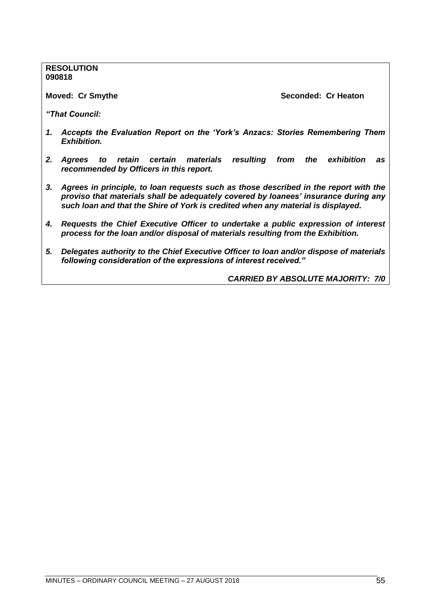**RESOLUTION 090818**

**Moved: Cr Smythe Seconded: Cr Heaton** 

*"That Council:* 

- *1. Accepts the Evaluation Report on the 'York's Anzacs: Stories Remembering Them Exhibition.*
- *2. Agrees to retain certain materials resulting from the exhibition as recommended by Officers in this report.*
- *3. Agrees in principle, to loan requests such as those described in the report with the proviso that materials shall be adequately covered by loanees' insurance during any such loan and that the Shire of York is credited when any material is displayed.*
- *4. Requests the Chief Executive Officer to undertake a public expression of interest process for the loan and/or disposal of materials resulting from the Exhibition.*
- *5. Delegates authority to the Chief Executive Officer to loan and/or dispose of materials following consideration of the expressions of interest received."*

*CARRIED BY ABSOLUTE MAJORITY: 7/0*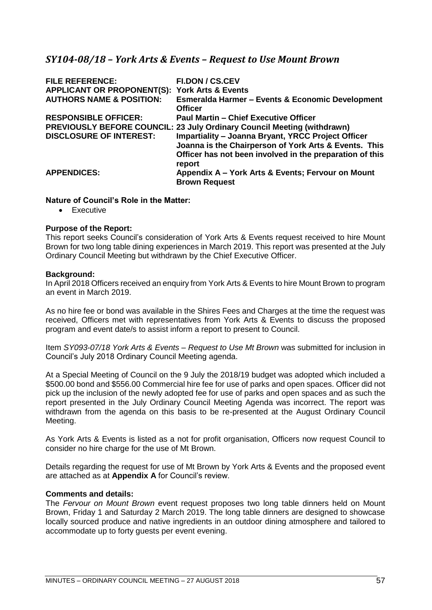# *SY104-08/18 – York Arts & Events – Request to Use Mount Brown*

| <b>FILE REFERENCE:</b>                                   | <b>FI.DON / CS.CEV</b>                                                         |
|----------------------------------------------------------|--------------------------------------------------------------------------------|
| <b>APPLICANT OR PROPONENT(S): York Arts &amp; Events</b> |                                                                                |
| <b>AUTHORS NAME &amp; POSITION:</b>                      | <b>Esmeralda Harmer - Events &amp; Economic Development</b><br><b>Officer</b>  |
| <b>RESPONSIBLE OFFICER:</b>                              | <b>Paul Martin - Chief Executive Officer</b>                                   |
|                                                          | <b>PREVIOUSLY BEFORE COUNCIL: 23 July Ordinary Council Meeting (withdrawn)</b> |
| <b>DISCLOSURE OF INTEREST:</b>                           | <b>Impartiality - Joanna Bryant, YRCC Project Officer</b>                      |
|                                                          | Joanna is the Chairperson of York Arts & Events. This                          |
|                                                          | Officer has not been involved in the preparation of this<br>report             |
| <b>APPENDICES:</b>                                       | Appendix A - York Arts & Events; Fervour on Mount                              |
|                                                          | <b>Brown Request</b>                                                           |

# **Nature of Council's Role in the Matter:**

• Executive

#### **Purpose of the Report:**

This report seeks Council's consideration of York Arts & Events request received to hire Mount Brown for two long table dining experiences in March 2019. This report was presented at the July Ordinary Council Meeting but withdrawn by the Chief Executive Officer.

### **Background:**

In April 2018 Officers received an enquiry from York Arts & Events to hire Mount Brown to program an event in March 2019.

As no hire fee or bond was available in the Shires Fees and Charges at the time the request was received, Officers met with representatives from York Arts & Events to discuss the proposed program and event date/s to assist inform a report to present to Council.

Item *SY093-07/18 York Arts & Events – Request to Use Mt Brown* was submitted for inclusion in Council's July 2018 Ordinary Council Meeting agenda.

At a Special Meeting of Council on the 9 July the 2018/19 budget was adopted which included a \$500.00 bond and \$556.00 Commercial hire fee for use of parks and open spaces. Officer did not pick up the inclusion of the newly adopted fee for use of parks and open spaces and as such the report presented in the July Ordinary Council Meeting Agenda was incorrect. The report was withdrawn from the agenda on this basis to be re-presented at the August Ordinary Council Meeting.

As York Arts & Events is listed as a not for profit organisation, Officers now request Council to consider no hire charge for the use of Mt Brown.

Details regarding the request for use of Mt Brown by York Arts & Events and the proposed event are attached as at **Appendix A** for Council's review.

# **Comments and details:**

The *Fervour on Mount Brown* event request proposes two long table dinners held on Mount Brown, Friday 1 and Saturday 2 March 2019. The long table dinners are designed to showcase locally sourced produce and native ingredients in an outdoor dining atmosphere and tailored to accommodate up to forty guests per event evening.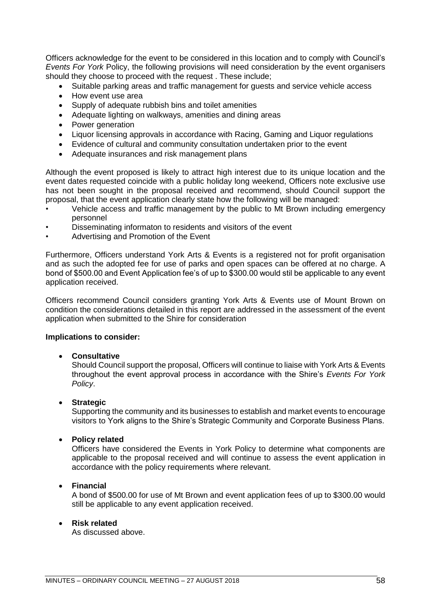Officers acknowledge for the event to be considered in this location and to comply with Council's *Events For York* Policy, the following provisions will need consideration by the event organisers should they choose to proceed with the request . These include;

- Suitable parking areas and traffic management for guests and service vehicle access
- How event use area
- Supply of adequate rubbish bins and toilet amenities
- Adequate lighting on walkways, amenities and dining areas
- Power generation
- Liquor licensing approvals in accordance with Racing, Gaming and Liquor regulations
- Evidence of cultural and community consultation undertaken prior to the event
- Adequate insurances and risk management plans

Although the event proposed is likely to attract high interest due to its unique location and the event dates requested coincide with a public holiday long weekend, Officers note exclusive use has not been sought in the proposal received and recommend, should Council support the proposal, that the event application clearly state how the following will be managed:

- Vehicle access and traffic management by the public to Mt Brown including emergency personnel
- Disseminating informaton to residents and visitors of the event
- Advertising and Promotion of the Event

Furthermore, Officers understand York Arts & Events is a registered not for profit organisation and as such the adopted fee for use of parks and open spaces can be offered at no charge. A bond of \$500.00 and Event Application fee's of up to \$300.00 would stil be applicable to any event application received.

Officers recommend Council considers granting York Arts & Events use of Mount Brown on condition the considerations detailed in this report are addressed in the assessment of the event application when submitted to the Shire for consideration

#### **Implications to consider:**

#### • **Consultative**

Should Council support the proposal, Officers will continue to liaise with York Arts & Events throughout the event approval process in accordance with the Shire's *Events For York Policy*.

#### • **Strategic**

Supporting the community and its businesses to establish and market events to encourage visitors to York aligns to the Shire's Strategic Community and Corporate Business Plans.

#### • **Policy related**

Officers have considered the Events in York Policy to determine what components are applicable to the proposal received and will continue to assess the event application in accordance with the policy requirements where relevant.

#### • **Financial**

A bond of \$500.00 for use of Mt Brown and event application fees of up to \$300.00 would still be applicable to any event application received.

#### • **Risk related**

As discussed above.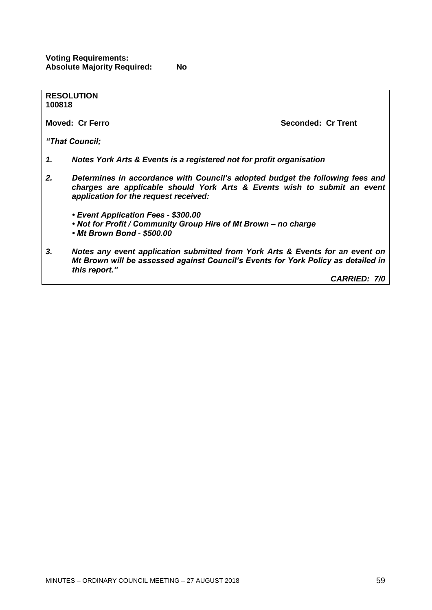**Voting Requirements: Absolute Majority Required: No**

| 100818 | <b>RESOLUTION</b>                                                                                                                                                                                  |                     |  |
|--------|----------------------------------------------------------------------------------------------------------------------------------------------------------------------------------------------------|---------------------|--|
|        | <b>Moved: Cr Ferro</b>                                                                                                                                                                             | Seconded: Cr Trent  |  |
|        | "That Council;                                                                                                                                                                                     |                     |  |
| 1.     | Notes York Arts & Events is a registered not for profit organisation                                                                                                                               |                     |  |
| 2.     | Determines in accordance with Council's adopted budget the following fees and<br>charges are applicable should York Arts & Events wish to submit an event<br>application for the request received: |                     |  |
|        | • Event Application Fees - \$300.00<br>• Not for Profit / Community Group Hire of Mt Brown - no charge<br>• Mt Brown Bond - \$500.00                                                               |                     |  |
| 3.     | Notes any event application submitted from York Arts & Events for an event on<br>Mt Brown will be assessed against Council's Events for York Policy as detailed in<br>this report."                |                     |  |
|        |                                                                                                                                                                                                    | <b>CARRIED: 7/0</b> |  |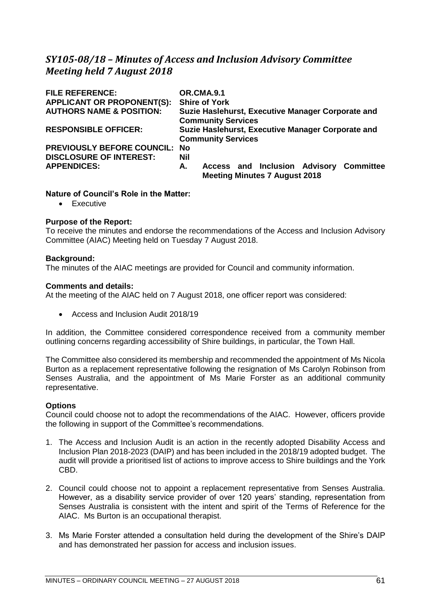# *SY105-08/18 – Minutes of Access and Inclusion Advisory Committee Meeting held 7 August 2018*

| <b>FILE REFERENCE:</b>               | OR.CMA.9.1                                                                            |  |  |
|--------------------------------------|---------------------------------------------------------------------------------------|--|--|
| <b>APPLICANT OR PROPONENT(S):</b>    | <b>Shire of York</b>                                                                  |  |  |
| <b>AUTHORS NAME &amp; POSITION:</b>  | Suzie Haslehurst, Executive Manager Corporate and<br><b>Community Services</b>        |  |  |
| <b>RESPONSIBLE OFFICER:</b>          | Suzie Haslehurst, Executive Manager Corporate and                                     |  |  |
|                                      | <b>Community Services</b>                                                             |  |  |
| <b>PREVIOUSLY BEFORE COUNCIL: No</b> |                                                                                       |  |  |
| <b>DISCLOSURE OF INTEREST:</b>       | Nil                                                                                   |  |  |
| <b>APPENDICES:</b>                   | Access and Inclusion Advisory Committee<br>А.<br><b>Meeting Minutes 7 August 2018</b> |  |  |

### **Nature of Council's Role in the Matter:**

• Executive

### **Purpose of the Report:**

To receive the minutes and endorse the recommendations of the Access and Inclusion Advisory Committee (AIAC) Meeting held on Tuesday 7 August 2018.

#### **Background:**

The minutes of the AIAC meetings are provided for Council and community information.

#### **Comments and details:**

At the meeting of the AIAC held on 7 August 2018, one officer report was considered:

• Access and Inclusion Audit 2018/19

In addition, the Committee considered correspondence received from a community member outlining concerns regarding accessibility of Shire buildings, in particular, the Town Hall.

The Committee also considered its membership and recommended the appointment of Ms Nicola Burton as a replacement representative following the resignation of Ms Carolyn Robinson from Senses Australia, and the appointment of Ms Marie Forster as an additional community representative.

#### **Options**

Council could choose not to adopt the recommendations of the AIAC. However, officers provide the following in support of the Committee's recommendations.

- 1. The Access and Inclusion Audit is an action in the recently adopted Disability Access and Inclusion Plan 2018-2023 (DAIP) and has been included in the 2018/19 adopted budget. The audit will provide a prioritised list of actions to improve access to Shire buildings and the York CBD.
- 2. Council could choose not to appoint a replacement representative from Senses Australia. However, as a disability service provider of over 120 years' standing, representation from Senses Australia is consistent with the intent and spirit of the Terms of Reference for the AIAC. Ms Burton is an occupational therapist.
- 3. Ms Marie Forster attended a consultation held during the development of the Shire's DAIP and has demonstrated her passion for access and inclusion issues.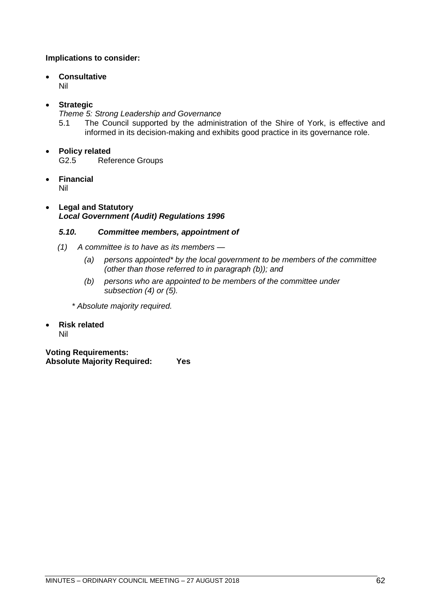# **Implications to consider:**

# • **Consultative**

Nil

# • **Strategic**

*Theme 5: Strong Leadership and Governance*

5.1 The Council supported by the administration of the Shire of York, is effective and informed in its decision-making and exhibits good practice in its governance role.

# • **Policy related**

G2.5 Reference Groups

• **Financial**

Nil

# • **Legal and Statutory** *Local Government (Audit) Regulations 1996*

# *5.10. Committee members, appointment of*

- *(1) A committee is to have as its members —*
	- *(a) persons appointed\* by the local government to be members of the committee (other than those referred to in paragraph (b)); and*
	- *(b) persons who are appointed to be members of the committee under subsection (4) or (5).*

*\* Absolute majority required.*

• **Risk related** Nil

**Voting Requirements: Absolute Majority Required: Yes**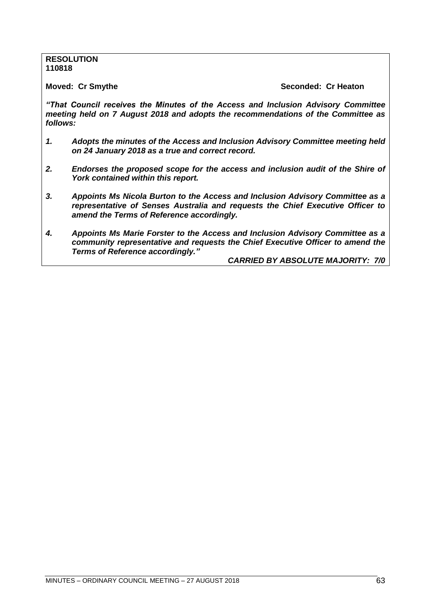#### **RESOLUTION 110818**

**Moved: Cr Smythe Seconded: Cr Heaton** 

*"That Council receives the Minutes of the Access and Inclusion Advisory Committee meeting held on 7 August 2018 and adopts the recommendations of the Committee as follows:*

- *1. Adopts the minutes of the Access and Inclusion Advisory Committee meeting held on 24 January 2018 as a true and correct record.*
- *2. Endorses the proposed scope for the access and inclusion audit of the Shire of York contained within this report.*
- *3. Appoints Ms Nicola Burton to the Access and Inclusion Advisory Committee as a representative of Senses Australia and requests the Chief Executive Officer to amend the Terms of Reference accordingly.*
- *4. Appoints Ms Marie Forster to the Access and Inclusion Advisory Committee as a community representative and requests the Chief Executive Officer to amend the Terms of Reference accordingly."*

*CARRIED BY ABSOLUTE MAJORITY: 7/0*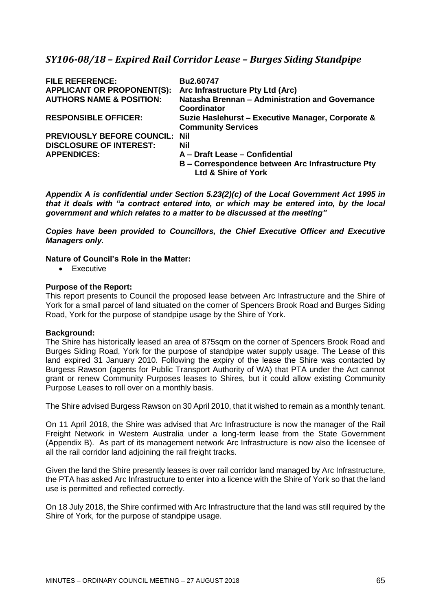# *SY106-08/18 – Expired Rail Corridor Lease – Burges Siding Standpipe*

| <b>FILE REFERENCE:</b><br><b>APPLICANT OR PROPONENT(S):</b><br><b>AUTHORS NAME &amp; POSITION:</b> | Bu2.60747<br>Arc Infrastructure Pty Ltd (Arc)<br>Natasha Brennan - Administration and Governance<br><b>Coordinator</b> |
|----------------------------------------------------------------------------------------------------|------------------------------------------------------------------------------------------------------------------------|
| <b>RESPONSIBLE OFFICER:</b>                                                                        | Suzie Haslehurst - Executive Manager, Corporate &<br><b>Community Services</b>                                         |
| <b>PREVIOUSLY BEFORE COUNCIL: Nil</b>                                                              |                                                                                                                        |
| <b>DISCLOSURE OF INTEREST:</b>                                                                     | Nil                                                                                                                    |
| <b>APPENDICES:</b>                                                                                 | A - Draft Lease - Confidential                                                                                         |
|                                                                                                    | B - Correspondence between Arc Infrastructure Pty<br>Ltd & Shire of York                                               |

*Appendix A is confidential under Section 5.23(2)(c) of the Local Government Act 1995 in that it deals with "a contract entered into, or which may be entered into, by the local government and which relates to a matter to be discussed at the meeting"* 

*Copies have been provided to Councillors, the Chief Executive Officer and Executive Managers only.*

# **Nature of Council's Role in the Matter:**

• Executive

### **Purpose of the Report:**

This report presents to Council the proposed lease between Arc Infrastructure and the Shire of York for a small parcel of land situated on the corner of Spencers Brook Road and Burges Siding Road, York for the purpose of standpipe usage by the Shire of York.

#### **Background:**

The Shire has historically leased an area of 875sqm on the corner of Spencers Brook Road and Burges Siding Road, York for the purpose of standpipe water supply usage. The Lease of this land expired 31 January 2010. Following the expiry of the lease the Shire was contacted by Burgess Rawson (agents for Public Transport Authority of WA) that PTA under the Act cannot grant or renew Community Purposes leases to Shires, but it could allow existing Community Purpose Leases to roll over on a monthly basis.

The Shire advised Burgess Rawson on 30 April 2010, that it wished to remain as a monthly tenant.

On 11 April 2018, the Shire was advised that Arc Infrastructure is now the manager of the Rail Freight Network in Western Australia under a long-term lease from the State Government (Appendix B). As part of its management network Arc Infrastructure is now also the licensee of all the rail corridor land adjoining the rail freight tracks.

Given the land the Shire presently leases is over rail corridor land managed by Arc Infrastructure, the PTA has asked Arc Infrastructure to enter into a licence with the Shire of York so that the land use is permitted and reflected correctly.

On 18 July 2018, the Shire confirmed with Arc Infrastructure that the land was still required by the Shire of York, for the purpose of standpipe usage.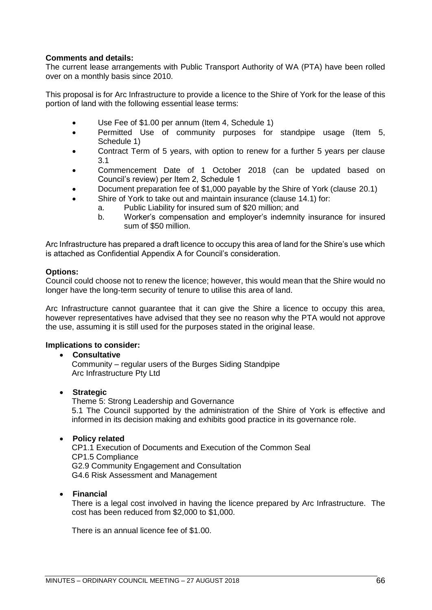# **Comments and details:**

The current lease arrangements with Public Transport Authority of WA (PTA) have been rolled over on a monthly basis since 2010.

This proposal is for Arc Infrastructure to provide a licence to the Shire of York for the lease of this portion of land with the following essential lease terms:

- Use Fee of \$1.00 per annum (Item 4, Schedule 1)
- Permitted Use of community purposes for standpipe usage (Item 5, Schedule 1)
- Contract Term of 5 years, with option to renew for a further 5 years per clause 3.1
- Commencement Date of 1 October 2018 (can be updated based on Council's review) per Item 2, Schedule 1
- Document preparation fee of \$1,000 payable by the Shire of York (clause 20.1)
- Shire of York to take out and maintain insurance (clause 14.1) for:
	- a. Public Liability for insured sum of \$20 million; and
		- b. Worker's compensation and employer's indemnity insurance for insured sum of \$50 million.

Arc Infrastructure has prepared a draft licence to occupy this area of land for the Shire's use which is attached as Confidential Appendix A for Council's consideration.

# **Options:**

Council could choose not to renew the licence; however, this would mean that the Shire would no longer have the long-term security of tenure to utilise this area of land.

Arc Infrastructure cannot guarantee that it can give the Shire a licence to occupy this area, however representatives have advised that they see no reason why the PTA would not approve the use, assuming it is still used for the purposes stated in the original lease.

# **Implications to consider:**

#### • **Consultative**

Community – regular users of the Burges Siding Standpipe Arc Infrastructure Pty Ltd

# • **Strategic**

Theme 5: Strong Leadership and Governance 5.1 The Council supported by the administration of the Shire of York is effective and informed in its decision making and exhibits good practice in its governance role.

# • **Policy related**

CP1.1 Execution of Documents and Execution of the Common Seal CP1.5 Compliance G2.9 Community Engagement and Consultation G4.6 Risk Assessment and Management

• **Financial**

There is a legal cost involved in having the licence prepared by Arc Infrastructure. The cost has been reduced from \$2,000 to \$1,000.

There is an annual licence fee of \$1.00.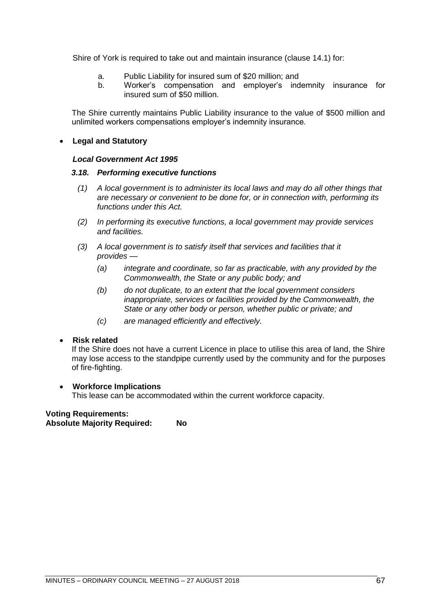Shire of York is required to take out and maintain insurance (clause 14.1) for:

- a. Public Liability for insured sum of \$20 million; and
- b. Worker's compensation and employer's indemnity insurance for insured sum of \$50 million.

The Shire currently maintains Public Liability insurance to the value of \$500 million and unlimited workers compensations employer's indemnity insurance.

## • **Legal and Statutory**

#### *Local Government Act 1995*

### *3.18. Performing executive functions*

- *(1) A local government is to administer its local laws and may do all other things that are necessary or convenient to be done for, or in connection with, performing its functions under this Act.*
- *(2) In performing its executive functions, a local government may provide services and facilities.*
- *(3) A local government is to satisfy itself that services and facilities that it provides —*
	- *(a) integrate and coordinate, so far as practicable, with any provided by the Commonwealth, the State or any public body; and*
	- *(b) do not duplicate, to an extent that the local government considers inappropriate, services or facilities provided by the Commonwealth, the State or any other body or person, whether public or private; and*
	- *(c) are managed efficiently and effectively.*

# • **Risk related**

If the Shire does not have a current Licence in place to utilise this area of land, the Shire may lose access to the standpipe currently used by the community and for the purposes of fire-fighting.

#### • **Workforce Implications**

This lease can be accommodated within the current workforce capacity.

#### **Voting Requirements: Absolute Majority Required: No**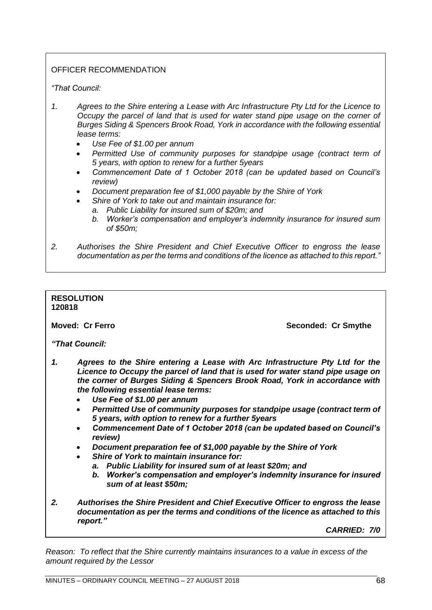# OFFICER RECOMMENDATION

*"That Council:*

- *1. Agrees to the Shire entering a Lease with Arc Infrastructure Pty Ltd for the Licence to Occupy the parcel of land that is used for water stand pipe usage on the corner of Burges Siding & Spencers Brook Road, York in accordance with the following essential lease terms:*
	- *Use Fee of \$1.00 per annum*
	- *Permitted Use of community purposes for standpipe usage (contract term of 5 years, with option to renew for a further 5years*
	- *Commencement Date of 1 October 2018 (can be updated based on Council's review)*
	- *Document preparation fee of \$1,000 payable by the Shire of York* 
		- *Shire of York to take out and maintain insurance for:*
		- *a. Public Liability for insured sum of \$20m; and*
			- *b. Worker's compensation and employer's indemnity insurance for insured sum of \$50m;*
- *2. Authorises the Shire President and Chief Executive Officer to engross the lease documentation as per the terms and conditions of the licence as attached to this report."*

#### **RESOLUTION 120818**

**Moved: Cr Ferro Seconded: Cr Smythe**

*"That Council:*

- *1. Agrees to the Shire entering a Lease with Arc Infrastructure Pty Ltd for the Licence to Occupy the parcel of land that is used for water stand pipe usage on the corner of Burges Siding & Spencers Brook Road, York in accordance with the following essential lease terms:*
	- *Use Fee of \$1.00 per annum*
	- *Permitted Use of community purposes for standpipe usage (contract term of 5 years, with option to renew for a further 5years*
	- *Commencement Date of 1 October 2018 (can be updated based on Council's review)*
	- *Document preparation fee of \$1,000 payable by the Shire of York*
	- *Shire of York to maintain insurance for:*
		- *a. Public Liability for insured sum of at least \$20m; and*
		- *b. Worker's compensation and employer's indemnity insurance for insured sum of at least \$50m;*
- *2. Authorises the Shire President and Chief Executive Officer to engross the lease documentation as per the terms and conditions of the licence as attached to this report."*

*CARRIED: 7/0*

*Reason: To reflect that the Shire currently maintains insurances to a value in excess of the amount required by the Lessor*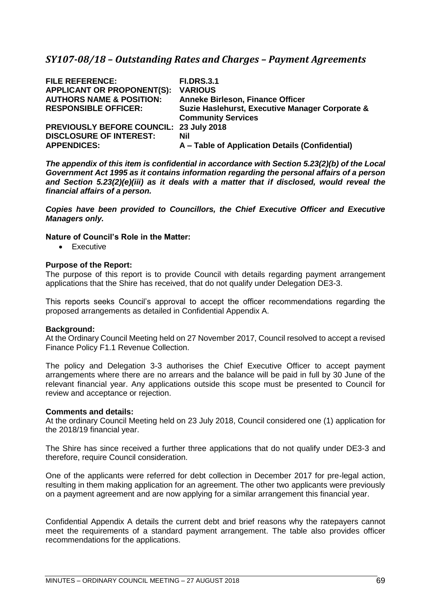# *SY107-08/18 – Outstanding Rates and Charges – Payment Agreements*

| <b>FILE REFERENCE:</b>                         | <b>FI.DRS.3.1</b>                               |
|------------------------------------------------|-------------------------------------------------|
| <b>APPLICANT OR PROPONENT(S):</b>              | <b>VARIOUS</b>                                  |
| <b>AUTHORS NAME &amp; POSITION:</b>            | <b>Anneke Birleson, Finance Officer</b>         |
| <b>RESPONSIBLE OFFICER:</b>                    | Suzie Haslehurst, Executive Manager Corporate & |
|                                                | <b>Community Services</b>                       |
| <b>PREVIOUSLY BEFORE COUNCIL: 23 July 2018</b> |                                                 |
| <b>DISCLOSURE OF INTEREST:</b>                 | Nil                                             |
| <b>APPENDICES:</b>                             | A - Table of Application Details (Confidential) |

*The appendix of this item is confidential in accordance with Section 5.23(2)(b) of the Local Government Act 1995 as it contains information regarding the personal affairs of a person and Section 5.23(2)(e)(iii) as it deals with a matter that if disclosed, would reveal the financial affairs of a person.* 

*Copies have been provided to Councillors, the Chief Executive Officer and Executive Managers only.*

# **Nature of Council's Role in the Matter:**

• Executive

#### **Purpose of the Report:**

The purpose of this report is to provide Council with details regarding payment arrangement applications that the Shire has received, that do not qualify under Delegation DE3-3.

This reports seeks Council's approval to accept the officer recommendations regarding the proposed arrangements as detailed in Confidential Appendix A.

#### **Background:**

At the Ordinary Council Meeting held on 27 November 2017, Council resolved to accept a revised Finance Policy F1.1 Revenue Collection.

The policy and Delegation 3-3 authorises the Chief Executive Officer to accept payment arrangements where there are no arrears and the balance will be paid in full by 30 June of the relevant financial year. Any applications outside this scope must be presented to Council for review and acceptance or rejection.

#### **Comments and details:**

At the ordinary Council Meeting held on 23 July 2018, Council considered one (1) application for the 2018/19 financial year.

The Shire has since received a further three applications that do not qualify under DE3-3 and therefore, require Council consideration.

One of the applicants were referred for debt collection in December 2017 for pre-legal action, resulting in them making application for an agreement. The other two applicants were previously on a payment agreement and are now applying for a similar arrangement this financial year.

Confidential Appendix A details the current debt and brief reasons why the ratepayers cannot meet the requirements of a standard payment arrangement. The table also provides officer recommendations for the applications.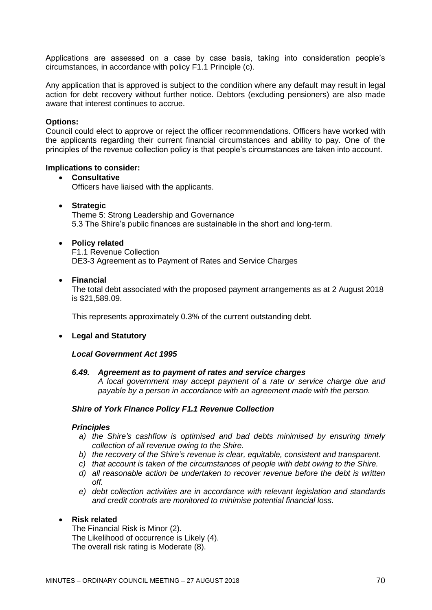Applications are assessed on a case by case basis, taking into consideration people's circumstances, in accordance with policy F1.1 Principle (c).

Any application that is approved is subject to the condition where any default may result in legal action for debt recovery without further notice. Debtors (excluding pensioners) are also made aware that interest continues to accrue.

#### **Options:**

Council could elect to approve or reject the officer recommendations. Officers have worked with the applicants regarding their current financial circumstances and ability to pay. One of the principles of the revenue collection policy is that people's circumstances are taken into account.

#### **Implications to consider:**

### • **Consultative** Officers have liaised with the applicants.

#### • **Strategic**

Theme 5: Strong Leadership and Governance 5.3 The Shire's public finances are sustainable in the short and long-term.

#### • **Policy related**

F1.1 Revenue Collection DE3-3 Agreement as to Payment of Rates and Service Charges

#### • **Financial**

The total debt associated with the proposed payment arrangements as at 2 August 2018 is \$21,589.09.

This represents approximately 0.3% of the current outstanding debt.

#### • **Legal and Statutory**

#### *Local Government Act 1995*

#### *6.49. Agreement as to payment of rates and service charges*

*A local government may accept payment of a rate or service charge due and payable by a person in accordance with an agreement made with the person.*

#### *Shire of York Finance Policy F1.1 Revenue Collection*

#### *Principles*

- *a) the Shire's cashflow is optimised and bad debts minimised by ensuring timely collection of all revenue owing to the Shire.*
- *b) the recovery of the Shire's revenue is clear, equitable, consistent and transparent.*
- *c) that account is taken of the circumstances of people with debt owing to the Shire.*
- *d) all reasonable action be undertaken to recover revenue before the debt is written off.*
- *e) debt collection activities are in accordance with relevant legislation and standards and credit controls are monitored to minimise potential financial loss.*

#### • **Risk related**

The Financial Risk is Minor (2). The Likelihood of occurrence is Likely (4). The overall risk rating is Moderate (8).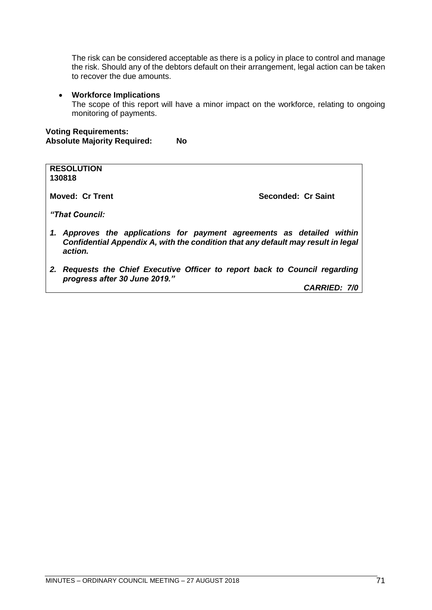The risk can be considered acceptable as there is a policy in place to control and manage the risk. Should any of the debtors default on their arrangement, legal action can be taken to recover the due amounts.

#### • **Workforce Implications**

The scope of this report will have a minor impact on the workforce, relating to ongoing monitoring of payments.

## **Voting Requirements: Absolute Majority Required: No**

| <b>RESOLUTION</b><br>130818                                                                                                                                        |                    |
|--------------------------------------------------------------------------------------------------------------------------------------------------------------------|--------------------|
| <b>Moved: Cr Trent</b>                                                                                                                                             | Seconded: Cr Saint |
| "That Council:                                                                                                                                                     |                    |
| Approves the applications for payment agreements as detailed within<br>Confidential Appendix A, with the condition that any default may result in legal<br>action. |                    |

*2. Requests the Chief Executive Officer to report back to Council regarding progress after 30 June 2019."*

*CARRIED: 7/0*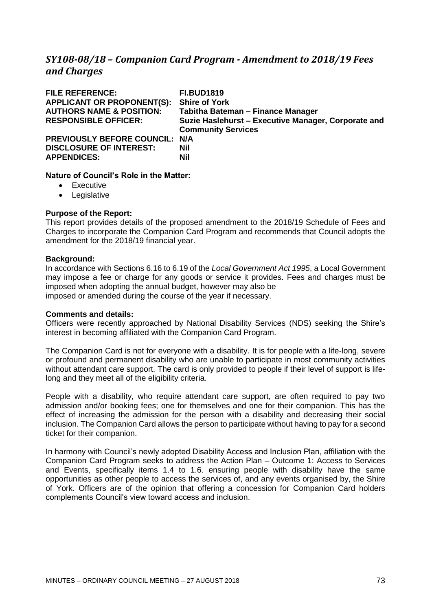# *SY108-08/18 – Companion Card Program - Amendment to 2018/19 Fees and Charges*

| <b>FILE REFERENCE:</b><br><b>APPLICANT OR PROPONENT(S):</b><br><b>AUTHORS NAME &amp; POSITION:</b><br><b>RESPONSIBLE OFFICER:</b> | <b>FI.BUD1819</b><br><b>Shire of York</b><br>Tabitha Bateman - Finance Manager<br>Suzie Haslehurst - Executive Manager, Corporate and<br><b>Community Services</b> |
|-----------------------------------------------------------------------------------------------------------------------------------|--------------------------------------------------------------------------------------------------------------------------------------------------------------------|
| PREVIOUSLY BEFORE COUNCIL: N/A<br><b>DISCLOSURE OF INTEREST:</b><br><b>APPENDICES:</b>                                            | Nil<br><b>Nil</b>                                                                                                                                                  |

# **Nature of Council's Role in the Matter:**

- Executive
- Legislative

# **Purpose of the Report:**

This report provides details of the proposed amendment to the 2018/19 Schedule of Fees and Charges to incorporate the Companion Card Program and recommends that Council adopts the amendment for the 2018/19 financial year.

### **Background:**

In accordance with Sections 6.16 to 6.19 of the *Local Government Act 1995*, a Local Government may impose a fee or charge for any goods or service it provides. Fees and charges must be imposed when adopting the annual budget, however may also be imposed or amended during the course of the year if necessary.

### **Comments and details:**

Officers were recently approached by National Disability Services (NDS) seeking the Shire's interest in becoming affiliated with the Companion Card Program.

The Companion Card is not for everyone with a disability. It is for people with a life-long, severe or profound and permanent disability who are unable to participate in most community activities without attendant care support. The card is only provided to people if their level of support is lifelong and they meet all of the eligibility criteria.

People with a disability, who require attendant care support, are often required to pay two admission and/or booking fees; one for themselves and one for their companion. This has the effect of increasing the admission for the person with a disability and decreasing their social inclusion. The Companion Card allows the person to participate without having to pay for a second ticket for their companion.

In harmony with Council's newly adopted Disability Access and Inclusion Plan, affiliation with the Companion Card Program seeks to address the Action Plan – Outcome 1: Access to Services and Events, specifically items 1.4 to 1.6. ensuring people with disability have the same opportunities as other people to access the services of, and any events organised by, the Shire of York. Officers are of the opinion that offering a concession for Companion Card holders complements Council's view toward access and inclusion.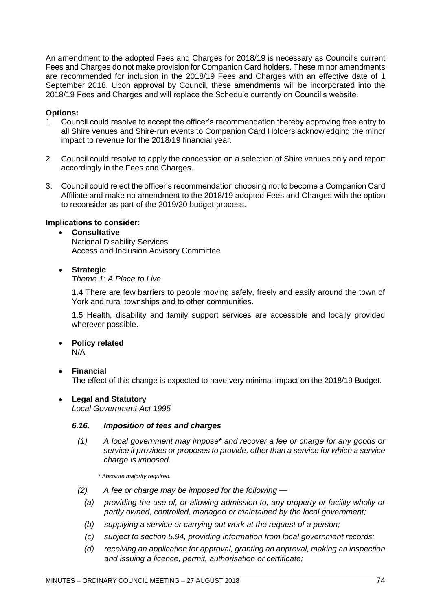An amendment to the adopted Fees and Charges for 2018/19 is necessary as Council's current Fees and Charges do not make provision for Companion Card holders. These minor amendments are recommended for inclusion in the 2018/19 Fees and Charges with an effective date of 1 September 2018. Upon approval by Council, these amendments will be incorporated into the 2018/19 Fees and Charges and will replace the Schedule currently on Council's website.

# **Options:**

- 1. Council could resolve to accept the officer's recommendation thereby approving free entry to all Shire venues and Shire-run events to Companion Card Holders acknowledging the minor impact to revenue for the 2018/19 financial year.
- 2. Council could resolve to apply the concession on a selection of Shire venues only and report accordingly in the Fees and Charges.
- 3. Council could reject the officer's recommendation choosing not to become a Companion Card Affiliate and make no amendment to the 2018/19 adopted Fees and Charges with the option to reconsider as part of the 2019/20 budget process.

# **Implications to consider:**

# • **Consultative**

National Disability Services Access and Inclusion Advisory Committee

# • **Strategic**

### *Theme 1: A Place to Live*

1.4 There are few barriers to people moving safely, freely and easily around the town of York and rural townships and to other communities.

1.5 Health, disability and family support services are accessible and locally provided wherever possible.

# • **Policy related**

N/A

# • **Financial**

The effect of this change is expected to have very minimal impact on the 2018/19 Budget.

# • **Legal and Statutory**

*Local Government Act 1995*

# *6.16. Imposition of fees and charges*

*(1) A local government may impose\* and recover a fee or charge for any goods or service it provides or proposes to provide, other than a service for which a service charge is imposed.*

*\* Absolute majority required.*

- *(2) A fee or charge may be imposed for the following —*
	- *(a) providing the use of, or allowing admission to, any property or facility wholly or partly owned, controlled, managed or maintained by the local government;*
	- *(b) supplying a service or carrying out work at the request of a person;*
	- *(c) subject to section 5.94, providing information from local government records;*
	- *(d) receiving an application for approval, granting an approval, making an inspection and issuing a licence, permit, authorisation or certificate;*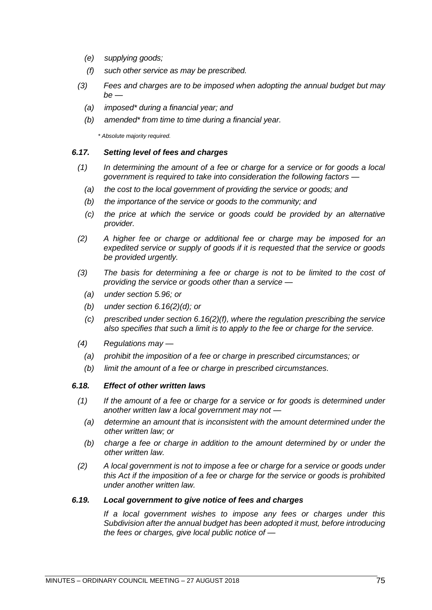- *(e) supplying goods;*
- *(f) such other service as may be prescribed.*
- *(3) Fees and charges are to be imposed when adopting the annual budget but may be —*
	- *(a) imposed\* during a financial year; and*
	- *(b) amended\* from time to time during a financial year.*

*\* Absolute majority required.*

### *6.17. Setting level of fees and charges*

- *(1) In determining the amount of a fee or charge for a service or for goods a local government is required to take into consideration the following factors —*
	- *(a) the cost to the local government of providing the service or goods; and*
	- *(b) the importance of the service or goods to the community; and*
	- *(c) the price at which the service or goods could be provided by an alternative provider.*
- *(2) A higher fee or charge or additional fee or charge may be imposed for an expedited service or supply of goods if it is requested that the service or goods be provided urgently.*
- *(3) The basis for determining a fee or charge is not to be limited to the cost of providing the service or goods other than a service —*
	- *(a) under section 5.96; or*
	- *(b) under section 6.16(2)(d); or*
	- *(c) prescribed under section 6.16(2)(f), where the regulation prescribing the service also specifies that such a limit is to apply to the fee or charge for the service.*
- *(4) Regulations may —*
	- *(a) prohibit the imposition of a fee or charge in prescribed circumstances; or*
	- *(b) limit the amount of a fee or charge in prescribed circumstances.*

### *6.18. Effect of other written laws*

- *(1) If the amount of a fee or charge for a service or for goods is determined under another written law a local government may not —*
	- *(a) determine an amount that is inconsistent with the amount determined under the other written law; or*
	- *(b) charge a fee or charge in addition to the amount determined by or under the other written law.*
- *(2) A local government is not to impose a fee or charge for a service or goods under this Act if the imposition of a fee or charge for the service or goods is prohibited under another written law.*

### *6.19. Local government to give notice of fees and charges*

*If a local government wishes to impose any fees or charges under this Subdivision after the annual budget has been adopted it must, before introducing the fees or charges, give local public notice of —*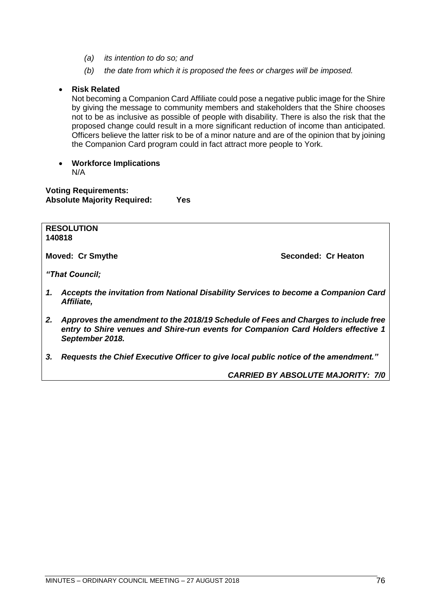- *(a) its intention to do so; and*
- *(b) the date from which it is proposed the fees or charges will be imposed.*

# • **Risk Related**

Not becoming a Companion Card Affiliate could pose a negative public image for the Shire by giving the message to community members and stakeholders that the Shire chooses not to be as inclusive as possible of people with disability. There is also the risk that the proposed change could result in a more significant reduction of income than anticipated. Officers believe the latter risk to be of a minor nature and are of the opinion that by joining the Companion Card program could in fact attract more people to York.

• **Workforce Implications** N/A

**Voting Requirements: Absolute Majority Required: Yes**

**RESOLUTION 140818**

**Moved: Cr Smythe Seconded: Cr Heaton** 

*"That Council;* 

- *1. Accepts the invitation from National Disability Services to become a Companion Card Affiliate,*
- *2. Approves the amendment to the 2018/19 Schedule of Fees and Charges to include free entry to Shire venues and Shire-run events for Companion Card Holders effective 1 September 2018.*
- *3. Requests the Chief Executive Officer to give local public notice of the amendment."*

*CARRIED BY ABSOLUTE MAJORITY: 7/0*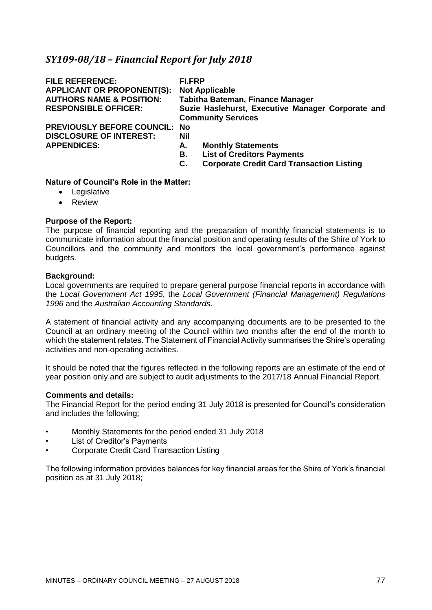# *SY109-08/18 – Financial Report for July 2018*

| <b>FILE REFERENCE:</b><br><b>APPLICANT OR PROPONENT(S):</b><br><b>AUTHORS NAME &amp; POSITION:</b><br><b>RESPONSIBLE OFFICER:</b> | FI.FRP<br><b>Not Applicable</b><br>Tabitha Bateman, Finance Manager<br>Suzie Haslehurst, Executive Manager Corporate and<br><b>Community Services</b> |
|-----------------------------------------------------------------------------------------------------------------------------------|-------------------------------------------------------------------------------------------------------------------------------------------------------|
| <b>PREVIOUSLY BEFORE COUNCIL: No</b><br><b>DISCLOSURE OF INTEREST:</b><br><b>APPENDICES:</b>                                      | Nil<br><b>Monthly Statements</b><br>А.<br><b>List of Creditors Payments</b><br>В.<br><b>Corporate Credit Card Transaction Listing</b><br>С.           |

# **Nature of Council's Role in the Matter:**

- Legislative
- Review

# **Purpose of the Report:**

The purpose of financial reporting and the preparation of monthly financial statements is to communicate information about the financial position and operating results of the Shire of York to Councillors and the community and monitors the local government's performance against budgets.

### **Background:**

Local governments are required to prepare general purpose financial reports in accordance with the *Local Government Act 1995*, the *Local Government (Financial Management) Regulations 1996* and the *Australian Accounting Standards*.

A statement of financial activity and any accompanying documents are to be presented to the Council at an ordinary meeting of the Council within two months after the end of the month to which the statement relates. The Statement of Financial Activity summarises the Shire's operating activities and non-operating activities.

It should be noted that the figures reflected in the following reports are an estimate of the end of year position only and are subject to audit adjustments to the 2017/18 Annual Financial Report.

### **Comments and details:**

The Financial Report for the period ending 31 July 2018 is presented for Council's consideration and includes the following;

- Monthly Statements for the period ended 31 July 2018
- List of Creditor's Payments
- Corporate Credit Card Transaction Listing

The following information provides balances for key financial areas for the Shire of York's financial position as at 31 July 2018;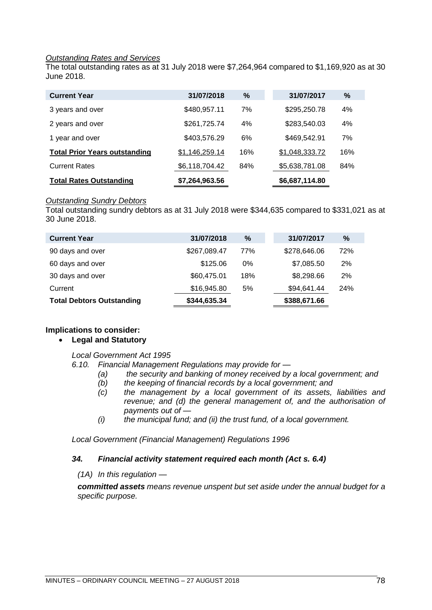### *Outstanding Rates and Services*

The total outstanding rates as at 31 July 2018 were \$7,264,964 compared to \$1,169,920 as at 30 June 2018.

| <b>Current Year</b>                  | 31/07/2018     | %   | 31/07/2017     | %   |
|--------------------------------------|----------------|-----|----------------|-----|
| 3 years and over                     | \$480,957.11   | 7%  | \$295,250.78   | 4%  |
| 2 years and over                     | \$261,725.74   | 4%  | \$283,540.03   | 4%  |
| 1 year and over                      | \$403,576.29   | 6%  | \$469,542.91   | 7%  |
| <b>Total Prior Years outstanding</b> | \$1,146,259.14 | 16% | \$1,048,333.72 | 16% |
| <b>Current Rates</b>                 | \$6,118,704.42 | 84% | \$5,638,781.08 | 84% |
| <b>Total Rates Outstanding</b>       | \$7,264,963.56 |     | \$6,687,114.80 |     |

### *Outstanding Sundry Debtors*

Total outstanding sundry debtors as at 31 July 2018 were \$344,635 compared to \$331,021 as at 30 June 2018.

| <b>Current Year</b>              | 31/07/2018   | $\%$  | 31/07/2017   | $\%$       |
|----------------------------------|--------------|-------|--------------|------------|
| 90 days and over                 | \$267,089.47 | 77%   | \$278,646.06 | 72%        |
| 60 days and over                 | \$125.06     | $0\%$ | \$7,085.50   | 2%         |
| 30 days and over                 | \$60,475.01  | 18%   | \$8,298.66   | 2%         |
| Current                          | \$16,945.80  | 5%    | \$94,641.44  | <b>24%</b> |
| <b>Total Debtors Outstanding</b> | \$344,635.34 |       | \$388,671.66 |            |

# **Implications to consider:**

# • **Legal and Statutory**

### *Local Government Act 1995*

*6.10. Financial Management Regulations may provide for —*

- *(a) the security and banking of money received by a local government; and*
- *(b) the keeping of financial records by a local government; and*
- *(c) the management by a local government of its assets, liabilities and revenue; and (d) the general management of, and the authorisation of payments out of —*
- *(i) the municipal fund; and (ii) the trust fund, of a local government.*

*Local Government (Financial Management) Regulations 1996*

# *34. Financial activity statement required each month (Act s. 6.4)*

*(1A) In this regulation —*

*committed assets means revenue unspent but set aside under the annual budget for a specific purpose.*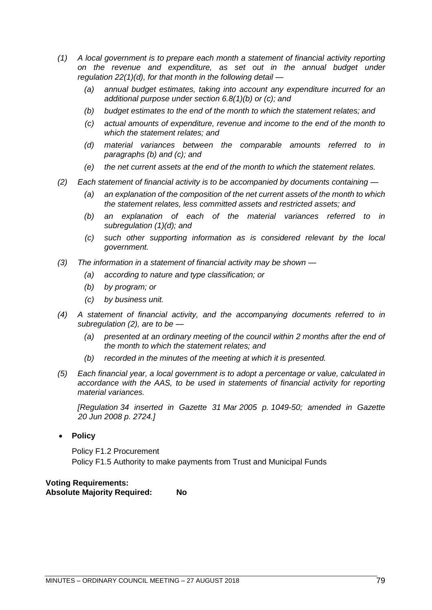- *(1) A local government is to prepare each month a statement of financial activity reporting on the revenue and expenditure, as set out in the annual budget under regulation 22(1)(d), for that month in the following detail —*
	- *(a) annual budget estimates, taking into account any expenditure incurred for an additional purpose under section 6.8(1)(b) or (c); and*
	- *(b) budget estimates to the end of the month to which the statement relates; and*
	- *(c) actual amounts of expenditure, revenue and income to the end of the month to which the statement relates; and*
	- *(d) material variances between the comparable amounts referred to in paragraphs (b) and (c); and*
	- *(e) the net current assets at the end of the month to which the statement relates.*
- *(2) Each statement of financial activity is to be accompanied by documents containing —*
	- *(a) an explanation of the composition of the net current assets of the month to which the statement relates, less committed assets and restricted assets; and*
	- *(b) an explanation of each of the material variances referred to in subregulation (1)(d); and*
	- *(c) such other supporting information as is considered relevant by the local government.*
- *(3) The information in a statement of financial activity may be shown —*
	- *(a) according to nature and type classification; or*
	- *(b) by program; or*
	- *(c) by business unit.*
- *(4) A statement of financial activity, and the accompanying documents referred to in subregulation (2), are to be —*
	- *(a) presented at an ordinary meeting of the council within 2 months after the end of the month to which the statement relates; and*
	- *(b) recorded in the minutes of the meeting at which it is presented.*
- *(5) Each financial year, a local government is to adopt a percentage or value, calculated in accordance with the AAS, to be used in statements of financial activity for reporting material variances.*

*[Regulation 34 inserted in Gazette 31 Mar 2005 p. 1049-50; amended in Gazette 20 Jun 2008 p. 2724.]*

• **Policy**

Policy F1.2 Procurement Policy F1.5 Authority to make payments from Trust and Municipal Funds

**Voting Requirements: Absolute Majority Required: No**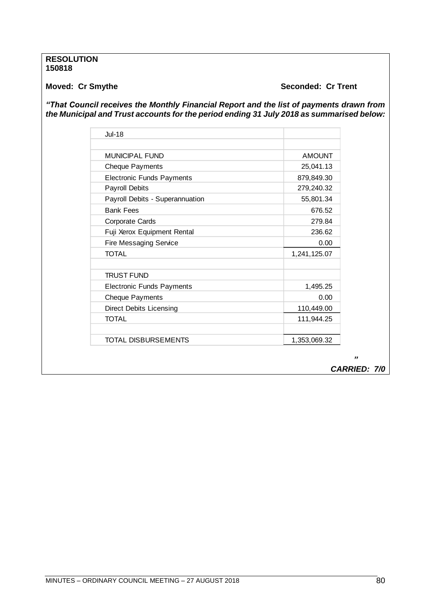### **RESOLUTION 150818**

# **Moved: Cr Smythe Seconded: Cr Trent**

*"That Council receives the Monthly Financial Report and the list of payments drawn from the Municipal and Trust accounts for the period ending 31 July 2018 as summarised below:* 

| Jul-18                           |               |
|----------------------------------|---------------|
|                                  |               |
| <b>MUNICIPAL FUND</b>            | <b>AMOUNT</b> |
| <b>Cheque Payments</b>           | 25,041.13     |
| <b>Electronic Funds Payments</b> | 879,849.30    |
| <b>Payroll Debits</b>            | 279,240.32    |
| Payroll Debits - Superannuation  | 55,801.34     |
| <b>Bank Fees</b>                 | 676.52        |
| <b>Corporate Cards</b>           | 279.84        |
| Fuji Xerox Equipment Rental      | 236.62        |
| <b>Fire Messaging Service</b>    | 0.00          |
| <b>TOTAL</b>                     | 1,241,125.07  |
|                                  |               |
| <b>TRUST FUND</b>                |               |
| <b>Electronic Funds Payments</b> | 1,495.25      |
| <b>Cheque Payments</b>           | 0.00          |
| <b>Direct Debits Licensing</b>   | 110,449.00    |
| <b>TOTAL</b>                     | 111,944.25    |
|                                  |               |
| TOTAL DISBURSEMENTS              | 1,353,069.32  |
|                                  |               |

 *" CARRIED: 7/0*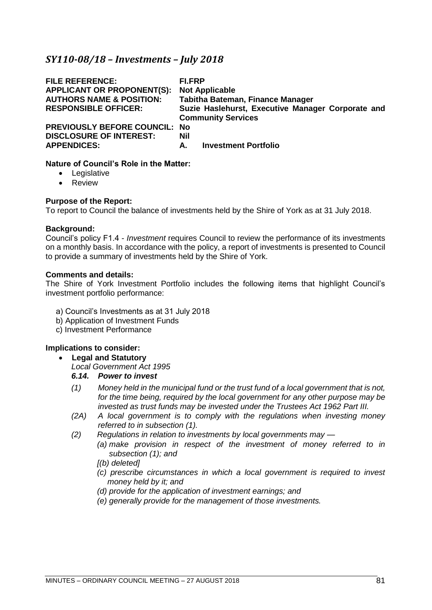# *SY110-08/18 – Investments – July 2018*

| <b>FILE REFERENCE:</b><br><b>APPLICANT OR PROPONENT(S):</b><br><b>AUTHORS NAME &amp; POSITION:</b><br><b>RESPONSIBLE OFFICER:</b> | <b>FI.FRP</b><br><b>Not Applicable</b><br><b>Tabitha Bateman, Finance Manager</b><br>Suzie Haslehurst, Executive Manager Corporate and<br><b>Community Services</b> |
|-----------------------------------------------------------------------------------------------------------------------------------|---------------------------------------------------------------------------------------------------------------------------------------------------------------------|
| <b>PREVIOUSLY BEFORE COUNCIL: No</b>                                                                                              | Nil                                                                                                                                                                 |
| <b>DISCLOSURE OF INTEREST:</b>                                                                                                    | <b>Investment Portfolio</b>                                                                                                                                         |
| <b>APPENDICES:</b>                                                                                                                | А.                                                                                                                                                                  |

### **Nature of Council's Role in the Matter:**

- Legislative
- Review

### **Purpose of the Report:**

To report to Council the balance of investments held by the Shire of York as at 31 July 2018.

### **Background:**

Council's policy F1.4 - *Investment* requires Council to review the performance of its investments on a monthly basis. In accordance with the policy, a report of investments is presented to Council to provide a summary of investments held by the Shire of York.

### **Comments and details:**

The Shire of York Investment Portfolio includes the following items that highlight Council's investment portfolio performance:

- a) Council's Investments as at 31 July 2018
- b) Application of Investment Funds
- c) Investment Performance

# **Implications to consider:**

- **Legal and Statutory**
	- *Local Government Act 1995*

### *6.14. Power to invest*

- *(1) Money held in the municipal fund or the trust fund of a local government that is not, for the time being, required by the local government for any other purpose may be invested as trust funds may be invested under the Trustees Act 1962 Part III.*
- *(2A) A local government is to comply with the regulations when investing money referred to in subsection (1).*
- *(2) Regulations in relation to investments by local governments may —*
	- *(a) make provision in respect of the investment of money referred to in subsection (1); and*

# *[(b) deleted]*

- *(c) prescribe circumstances in which a local government is required to invest money held by it; and*
- *(d) provide for the application of investment earnings; and*
- *(e) generally provide for the management of those investments.*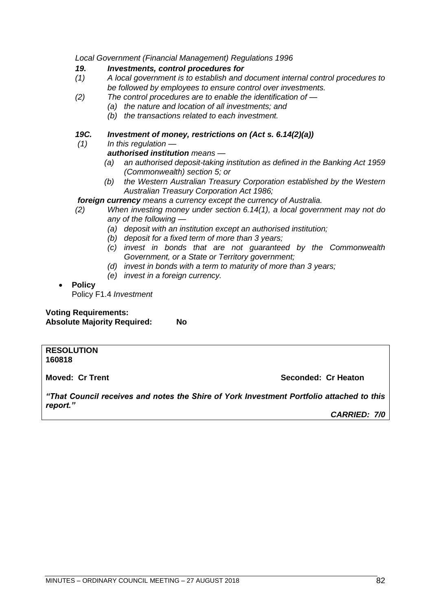*Local Government (Financial Management) Regulations 1996*

### *19. Investments, control procedures for*

- *(1) A local government is to establish and document internal control procedures to be followed by employees to ensure control over investments.*
- *(2) The control procedures are to enable the identification of —*
	- *(a) the nature and location of all investments; and*
	- *(b) the transactions related to each investment.*

# *19C. Investment of money, restrictions on (Act s. 6.14(2)(a))*

*(1) In this regulation —*

# *authorised institution means —*

- *(a) an authorised deposit-taking institution as defined in the Banking Act 1959 (Commonwealth) section 5; or*
- *(b) the Western Australian Treasury Corporation established by the Western Australian Treasury Corporation Act 1986;*

# *foreign currency means a currency except the currency of Australia.*

- *(2) When investing money under section 6.14(1), a local government may not do any of the following —*
	- *(a) deposit with an institution except an authorised institution;*
	- *(b) deposit for a fixed term of more than 3 years;*
	- *(c) invest in bonds that are not guaranteed by the Commonwealth Government, or a State or Territory government;*
	- *(d) invest in bonds with a term to maturity of more than 3 years;*
	- *(e) invest in a foreign currency.*

# • **Policy**

Policy F1.4 *Investment*

**Voting Requirements: Absolute Majority Required: No**

### **RESOLUTION 160818**

**Moved: Cr Trent Seconded: Cr Heaton**

*"That Council receives and notes the Shire of York Investment Portfolio attached to this report."*

*CARRIED: 7/0*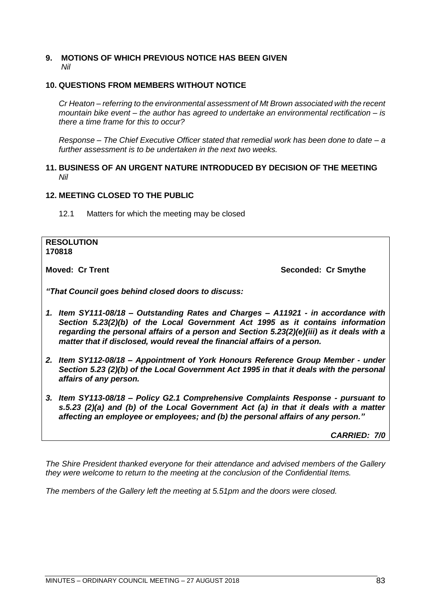### **9. MOTIONS OF WHICH PREVIOUS NOTICE HAS BEEN GIVEN** *Nil*

# **10. QUESTIONS FROM MEMBERS WITHOUT NOTICE**

*Cr Heaton – referring to the environmental assessment of Mt Brown associated with the recent mountain bike event – the author has agreed to undertake an environmental rectification – is there a time frame for this to occur?*

*Response – The Chief Executive Officer stated that remedial work has been done to date – a further assessment is to be undertaken in the next two weeks.*

### **11. BUSINESS OF AN URGENT NATURE INTRODUCED BY DECISION OF THE MEETING** *Nil*

# **12. MEETING CLOSED TO THE PUBLIC**

12.1 Matters for which the meeting may be closed

| <b>RESOLUTION</b><br>170818                                                                                                                                                                                                                                                                                                                   |                     |
|-----------------------------------------------------------------------------------------------------------------------------------------------------------------------------------------------------------------------------------------------------------------------------------------------------------------------------------------------|---------------------|
| <b>Moved: Cr Trent</b>                                                                                                                                                                                                                                                                                                                        | Seconded: Cr Smythe |
| "That Council goes behind closed doors to discuss:                                                                                                                                                                                                                                                                                            |                     |
| 1. Item SY111-08/18 – Outstanding Rates and Charges – A11921 - in accordance with<br>Section 5.23(2)(b) of the Local Government Act 1995 as it contains information<br>regarding the personal affairs of a person and Section 5.23(2)(e)(iii) as it deals with a<br>matter that if disclosed, would reveal the financial affairs of a person. |                     |

- *2. Item SY112-08/18 – Appointment of York Honours Reference Group Member - under Section 5.23 (2)(b) of the Local Government Act 1995 in that it deals with the personal affairs of any person.*
- *3. Item SY113-08/18 – Policy G2.1 Comprehensive Complaints Response - pursuant to s.5.23 (2)(a) and (b) of the Local Government Act (a) in that it deals with a matter affecting an employee or employees; and (b) the personal affairs of any person."*

*CARRIED: 7/0*

*The Shire President thanked everyone for their attendance and advised members of the Gallery they were welcome to return to the meeting at the conclusion of the Confidential Items.*

*The members of the Gallery left the meeting at 5.51pm and the doors were closed.*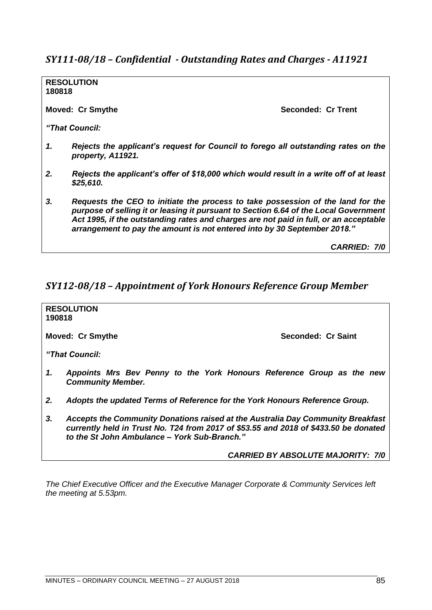# *SY111-08/18 – Confidential - Outstanding Rates and Charges - A11921*

**RESOLUTION 180818**

**Moved: Cr Smythe Seconded: Cr Trent** 

*"That Council:*

- *1. Rejects the applicant's request for Council to forego all outstanding rates on the property, A11921.*
- *2. Rejects the applicant's offer of \$18,000 which would result in a write off of at least \$25,610.*
- *3. Requests the CEO to initiate the process to take possession of the land for the purpose of selling it or leasing it pursuant to Section 6.64 of the Local Government Act 1995, if the outstanding rates and charges are not paid in full, or an acceptable arrangement to pay the amount is not entered into by 30 September 2018."*

*CARRIED: 7/0*

# *SY112-08/18 – Appointment of York Honours Reference Group Member*

**RESOLUTION 190818 Moved: Cr Smythe Seconded: Cr Saint Seconded: Cr Saint** *"That Council: 1. Appoints Mrs Bev Penny to the York Honours Reference Group as the new Community Member. 2. Adopts the updated Terms of Reference for the York Honours Reference Group. 3. Accepts the Community Donations raised at the Australia Day Community Breakfast currently held in Trust No. T24 from 2017 of \$53.55 and 2018 of \$433.50 be donated to the St John Ambulance – York Sub-Branch." CARRIED BY ABSOLUTE MAJORITY: 7/0*

*The Chief Executive Officer and the Executive Manager Corporate & Community Services left the meeting at 5.53pm.*